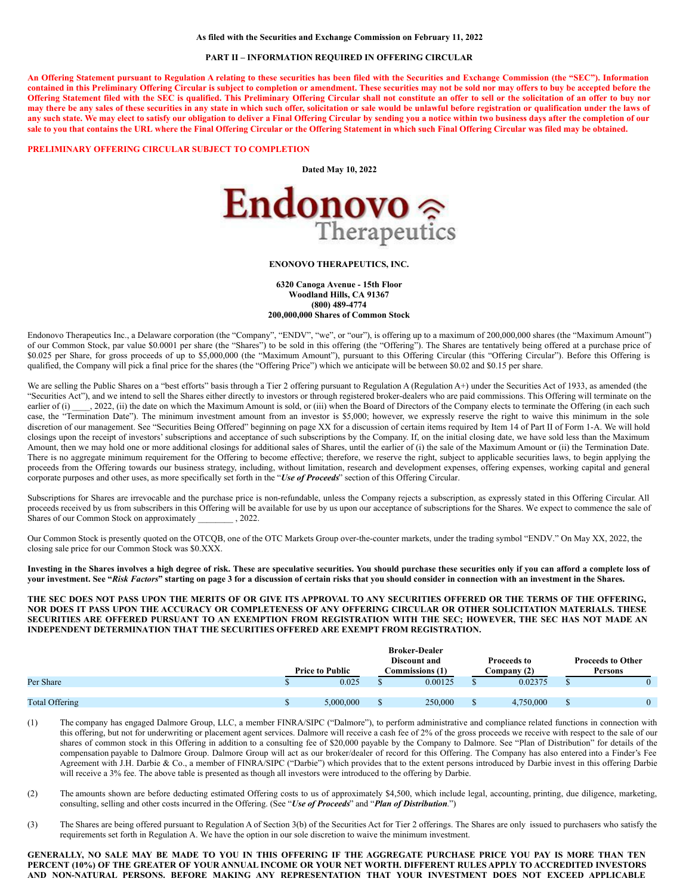## **PART II – INFORMATION REQUIRED IN OFFERING CIRCULAR**

An Offering Statement pursuant to Regulation A relating to these securities has been filed with the Securities and Exchange Commission (the "SEC"). Information contained in this Preliminary Offering Circular is subject to completion or amendment. These securities may not be sold nor may offers to buy be accepted before the Offering Statement filed with the SEC is qualified. This Preliminary Offering Circular shall not constitute an offer to sell or the solicitation of an offer to buy nor may there be any sales of these securities in any state in which such offer, solicitation or sale would be unlawful before registration or qualification under the laws of any such state. We may elect to satisfy our obligation to deliver a Final Offering Circular by sending you a notice within two business days after the completion of our sale to you that contains the URL where the Final Offering Circular or the Offering Statement in which such Final Offering Circular was filed may be obtained.

# **PRELIMINARY OFFERING CIRCULAR SUBJECT TO COMPLETION**

#### **Dated May 10, 2022**

# Endonovo  $\widehat{\mathbb{F}}$ Therapeutics

# **ENONOVO THERAPEUTICS, INC.**

**6320 Canoga Avenue - 15th Floor Woodland Hills, CA 91367 (800) 489-4774 200,000,000 Shares of Common Stock**

Endonovo Therapeutics Inc., a Delaware corporation (the "Company", "ENDV", "we", or "our"), is offering up to a maximum of 200,000,000 shares (the "Maximum Amount") of our Common Stock, par value \$0.0001 per share (the "Shares") to be sold in this offering (the "Offering"). The Shares are tentatively being offered at a purchase price of \$0.025 per Share, for gross proceeds of up to \$5,000,000 (the "Maximum Amount"), pursuant to this Offering Circular (this "Offering Circular"). Before this Offering is qualified, the Company will pick a final price for the shares (the "Offering Price") which we anticipate will be between \$0.02 and \$0.15 per share.

We are selling the Public Shares on a "best efforts" basis through a Tier 2 offering pursuant to Regulation A (Regulation A+) under the Securities Act of 1933, as amended (the "Securities Act"), and we intend to sell the Shares either directly to investors or through registered broker-dealers who are paid commissions. This Offering will terminate on the earlier of (i) \_\_\_, 2022, (ii) the date on which the Maximum Amount is sold, or (iii) when the Board of Directors of the Company elects to terminate the Offering (in each such case, the "Termination Date"). The minimum investment amount from an investor is \$5,000; however, we expressly reserve the right to waive this minimum in the sole discretion of our management. See "Securities Being Offered" beginning on page XX for a discussion of certain items required by Item 14 of Part II of Form 1-A. We will hold closings upon the receipt of investors' subscriptions and acceptance of such subscriptions by the Company. If, on the initial closing date, we have sold less than the Maximum Amount, then we may hold one or more additional closings for additional sales of Shares, until the earlier of (i) the sale of the Maximum Amount or (ii) the Termination Date. There is no aggregate minimum requirement for the Offering to become effective; therefore, we reserve the right, subject to applicable securities laws, to begin applying the proceeds from the Offering towards our business strategy, including, without limitation, research and development expenses, offering expenses, working capital and general corporate purposes and other uses, as more specifically set forth in the "*Use of Proceeds*" section of this Offering Circular.

Subscriptions for Shares are irrevocable and the purchase price is non-refundable, unless the Company rejects a subscription, as expressly stated in this Offering Circular. All proceeds received by us from subscribers in this Offering will be available for use by us upon our acceptance of subscriptions for the Shares. We expect to commence the sale of Shares of our Common Stock on approximately  $, 2022$ .

Our Common Stock is presently quoted on the OTCQB, one of the OTC Markets Group over-the-counter markets, under the trading symbol "ENDV." On May XX, 2022, the closing sale price for our Common Stock was \$0.XXX.

Investing in the Shares involves a high degree of risk. These are speculative securities. You should purchase these securities only if you can afford a complete loss of your investment. See "Risk Factors" starting on page 3 for a discussion of certain risks that you should consider in connection with an investment in the Shares.

THE SEC DOES NOT PASS UPON THE MERITS OF OR GIVE ITS APPROVAL TO ANY SECURITIES OFFERED OR THE TERMS OF THE OFFERING, NOR DOES IT PASS UPON THE ACCURACY OR COMPLETENESS OF ANY OFFERING CIRCULAR OR OTHER SOLICITATION MATERIALS. THESE SECURITIES ARE OFFERED PURSUANT TO AN EXEMPTION FROM REGISTRATION WITH THE SEC; HOWEVER, THE SEC HAS NOT MADE AN **INDEPENDENT DETERMINATION THAT THE SECURITIES OFFERED ARE EXEMPT FROM REGISTRATION.**

|                | <b>Price to Public</b> | <b>Broker-Dealer</b><br>Discount and<br>Commissions (1) | <b>Proceeds to</b><br>Company(2) | <b>Proceeds to Other</b><br><b>Persons</b> |
|----------------|------------------------|---------------------------------------------------------|----------------------------------|--------------------------------------------|
| Per Share      | 0.025                  | 0.00125                                                 | 0.02375                          |                                            |
|                |                        |                                                         |                                  |                                            |
| Total Offering | 5,000,000              | 250,000                                                 | 4,750,000                        |                                            |

- (1) The company has engaged Dalmore Group, LLC, a member FINRA/SIPC ("Dalmore"), to perform administrative and compliance related functions in connection with this offering, but not for underwriting or placement agent services. Dalmore will receive a cash fee of 2% of the gross proceeds we receive with respect to the sale of our shares of common stock in this Offering in addition to a consulting fee of \$20,000 payable by the Company to Dalmore. See "Plan of Distribution" for details of the compensation payable to Dalmore Group. Dalmore Group will act as our broker/dealer of record for this Offering. The Company has also entered into a Finder's Fee Agreement with J.H. Darbie & Co., a member of FINRA/SIPC ("Darbie") which provides that to the extent persons introduced by Darbie invest in this offering Darbie will receive a 3% fee. The above table is presented as though all investors were introduced to the offering by Darbie.
- (2) The amounts shown are before deducting estimated Offering costs to us of approximately \$4,500, which include legal, accounting, printing, due diligence, marketing, consulting, selling and other costs incurred in the Offering. (See "*Use of Proceeds*" and "*Plan of Distribution*.")
- (3) The Shares are being offered pursuant to Regulation A of Section 3(b) of the Securities Act for Tier 2 offerings. The Shares are only issued to purchasers who satisfy the requirements set forth in Regulation A. We have the option in our sole discretion to waive the minimum investment.

GENERALLY, NO SALE MAY BE MADE TO YOU IN THIS OFFERING IF THE AGGREGATE PURCHASE PRICE YOU PAY IS MORE THAN TEN PERCENT (10%) OF THE GREATER OF YOUR ANNUAL INCOME OR YOUR NET WORTH. DIFFERENT RULES APPLY TO ACCREDITED INVESTORS **AND NON-NATURAL PERSONS. BEFORE MAKING ANY REPRESENTATION THAT YOUR INVESTMENT DOES NOT EXCEED APPLICABLE**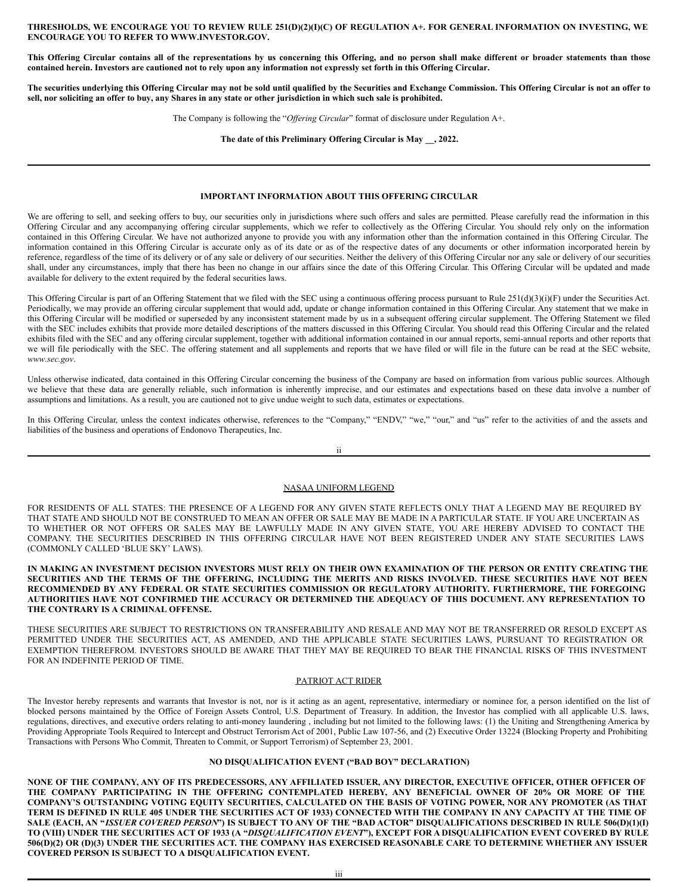# THRESHOLDS, WE ENCOURAGE YOU TO REVIEW RULE 251(D)(2)(I)(C) OF REGULATION A+. FOR GENERAL INFORMATION ON INVESTING, WE **ENCOURAGE YOU TO REFER TO WWW.INVESTOR.GOV.**

This Offering Circular contains all of the representations by us concerning this Offering, and no person shall make different or broader statements than those contained herein. Investors are cautioned not to rely upon any information not expressly set forth in this Offering Circular.

The securities underlying this Offering Circular may not be sold until qualified by the Securities and Exchange Commission. This Offering Circular is not an offer to sell, nor soliciting an offer to buy, any Shares in any state or other jurisdiction in which such sale is prohibited.

The Company is following the "*Offering Circular*" format of disclosure under Regulation A+.

**The date of this Preliminary Offering Circular is May \_\_, 2022.**

# **IMPORTANT INFORMATION ABOUT THIS OFFERING CIRCULAR**

We are offering to sell, and seeking offers to buy, our securities only in jurisdictions where such offers and sales are permitted. Please carefully read the information in this Offering Circular and any accompanying offering circular supplements, which we refer to collectively as the Offering Circular. You should rely only on the information contained in this Offering Circular. We have not authorized anyone to provide you with any information other than the information contained in this Offering Circular. The information contained in this Offering Circular is accurate only as of its date or as of the respective dates of any documents or other information incorporated herein by reference, regardless of the time of its delivery or of any sale or delivery of our securities. Neither the delivery of this Offering Circular nor any sale or delivery of our securities shall, under any circumstances, imply that there has been no change in our affairs since the date of this Offering Circular. This Offering Circular will be updated and made available for delivery to the extent required by the federal securities laws.

This Offering Circular is part of an Offering Statement that we filed with the SEC using a continuous offering process pursuant to Rule 251(d)(3)(i)(F) under the Securities Act. Periodically, we may provide an offering circular supplement that would add, update or change information contained in this Offering Circular. Any statement that we make in this Offering Circular will be modified or superseded by any inconsistent statement made by us in a subsequent offering circular supplement. The Offering Statement we filed with the SEC includes exhibits that provide more detailed descriptions of the matters discussed in this Offering Circular. You should read this Offering Circular and the related exhibits filed with the SEC and any offering circular supplement, together with additional information contained in our annual reports, semi-annual reports and other reports that we will file periodically with the SEC. The offering statement and all supplements and reports that we have filed or will file in the future can be read at the SEC website, *www.sec.gov*.

Unless otherwise indicated, data contained in this Offering Circular concerning the business of the Company are based on information from various public sources. Although we believe that these data are generally reliable, such information is inherently imprecise, and our estimates and expectations based on these data involve a number of assumptions and limitations. As a result, you are cautioned not to give undue weight to such data, estimates or expectations.

In this Offering Circular, unless the context indicates otherwise, references to the "Company," "ENDV," "we," "our," and "us" refer to the activities of and the assets and liabilities of the business and operations of Endonovo Therapeutics, Inc.

ii

# NASAA UNIFORM LEGEND

FOR RESIDENTS OF ALL STATES: THE PRESENCE OF A LEGEND FOR ANY GIVEN STATE REFLECTS ONLY THAT A LEGEND MAY BE REQUIRED BY THAT STATE AND SHOULD NOT BE CONSTRUED TO MEAN AN OFFER OR SALE MAY BE MADE IN A PARTICULAR STATE. IF YOU ARE UNCERTAIN AS TO WHETHER OR NOT OFFERS OR SALES MAY BE LAWFULLY MADE IN ANY GIVEN STATE, YOU ARE HEREBY ADVISED TO CONTACT THE COMPANY. THE SECURITIES DESCRIBED IN THIS OFFERING CIRCULAR HAVE NOT BEEN REGISTERED UNDER ANY STATE SECURITIES LAWS (COMMONLY CALLED 'BLUE SKY' LAWS).

IN MAKING AN INVESTMENT DECISION INVESTORS MUST RELY ON THEIR OWN EXAMINATION OF THE PERSON OR ENTITY CREATING THE SECURITIES AND THE TERMS OF THE OFFERING, INCLUDING THE MERITS AND RISKS INVOLVED. THESE SECURITIES HAVE NOT BEEN **RECOMMENDED BY ANY FEDERAL OR STATE SECURITIES COMMISSION OR REGULATORY AUTHORITY. FURTHERMORE, THE FOREGOING AUTHORITIES HAVE NOT CONFIRMED THE ACCURACY OR DETERMINED THE ADEQUACY OF THIS DOCUMENT. ANY REPRESENTATION TO THE CONTRARY IS A CRIMINAL OFFENSE.**

THESE SECURITIES ARE SUBJECT TO RESTRICTIONS ON TRANSFERABILITY AND RESALE AND MAY NOT BE TRANSFERRED OR RESOLD EXCEPT AS PERMITTED UNDER THE SECURITIES ACT, AS AMENDED, AND THE APPLICABLE STATE SECURITIES LAWS, PURSUANT TO REGISTRATION OR EXEMPTION THEREFROM. INVESTORS SHOULD BE AWARE THAT THEY MAY BE REQUIRED TO BEAR THE FINANCIAL RISKS OF THIS INVESTMENT FOR AN INDEFINITE PERIOD OF TIME.

# PATRIOT ACT RIDER

The Investor hereby represents and warrants that Investor is not, nor is it acting as an agent, representative, intermediary or nominee for, a person identified on the list of blocked persons maintained by the Office of Foreign Assets Control, U.S. Department of Treasury. In addition, the Investor has complied with all applicable U.S. laws, regulations, directives, and executive orders relating to anti-money laundering , including but not limited to the following laws: (1) the Uniting and Strengthening America by Providing Appropriate Tools Required to Intercept and Obstruct Terrorism Act of 2001, Public Law 107-56, and (2) Executive Order 13224 (Blocking Property and Prohibiting Transactions with Persons Who Commit, Threaten to Commit, or Support Terrorism) of September 23, 2001.

# **NO DISQUALIFICATION EVENT ("BAD BOY" DECLARATION)**

NONE OF THE COMPANY, ANY OF ITS PREDECESSORS, ANY AFFILIATED ISSUER, ANY DIRECTOR, EXECUTIVE OFFICER, OTHER OFFICER OF **THE COMPANY PARTICIPATING IN THE OFFERING CONTEMPLATED HEREBY, ANY BENEFICIAL OWNER OF 20% OR MORE OF THE** COMPANY'S OUTSTANDING VOTING EQUITY SECURITIES, CALCULATED ON THE BASIS OF VOTING POWER, NOR ANY PROMOTER (AS THAT TERM IS DEFINED IN RULE 405 UNDER THE SECURITIES ACT OF 1933) CONNECTED WITH THE COMPANY IN ANY CAPACITY AT THE TIME OF SALE (EACH, AN "ISSUER COVERED PERSON") IS SUBJECT TO ANY OF THE "BAD ACTOR" DISQUALIFICATIONS DESCRIBED IN RULE 506(D)(1)(I) TO (VIII) UNDER THE SECURITIES ACT OF 1933 (A "DISQUALIFICATION EVENT"), EXCEPT FOR A DISQUALIFICATION EVENT COVERED BY RULE 506(D)(2) OR (D)(3) UNDER THE SECURITIES ACT. THE COMPANY HAS EXERCISED REASONABLE CARE TO DETERMINE WHETHER ANY ISSUER **COVERED PERSON IS SUBJECT TO A DISQUALIFICATION EVENT.**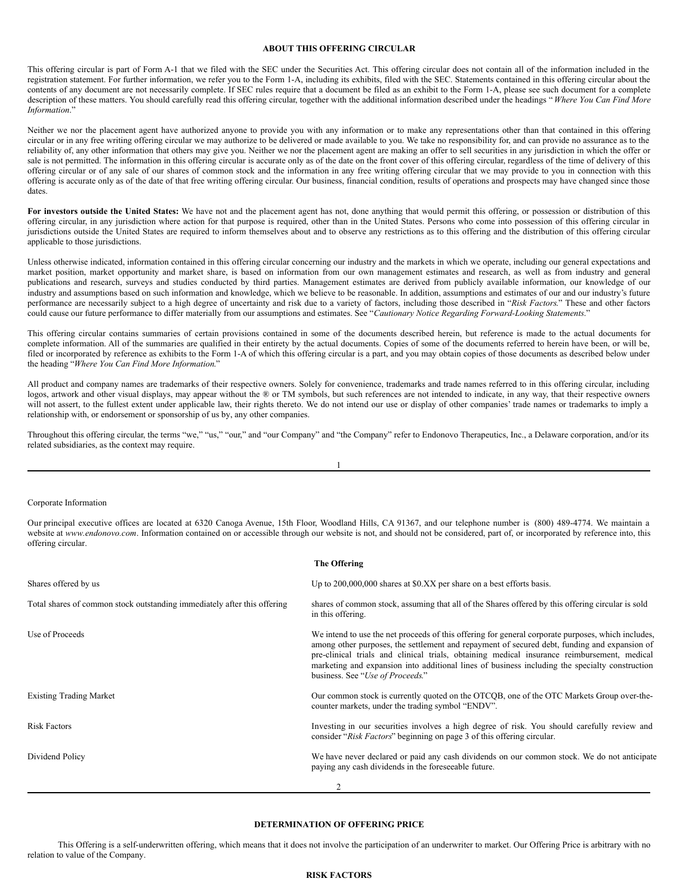# **ABOUT THIS OFFERING CIRCULAR**

This offering circular is part of Form A-1 that we filed with the SEC under the Securities Act. This offering circular does not contain all of the information included in the registration statement. For further information, we refer you to the Form 1-A, including its exhibits, filed with the SEC. Statements contained in this offering circular about the contents of any document are not necessarily complete. If SEC rules require that a document be filed as an exhibit to the Form 1-A, please see such document for a complete description of these matters. You should carefully read this offering circular, together with the additional information described under the headings " *Where You Can Find More Information*."

Neither we nor the placement agent have authorized anyone to provide you with any information or to make any representations other than that contained in this offering circular or in any free writing offering circular we may authorize to be delivered or made available to you. We take no responsibility for, and can provide no assurance as to the reliability of, any other information that others may give you. Neither we nor the placement agent are making an offer to sell securities in any jurisdiction in which the offer or sale is not permitted. The information in this offering circular is accurate only as of the date on the front cover of this offering circular, regardless of the time of delivery of this offering circular or of any sale of our shares of common stock and the information in any free writing offering circular that we may provide to you in connection with this offering is accurate only as of the date of that free writing offering circular. Our business, financial condition, results of operations and prospects may have changed since those dates.

**For investors outside the United States:** We have not and the placement agent has not, done anything that would permit this offering, or possession or distribution of this offering circular, in any jurisdiction where action for that purpose is required, other than in the United States. Persons who come into possession of this offering circular in jurisdictions outside the United States are required to inform themselves about and to observe any restrictions as to this offering and the distribution of this offering circular applicable to those jurisdictions.

Unless otherwise indicated, information contained in this offering circular concerning our industry and the markets in which we operate, including our general expectations and market position, market opportunity and market share, is based on information from our own management estimates and research, as well as from industry and general publications and research, surveys and studies conducted by third parties. Management estimates are derived from publicly available information, our knowledge of our industry and assumptions based on such information and knowledge, which we believe to be reasonable. In addition, assumptions and estimates of our and our industry's future performance are necessarily subject to a high degree of uncertainty and risk due to a variety of factors, including those described in "*Risk Factors*." These and other factors could cause our future performance to differ materially from our assumptions and estimates. See "*Cautionary Notice Regarding Forward-Looking Statements*."

This offering circular contains summaries of certain provisions contained in some of the documents described herein, but reference is made to the actual documents for complete information. All of the summaries are qualified in their entirety by the actual documents. Copies of some of the documents referred to herein have been, or will be, filed or incorporated by reference as exhibits to the Form 1-A of which this offering circular is a part, and you may obtain copies of those documents as described below under the heading "*Where You Can Find More Information*."

All product and company names are trademarks of their respective owners. Solely for convenience, trademarks and trade names referred to in this offering circular, including logos, artwork and other visual displays, may appear without the ® or TM symbols, but such references are not intended to indicate, in any way, that their respective owners will not assert, to the fullest extent under applicable law, their rights thereto. We do not intend our use or display of other companies' trade names or trademarks to imply a relationship with, or endorsement or sponsorship of us by, any other companies.

Throughout this offering circular, the terms "we," "us," "our," and "our Company" and "the Company" refer to Endonovo Therapeutics, Inc., a Delaware corporation, and/or its related subsidiaries, as the context may require.

## Corporate Information

Our principal executive offices are located at 6320 Canoga Avenue, 15th Floor, Woodland Hills, CA 91367, and our telephone number is (800) 489-4774. We maintain a website at www.endonovo.com. Information contained on or accessible through our website is not, and should not be considered, part of, or incorporated by reference into, this offering circular.

**The Offering**

|                                                                          | THE OTIETHIS                                                                                                                                                                                                                                                                                                                                                                                                                            |
|--------------------------------------------------------------------------|-----------------------------------------------------------------------------------------------------------------------------------------------------------------------------------------------------------------------------------------------------------------------------------------------------------------------------------------------------------------------------------------------------------------------------------------|
| Shares offered by us                                                     | Up to 200,000,000 shares at \$0.XX per share on a best efforts basis.                                                                                                                                                                                                                                                                                                                                                                   |
| Total shares of common stock outstanding immediately after this offering | shares of common stock, assuming that all of the Shares offered by this offering circular is sold<br>in this offering.                                                                                                                                                                                                                                                                                                                  |
| Use of Proceeds                                                          | We intend to use the net proceeds of this offering for general corporate purposes, which includes,<br>among other purposes, the settlement and repayment of secured debt, funding and expansion of<br>pre-clinical trials and clinical trials, obtaining medical insurance reimbursement, medical<br>marketing and expansion into additional lines of business including the specialty construction<br>business. See "Use of Proceeds." |
| <b>Existing Trading Market</b>                                           | Our common stock is currently quoted on the OTCQB, one of the OTC Markets Group over-the-<br>counter markets, under the trading symbol "ENDV".                                                                                                                                                                                                                                                                                          |
| <b>Risk Factors</b>                                                      | Investing in our securities involves a high degree of risk. You should carefully review and<br>consider "Risk Factors" beginning on page 3 of this offering circular.                                                                                                                                                                                                                                                                   |
| Dividend Policy                                                          | We have never declared or paid any cash dividends on our common stock. We do not anticipate<br>paying any cash dividends in the foreseeable future.                                                                                                                                                                                                                                                                                     |
|                                                                          |                                                                                                                                                                                                                                                                                                                                                                                                                                         |

# **DETERMINATION OF OFFERING PRICE**

This Offering is a self-underwritten offering, which means that it does not involve the participation of an underwriter to market. Our Offering Price is arbitrary with no relation to value of the Company.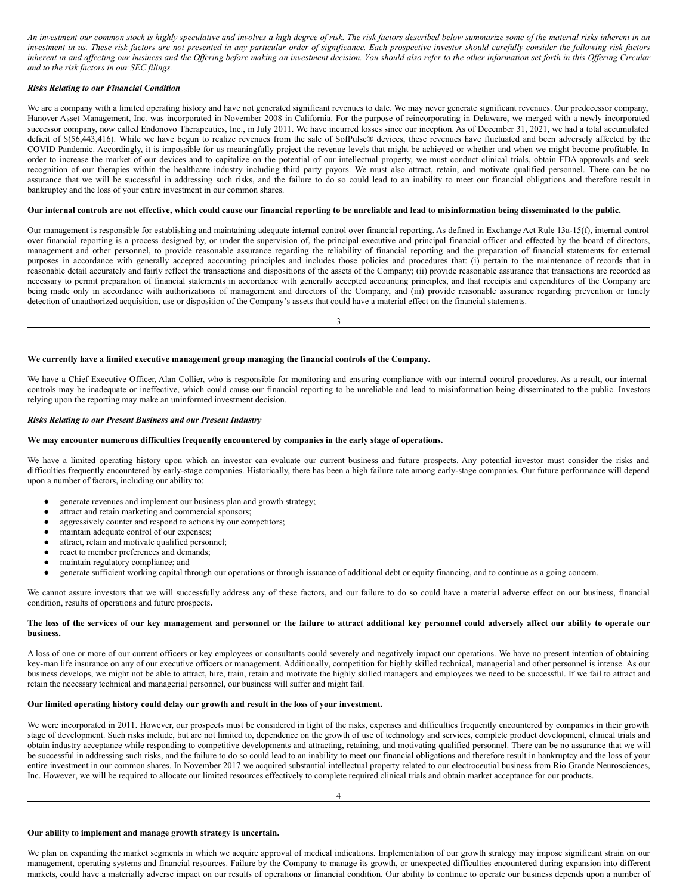An investment our common stock is highly speculative and involves a high degree of risk. The risk factors described below summarize some of the material risks inherent in an investment in us. These risk factors are not presented in any particular order of significance. Each prospective investor should carefully consider the following risk factors inherent in and affecting our business and the Offering before making an investment decision. You should also refer to the other information set forth in this Offering Circular *and to the risk factors in our SEC filings.*

## *Risks Relating to our Financial Condition*

We are a company with a limited operating history and have not generated significant revenues to date. We may never generate significant revenues. Our predecessor company, Hanover Asset Management, Inc. was incorporated in November 2008 in California. For the purpose of reincorporating in Delaware, we merged with a newly incorporated successor company, now called Endonovo Therapeutics, Inc., in July 2011. We have incurred losses since our inception. As of December 31, 2021, we had a total accumulated deficit of \$(56,443,416). While we have begun to realize revenues from the sale of SofPulse® devices, these revenues have fluctuated and been adversely affected by the COVID Pandemic. Accordingly, it is impossible for us meaningfully project the revenue levels that might be achieved or whether and when we might become profitable. In order to increase the market of our devices and to capitalize on the potential of our intellectual property, we must conduct clinical trials, obtain FDA approvals and seek recognition of our therapies within the healthcare industry including third party payors. We must also attract, retain, and motivate qualified personnel. There can be no assurance that we will be successful in addressing such risks, and the failure to do so could lead to an inability to meet our financial obligations and therefore result in bankruptcy and the loss of your entire investment in our common shares.

# Our internal controls are not effective, which could cause our financial reporting to be unreliable and lead to misinformation being disseminated to the public.

Our management is responsible for establishing and maintaining adequate internal control over financial reporting. As defined in Exchange Act Rule 13a-15(f), internal control over financial reporting is a process designed by, or under the supervision of, the principal executive and principal financial officer and effected by the board of directors, management and other personnel, to provide reasonable assurance regarding the reliability of financial reporting and the preparation of financial statements for external purposes in accordance with generally accepted accounting principles and includes those policies and procedures that: (i) pertain to the maintenance of records that in reasonable detail accurately and fairly reflect the transactions and dispositions of the assets of the Company; (ii) provide reasonable assurance that transactions are recorded as necessary to permit preparation of financial statements in accordance with generally accepted accounting principles, and that receipts and expenditures of the Company are being made only in accordance with authorizations of management and directors of the Company, and (iii) provide reasonable assurance regarding prevention or timely detection of unauthorized acquisition, use or disposition of the Company's assets that could have a material effect on the financial statements.

3

#### **We currently have a limited executive management group managing the financial controls of the Company.**

We have a Chief Executive Officer, Alan Collier, who is responsible for monitoring and ensuring compliance with our internal control procedures. As a result, our internal controls may be inadequate or ineffective, which could cause our financial reporting to be unreliable and lead to misinformation being disseminated to the public. Investors relying upon the reporting may make an uninformed investment decision.

# *Risks Relating to our Present Business and our Present Industry*

# **We may encounter numerous difficulties frequently encountered by companies in the early stage of operations.**

We have a limited operating history upon which an investor can evaluate our current business and future prospects. Any potential investor must consider the risks and difficulties frequently encountered by early-stage companies. Historically, there has been a high failure rate among early-stage companies. Our future performance will depend upon a number of factors, including our ability to:

- generate revenues and implement our business plan and growth strategy;
- attract and retain marketing and commercial sponsors;
- aggressively counter and respond to actions by our competitors;
- maintain adequate control of our expenses;
- attract, retain and motivate qualified personnel;
- react to member preferences and demands;
- maintain regulatory compliance; and
- generate sufficient working capital through our operations or through issuance of additional debt or equity financing, and to continue as a going concern.

We cannot assure investors that we will successfully address any of these factors, and our failure to do so could have a material adverse effect on our business, financial condition, results of operations and future prospects**.**

# The loss of the services of our key management and personnel or the failure to attract additional key personnel could adversely affect our ability to operate our **business.**

A loss of one or more of our current officers or key employees or consultants could severely and negatively impact our operations. We have no present intention of obtaining key-man life insurance on any of our executive officers or management. Additionally, competition for highly skilled technical, managerial and other personnel is intense. As our business develops, we might not be able to attract, hire, train, retain and motivate the highly skilled managers and employees we need to be successful. If we fail to attract and retain the necessary technical and managerial personnel, our business will suffer and might fail.

#### **Our limited operating history could delay our growth and result in the loss of your investment.**

We were incorporated in 2011. However, our prospects must be considered in light of the risks, expenses and difficulties frequently encountered by companies in their growth stage of development. Such risks include, but are not limited to, dependence on the growth of use of technology and services, complete product development, clinical trials and obtain industry acceptance while responding to competitive developments and attracting, retaining, and motivating qualified personnel. There can be no assurance that we will be successful in addressing such risks, and the failure to do so could lead to an inability to meet our financial obligations and therefore result in bankruptcy and the loss of your entire investment in our common shares. In November 2017 we acquired substantial intellectual property related to our electroceutial business from Rio Grande Neurosciences, Inc. However, we will be required to allocate our limited resources effectively to complete required clinical trials and obtain market acceptance for our products.

# **Our ability to implement and manage growth strategy is uncertain.**

We plan on expanding the market segments in which we acquire approval of medical indications. Implementation of our growth strategy may impose significant strain on our management, operating systems and financial resources. Failure by the Company to manage its growth, or unexpected difficulties encountered during expansion into different markets, could have a materially adverse impact on our results of operations or financial condition. Our ability to continue to operate our business depends upon a number of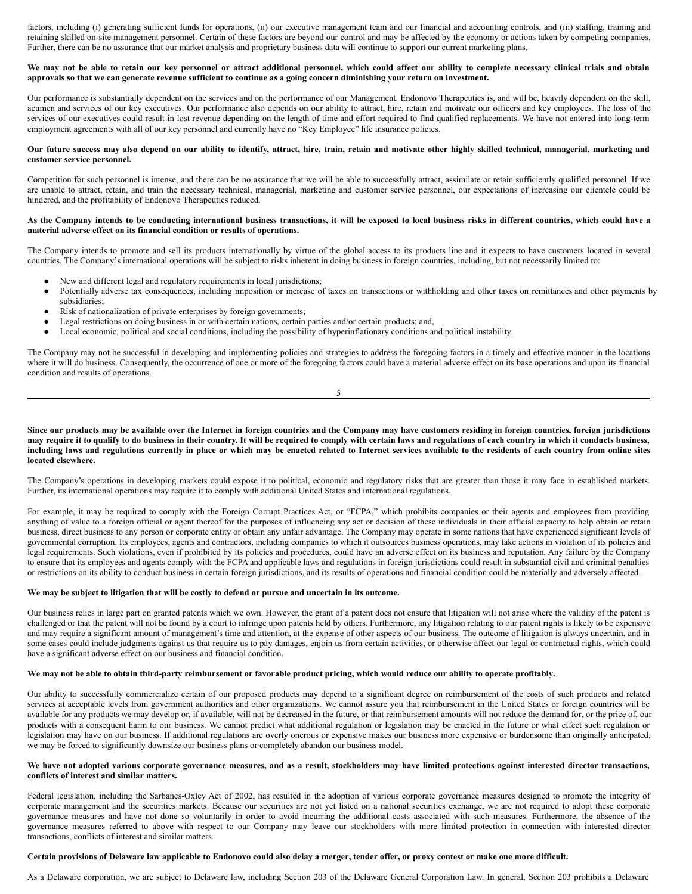factors, including (i) generating sufficient funds for operations, (ii) our executive management team and our financial and accounting controls, and (iii) staffing, training and retaining skilled on-site management personnel. Certain of these factors are beyond our control and may be affected by the economy or actions taken by competing companies. Further, there can be no assurance that our market analysis and proprietary business data will continue to support our current marketing plans.

# We may not be able to retain our key personnel or attract additional personnel, which could affect our ability to complete necessary clinical trials and obtain approvals so that we can generate revenue sufficient to continue as a going concern diminishing your return on investment.

Our performance is substantially dependent on the services and on the performance of our Management. Endonovo Therapeutics is, and will be, heavily dependent on the skill, acumen and services of our key executives. Our performance also depends on our ability to attract, hire, retain and motivate our officers and key employees. The loss of the services of our executives could result in lost revenue depending on the length of time and effort required to find qualified replacements. We have not entered into long-term employment agreements with all of our key personnel and currently have no "Key Employee" life insurance policies.

# Our future success may also depend on our ability to identify, attract, hire, train, retain and motivate other highly skilled technical, managerial, marketing and **customer service personnel.**

Competition for such personnel is intense, and there can be no assurance that we will be able to successfully attract, assimilate or retain sufficiently qualified personnel. If we are unable to attract, retain, and train the necessary technical, managerial, marketing and customer service personnel, our expectations of increasing our clientele could be hindered, and the profitability of Endonovo Therapeutics reduced.

# As the Company intends to be conducting international business transactions, it will be exposed to local business risks in different countries, which could have a **material adverse effect on its financial condition or results of operations.**

The Company intends to promote and sell its products internationally by virtue of the global access to its products line and it expects to have customers located in several countries. The Company's international operations will be subject to risks inherent in doing business in foreign countries, including, but not necessarily limited to:

- New and different legal and regulatory requirements in local jurisdictions;
- Potentially adverse tax consequences, including imposition or increase of taxes on transactions or withholding and other taxes on remittances and other payments by subsidiaries;
- Risk of nationalization of private enterprises by foreign governments;
- Legal restrictions on doing business in or with certain nations, certain parties and/or certain products; and,
- Local economic, political and social conditions, including the possibility of hyperinflationary conditions and political instability.

The Company may not be successful in developing and implementing policies and strategies to address the foregoing factors in a timely and effective manner in the locations where it will do business. Consequently, the occurrence of one or more of the foregoing factors could have a material adverse effect on its base operations and upon its financial condition and results of operations.

| I<br>I<br>$\sim$ |  |
|------------------|--|

Since our products may be available over the Internet in foreign countries and the Company may have customers residing in foreign countries, foreign jurisdictions may require it to qualify to do business in their country. It will be required to comply with certain laws and regulations of each country in which it conducts business, including laws and regulations currently in place or which may be enacted related to Internet services available to the residents of each country from online sites **located elsewhere.**

The Company's operations in developing markets could expose it to political, economic and regulatory risks that are greater than those it may face in established markets. Further, its international operations may require it to comply with additional United States and international regulations.

For example, it may be required to comply with the Foreign Corrupt Practices Act, or "FCPA," which prohibits companies or their agents and employees from providing anything of value to a foreign official or agent thereof for the purposes of influencing any act or decision of these individuals in their official capacity to help obtain or retain business, direct business to any person or corporate entity or obtain any unfair advantage. The Company may operate in some nations that have experienced significant levels of governmental corruption. Its employees, agents and contractors, including companies to which it outsources business operations, may take actions in violation of its policies and legal requirements. Such violations, even if prohibited by its policies and procedures, could have an adverse effect on its business and reputation. Any failure by the Company to ensure that its employees and agents comply with the FCPA and applicable laws and regulations in foreign jurisdictions could result in substantial civil and criminal penalties or restrictions on its ability to conduct business in certain foreign jurisdictions, and its results of operations and financial condition could be materially and adversely affected.

# We may be subject to litigation that will be costly to defend or pursue and uncertain in its outcome.

Our business relies in large part on granted patents which we own. However, the grant of a patent does not ensure that litigation will not arise where the validity of the patent is challenged or that the patent will not be found by a court to infringe upon patents held by others. Furthermore, any litigation relating to our patent rights is likely to be expensive and may require a significant amount of management's time and attention, at the expense of other aspects of our business. The outcome of litigation is always uncertain, and in some cases could include judgments against us that require us to pay damages, enjoin us from certain activities, or otherwise affect our legal or contractual rights, which could have a significant adverse effect on our business and financial condition.

#### We may not be able to obtain third-party reimbursement or favorable product pricing, which would reduce our ability to operate profitably.

Our ability to successfully commercialize certain of our proposed products may depend to a significant degree on reimbursement of the costs of such products and related services at acceptable levels from government authorities and other organizations. We cannot assure you that reimbursement in the United States or foreign countries will be available for any products we may develop or, if available, will not be decreased in the future, or that reimbursement amounts will not reduce the demand for, or the price of, our products with a consequent harm to our business. We cannot predict what additional regulation or legislation may be enacted in the future or what effect such regulation or legislation may have on our business. If additional regulations are overly onerous or expensive makes our business more expensive or burdensome than originally anticipated, we may be forced to significantly downsize our business plans or completely abandon our business model.

# We have not adopted various corporate governance measures, and as a result, stockholders may have limited protections against interested director transactions, **conflicts of interest and similar matters.**

Federal legislation, including the Sarbanes-Oxley Act of 2002, has resulted in the adoption of various corporate governance measures designed to promote the integrity of corporate management and the securities markets. Because our securities are not yet listed on a national securities exchange, we are not required to adopt these corporate governance measures and have not done so voluntarily in order to avoid incurring the additional costs associated with such measures. Furthermore, the absence of the governance measures referred to above with respect to our Company may leave our stockholders with more limited protection in connection with interested director transactions, conflicts of interest and similar matters.

## Certain provisions of Delaware law applicable to Endonovo could also delay a merger, tender offer, or proxy contest or make one more difficult.

As a Delaware corporation, we are subject to Delaware law, including Section 203 of the Delaware General Corporation Law. In general, Section 203 prohibits a Delaware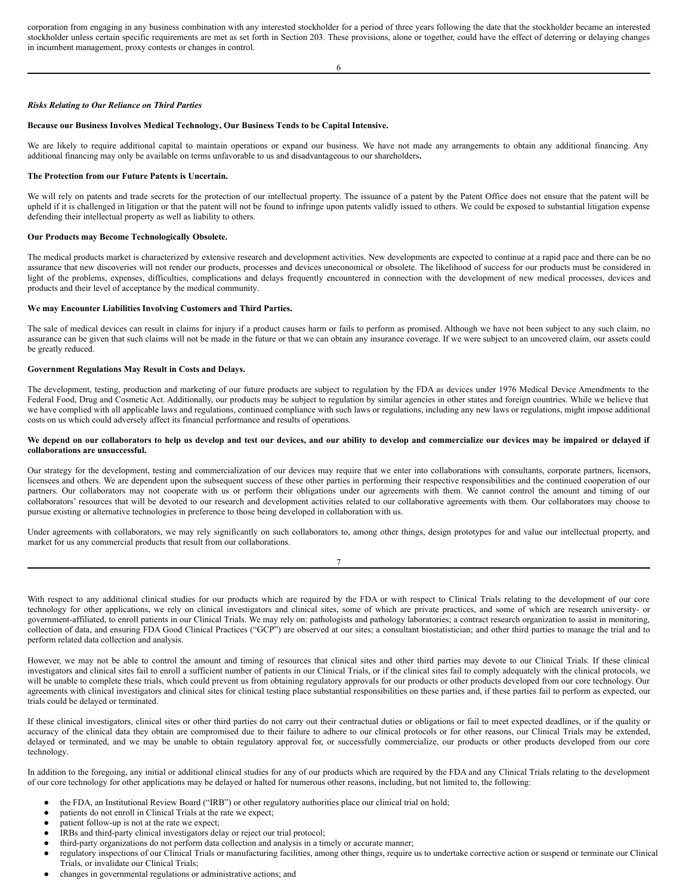corporation from engaging in any business combination with any interested stockholder for a period of three years following the date that the stockholder became an interested stockholder unless certain specific requirements are met as set forth in Section 203. These provisions, alone or together, could have the effect of deterring or delaying changes in incumbent management, proxy contests or changes in control.

6

# *Risks Relating to Our Reliance on Third Parties*

# **Because our Business Involves Medical Technology, Our Business Tends to be Capital Intensive.**

We are likely to require additional capital to maintain operations or expand our business. We have not made any arrangements to obtain any additional financing. Any additional financing may only be available on terms unfavorable to us and disadvantageous to our shareholders**.**

# **The Protection from our Future Patents is Uncertain.**

We will rely on patents and trade secrets for the protection of our intellectual property. The issuance of a patent by the Patent Office does not ensure that the patent will be upheld if it is challenged in litigation or that the patent will not be found to infringe upon patents validly issued to others. We could be exposed to substantial litigation expense defending their intellectual property as well as liability to others.

# **Our Products may Become Technologically Obsolete.**

The medical products market is characterized by extensive research and development activities. New developments are expected to continue at a rapid pace and there can be no assurance that new discoveries will not render our products, processes and devices uneconomical or obsolete. The likelihood of success for our products must be considered in light of the problems, expenses, difficulties, complications and delays frequently encountered in connection with the development of new medical processes, devices and products and their level of acceptance by the medical community.

# **We may Encounter Liabilities Involving Customers and Third Parties.**

The sale of medical devices can result in claims for injury if a product causes harm or fails to perform as promised. Although we have not been subject to any such claim, no assurance can be given that such claims will not be made in the future or that we can obtain any insurance coverage. If we were subject to an uncovered claim, our assets could be greatly reduced.

# **Government Regulations May Result in Costs and Delays.**

The development, testing, production and marketing of our future products are subject to regulation by the FDA as devices under 1976 Medical Device Amendments to the Federal Food, Drug and Cosmetic Act. Additionally, our products may be subject to regulation by similar agencies in other states and foreign countries. While we believe that we have complied with all applicable laws and regulations, continued compliance with such laws or regulations, including any new laws or regulations, might impose additional costs on us which could adversely affect its financial performance and results of operations.

# We depend on our collaborators to help us develop and test our devices, and our ability to develop and commercialize our devices may be impaired or delayed if **collaborations are unsuccessful.**

Our strategy for the development, testing and commercialization of our devices may require that we enter into collaborations with consultants, corporate partners, licensors, licensees and others. We are dependent upon the subsequent success of these other parties in performing their respective responsibilities and the continued cooperation of our partners. Our collaborators may not cooperate with us or perform their obligations under our agreements with them. We cannot control the amount and timing of our collaborators' resources that will be devoted to our research and development activities related to our collaborative agreements with them. Our collaborators may choose to pursue existing or alternative technologies in preference to those being developed in collaboration with us.

Under agreements with collaborators, we may rely significantly on such collaborators to, among other things, design prototypes for and value our intellectual property, and market for us any commercial products that result from our collaborations.

|--|

With respect to any additional clinical studies for our products which are required by the FDA or with respect to Clinical Trials relating to the development of our core technology for other applications, we rely on clinical investigators and clinical sites, some of which are private practices, and some of which are research university- or government-affiliated, to enroll patients in our Clinical Trials. We may rely on: pathologists and pathology laboratories; a contract research organization to assist in monitoring, collection of data, and ensuring FDA Good Clinical Practices ("GCP") are observed at our sites; a consultant biostatistician; and other third parties to manage the trial and to perform related data collection and analysis.

However, we may not be able to control the amount and timing of resources that clinical sites and other third parties may devote to our Clinical Trials. If these clinical investigators and clinical sites fail to enroll a sufficient number of patients in our Clinical Trials, or if the clinical sites fail to comply adequately with the clinical protocols, we will be unable to complete these trials, which could prevent us from obtaining regulatory approvals for our products or other products developed from our core technology. Our agreements with clinical investigators and clinical sites for clinical testing place substantial responsibilities on these parties and, if these parties fail to perform as expected, our trials could be delayed or terminated.

If these clinical investigators, clinical sites or other third parties do not carry out their contractual duties or obligations or fail to meet expected deadlines, or if the quality or accuracy of the clinical data they obtain are compromised due to their failure to adhere to our clinical protocols or for other reasons, our Clinical Trials may be extended, delayed or terminated, and we may be unable to obtain regulatory approval for, or successfully commercialize, our products or other products developed from our core technology.

In addition to the foregoing, any initial or additional clinical studies for any of our products which are required by the FDA and any Clinical Trials relating to the development of our core technology for other applications may be delayed or halted for numerous other reasons, including, but not limited to, the following:

- the FDA, an Institutional Review Board ("IRB") or other regulatory authorities place our clinical trial on hold;
- patients do not enroll in Clinical Trials at the rate we expect;
- patient follow-up is not at the rate we expect;
- IRBs and third-party clinical investigators delay or reject our trial protocol;
- third-party organizations do not perform data collection and analysis in a timely or accurate manner;
- regulatory inspections of our Clinical Trials or manufacturing facilities, among other things, require us to undertake corrective action or suspend or terminate our Clinical Trials, or invalidate our Clinical Trials;
- changes in governmental regulations or administrative actions; and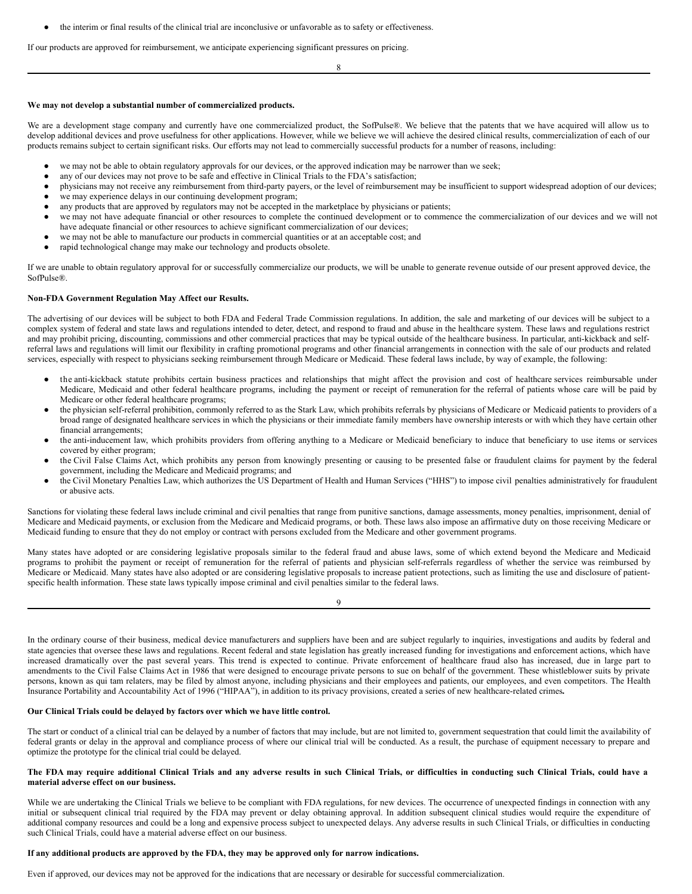the interim or final results of the clinical trial are inconclusive or unfavorable as to safety or effectiveness.

If our products are approved for reimbursement, we anticipate experiencing significant pressures on pricing.

#### **We may not develop a substantial number of commercialized products.**

We are a development stage company and currently have one commercialized product, the SofPulse®. We believe that the patents that we have acquired will allow us to develop additional devices and prove usefulness for other applications. However, while we believe we will achieve the desired clinical results, commercialization of each of our products remains subject to certain significant risks. Our efforts may not lead to commercially successful products for a number of reasons, including:

8

- we may not be able to obtain regulatory approvals for our devices, or the approved indication may be narrower than we seek;
- any of our devices may not prove to be safe and effective in Clinical Trials to the FDA's satisfaction;
- physicians may not receive any reimbursement from third-party payers, or the level of reimbursement may be insufficient to support widespread adoption of our devices;
- we may experience delays in our continuing development program;
- any products that are approved by regulators may not be accepted in the marketplace by physicians or patients;
- we may not have adequate financial or other resources to complete the continued development or to commence the commercialization of our devices and we will not have adequate financial or other resources to achieve significant commercialization of our devices;
- we may not be able to manufacture our products in commercial quantities or at an acceptable cost; and
- rapid technological change may make our technology and products obsolete.

If we are unable to obtain regulatory approval for or successfully commercialize our products, we will be unable to generate revenue outside of our present approved device, the SofPulse®.

# **Non-FDA Government Regulation May Affect our Results.**

The advertising of our devices will be subject to both FDA and Federal Trade Commission regulations. In addition, the sale and marketing of our devices will be subject to a complex system of federal and state laws and regulations intended to deter, detect, and respond to fraud and abuse in the healthcare system. These laws and regulations restrict and may prohibit pricing, discounting, commissions and other commercial practices that may be typical outside of the healthcare business. In particular, anti-kickback and selfreferral laws and regulations will limit our flexibility in crafting promotional programs and other financial arrangements in connection with the sale of our products and related services, especially with respect to physicians seeking reimbursement through Medicare or Medicaid. These federal laws include, by way of example, the following:

- the anti-kickback statute prohibits certain business practices and relationships that might affect the provision and cost of healthcare services reimbursable under Medicare, Medicaid and other federal healthcare programs, including the payment or receipt of remuneration for the referral of patients whose care will be paid by Medicare or other federal healthcare programs;
- the physician self-referral prohibition, commonly referred to as the Stark Law, which prohibits referrals by physicians of Medicare or Medicaid patients to providers of a broad range of designated healthcare services in which the physicians or their immediate family members have ownership interests or with which they have certain other financial arrangements;
- the anti-inducement law, which prohibits providers from offering anything to a Medicare or Medicaid beneficiary to induce that beneficiary to use items or services covered by either program;
- the Civil False Claims Act, which prohibits any person from knowingly presenting or causing to be presented false or fraudulent claims for payment by the federal government, including the Medicare and Medicaid programs; and
- the Civil Monetary Penalties Law, which authorizes the US Department of Health and Human Services ("HHS") to impose civil penalties administratively for fraudulent or abusive acts.

Sanctions for violating these federal laws include criminal and civil penalties that range from punitive sanctions, damage assessments, money penalties, imprisonment, denial of Medicare and Medicaid payments, or exclusion from the Medicare and Medicaid programs, or both. These laws also impose an affirmative duty on those receiving Medicare or Medicaid funding to ensure that they do not employ or contract with persons excluded from the Medicare and other government programs.

Many states have adopted or are considering legislative proposals similar to the federal fraud and abuse laws, some of which extend beyond the Medicare and Medicaid programs to prohibit the payment or receipt of remuneration for the referral of patients and physician self-referrals regardless of whether the service was reimbursed by Medicare or Medicaid. Many states have also adopted or are considering legislative proposals to increase patient protections, such as limiting the use and disclosure of patientspecific health information. These state laws typically impose criminal and civil penalties similar to the federal laws.

| I<br>I<br>ł<br>۰. |
|-------------------|
| ۰,                |

In the ordinary course of their business, medical device manufacturers and suppliers have been and are subject regularly to inquiries, investigations and audits by federal and state agencies that oversee these laws and regulations. Recent federal and state legislation has greatly increased funding for investigations and enforcement actions, which have increased dramatically over the past several years. This trend is expected to continue. Private enforcement of healthcare fraud also has increased, due in large part to amendments to the Civil False Claims Act in 1986 that were designed to encourage private persons to sue on behalf of the government. These whistleblower suits by private persons, known as qui tam relaters, may be filed by almost anyone, including physicians and their employees and patients, our employees, and even competitors. The Health Insurance Portability and Accountability Act of 1996 ("HIPAA"), in addition to its privacy provisions, created a series of new healthcare-related crimes**.**

#### **Our Clinical Trials could be delayed by factors over which we have little control.**

The start or conduct of a clinical trial can be delayed by a number of factors that may include, but are not limited to, government sequestration that could limit the availability of federal grants or delay in the approval and compliance process of where our clinical trial will be conducted. As a result, the purchase of equipment necessary to prepare and optimize the prototype for the clinical trial could be delayed.

# The FDA may require additional Clinical Trials and any adverse results in such Clinical Trials, or difficulties in conducting such Clinical Trials, could have a **material adverse effect on our business.**

While we are undertaking the Clinical Trials we believe to be compliant with FDA regulations, for new devices. The occurrence of unexpected findings in connection with any initial or subsequent clinical trial required by the FDA may prevent or delay obtaining approval. In addition subsequent clinical studies would require the expenditure of additional company resources and could be a long and expensive process subject to unexpected delays. Any adverse results in such Clinical Trials, or difficulties in conducting such Clinical Trials, could have a material adverse effect on our business.

## **If any additional products are approved by the FDA, they may be approved only for narrow indications.**

Even if approved, our devices may not be approved for the indications that are necessary or desirable for successful commercialization.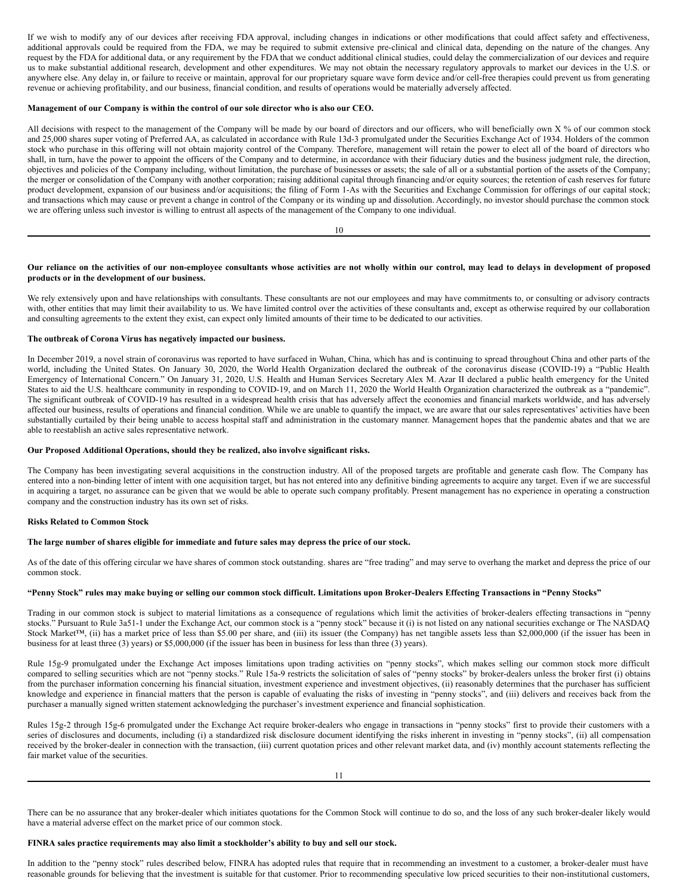If we wish to modify any of our devices after receiving FDA approval, including changes in indications or other modifications that could affect safety and effectiveness, additional approvals could be required from the FDA, we may be required to submit extensive pre-clinical and clinical data, depending on the nature of the changes. Any request by the FDA for additional data, or any requirement by the FDA that we conduct additional clinical studies, could delay the commercialization of our devices and require us to make substantial additional research, development and other expenditures. We may not obtain the necessary regulatory approvals to market our devices in the U.S. or anywhere else. Any delay in, or failure to receive or maintain, approval for our proprietary square wave form device and/or cell-free therapies could prevent us from generating revenue or achieving profitability, and our business, financial condition, and results of operations would be materially adversely affected.

## **Management of our Company is within the control of our sole director who is also our CEO.**

All decisions with respect to the management of the Company will be made by our board of directors and our officers, who will beneficially own X % of our common stock and 25,000 shares super voting of Preferred AA, as calculated in accordance with Rule 13d-3 promulgated under the Securities Exchange Act of 1934. Holders of the common stock who purchase in this offering will not obtain majority control of the Company. Therefore, management will retain the power to elect all of the board of directors who shall, in turn, have the power to appoint the officers of the Company and to determine, in accordance with their fiduciary duties and the business judgment rule, the direction, objectives and policies of the Company including, without limitation, the purchase of businesses or assets; the sale of all or a substantial portion of the assets of the Company; the merger or consolidation of the Company with another corporation; raising additional capital through financing and/or equity sources; the retention of cash reserves for future product development, expansion of our business and/or acquisitions; the filing of Form 1-As with the Securities and Exchange Commission for offerings of our capital stock; and transactions which may cause or prevent a change in control of the Company or its winding up and dissolution. Accordingly, no investor should purchase the common stock we are offering unless such investor is willing to entrust all aspects of the management of the Company to one individual.

#### 10

# Our reliance on the activities of our non-employee consultants whose activities are not wholly within our control, may lead to delays in development of proposed **products or in the development of our business.**

We rely extensively upon and have relationships with consultants. These consultants are not our employees and may have commitments to, or consulting or advisory contracts with, other entities that may limit their availability to us. We have limited control over the activities of these consultants and, except as otherwise required by our collaboration and consulting agreements to the extent they exist, can expect only limited amounts of their time to be dedicated to our activities.

#### **The outbreak of Corona Virus has negatively impacted our business.**

In December 2019, a novel strain of coronavirus was reported to have surfaced in Wuhan, China, which has and is continuing to spread throughout China and other parts of the world, including the United States. On January 30, 2020, the World Health Organization declared the outbreak of the coronavirus disease (COVID-19) a "Public Health Emergency of International Concern." On January 31, 2020, U.S. Health and Human Services Secretary Alex M. Azar II declared a public health emergency for the United States to aid the U.S. healthcare community in responding to COVID-19, and on March 11, 2020 the World Health Organization characterized the outbreak as a "pandemic". The significant outbreak of COVID-19 has resulted in a widespread health crisis that has adversely affect the economies and financial markets worldwide, and has adversely affected our business, results of operations and financial condition. While we are unable to quantify the impact, we are aware that our sales representatives' activities have been substantially curtailed by their being unable to access hospital staff and administration in the customary manner. Management hopes that the pandemic abates and that we are able to reestablish an active sales representative network.

# **Our Proposed Additional Operations, should they be realized, also involve significant risks.**

The Company has been investigating several acquisitions in the construction industry. All of the proposed targets are profitable and generate cash flow. The Company has entered into a non-binding letter of intent with one acquisition target, but has not entered into any definitive binding agreements to acquire any target. Even if we are successful in acquiring a target, no assurance can be given that we would be able to operate such company profitably. Present management has no experience in operating a construction company and the construction industry has its own set of risks.

# **Risks Related to Common Stock**

#### The large number of shares eligible for immediate and future sales may depress the price of our stock.

As of the date of this offering circular we have shares of common stock outstanding. shares are "free trading" and may serve to overhang the market and depress the price of our common stock.

# "Penny Stock" rules may make buying or selling our common stock difficult. Limitations upon Broker-Dealers Effecting Transactions in "Penny Stocks"

Trading in our common stock is subject to material limitations as a consequence of regulations which limit the activities of broker-dealers effecting transactions in "penny stocks." Pursuant to Rule 3a51-1 under the Exchange Act, our common stock is a "penny stock" because it (i) is not listed on any national securities exchange or The NASDAQ Stock Market™, (ii) has a market price of less than \$5.00 per share, and (iii) its issuer (the Company) has net tangible assets less than \$2,000,000 (if the issuer has been in business for at least three (3) years) or \$5,000,000 (if the issuer has been in business for less than three (3) years).

Rule 15g-9 promulgated under the Exchange Act imposes limitations upon trading activities on "penny stocks", which makes selling our common stock more difficult compared to selling securities which are not "penny stocks." Rule 15a-9 restricts the solicitation of sales of "penny stocks" by broker-dealers unless the broker first (i) obtains from the purchaser information concerning his financial situation, investment experience and investment objectives, (ii) reasonably determines that the purchaser has sufficient knowledge and experience in financial matters that the person is capable of evaluating the risks of investing in "penny stocks", and (iii) delivers and receives back from the purchaser a manually signed written statement acknowledging the purchaser's investment experience and financial sophistication.

Rules 15g-2 through 15g-6 promulgated under the Exchange Act require broker-dealers who engage in transactions in "penny stocks" first to provide their customers with a series of disclosures and documents, including (i) a standardized risk disclosure document identifying the risks inherent in investing in "penny stocks", (ii) all compensation received by the broker-dealer in connection with the transaction, (iii) current quotation prices and other relevant market data, and (iv) monthly account statements reflecting the fair market value of the securities.

There can be no assurance that any broker-dealer which initiates quotations for the Common Stock will continue to do so, and the loss of any such broker-dealer likely would have a material adverse effect on the market price of our common stock.

# **FINRA sales practice requirements may also limit a stockholder's ability to buy and sell our stock.**

In addition to the "penny stock" rules described below, FINRA has adopted rules that require that in recommending an investment to a customer, a broker-dealer must have reasonable grounds for believing that the investment is suitable for that customer. Prior to recommending speculative low priced securities to their non-institutional customers,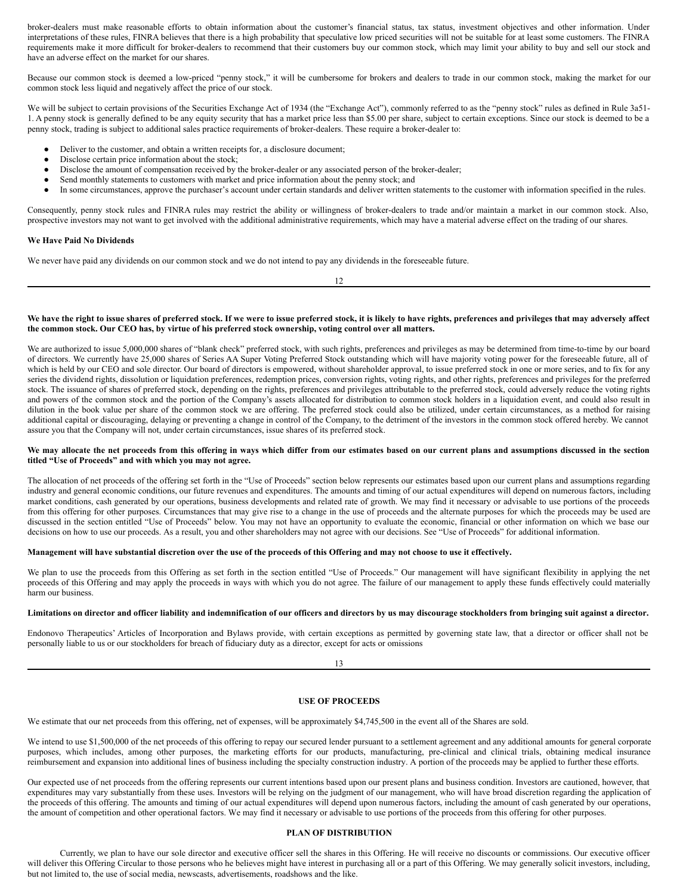broker-dealers must make reasonable efforts to obtain information about the customer's financial status, tax status, investment objectives and other information. Under interpretations of these rules, FINRA believes that there is a high probability that speculative low priced securities will not be suitable for at least some customers. The FINRA requirements make it more difficult for broker-dealers to recommend that their customers buy our common stock, which may limit your ability to buy and sell our stock and have an adverse effect on the market for our shares.

Because our common stock is deemed a low-priced "penny stock," it will be cumbersome for brokers and dealers to trade in our common stock, making the market for our common stock less liquid and negatively affect the price of our stock.

We will be subject to certain provisions of the Securities Exchange Act of 1934 (the "Exchange Act"), commonly referred to as the "penny stock" rules as defined in Rule 3a51-1. A penny stock is generally defined to be any equity security that has a market price less than \$5.00 per share, subject to certain exceptions. Since our stock is deemed to be a penny stock, trading is subject to additional sales practice requirements of broker-dealers. These require a broker-dealer to:

- Deliver to the customer, and obtain a written receipts for, a disclosure document;
- Disclose certain price information about the stock;
- Disclose the amount of compensation received by the broker-dealer or any associated person of the broker-dealer;
- Send monthly statements to customers with market and price information about the penny stock; and
- In some circumstances, approve the purchaser's account under certain standards and deliver written statements to the customer with information specified in the rules.

Consequently, penny stock rules and FINRA rules may restrict the ability or willingness of broker-dealers to trade and/or maintain a market in our common stock. Also, prospective investors may not want to get involved with the additional administrative requirements, which may have a material adverse effect on the trading of our shares.

# **We Have Paid No Dividends**

We never have paid any dividends on our common stock and we do not intend to pay any dividends in the foreseeable future.

12

# We have the right to issue shares of preferred stock. If we were to issue preferred stock, it is likely to have rights, preferences and privileges that may adversely affect the common stock. Our CEO has, by virtue of his preferred stock ownership, voting control over all matters.

We are authorized to issue 5,000,000 shares of "blank check" preferred stock, with such rights, preferences and privileges as may be determined from time-to-time by our board of directors. We currently have 25,000 shares of Series AA Super Voting Preferred Stock outstanding which will have majority voting power for the foreseeable future, all of which is held by our CEO and sole director. Our board of directors is empowered, without shareholder approval, to issue preferred stock in one or more series, and to fix for any series the dividend rights, dissolution or liquidation preferences, redemption prices, conversion rights, voting rights, and other rights, preferences and privileges for the preferred stock. The issuance of shares of preferred stock, depending on the rights, preferences and privileges attributable to the preferred stock, could adversely reduce the voting rights and powers of the common stock and the portion of the Company's assets allocated for distribution to common stock holders in a liquidation event, and could also result in dilution in the book value per share of the common stock we are offering. The preferred stock could also be utilized, under certain circumstances, as a method for raising additional capital or discouraging, delaying or preventing a change in control of the Company, to the detriment of the investors in the common stock offered hereby. We cannot assure you that the Company will not, under certain circumstances, issue shares of its preferred stock.

## We may allocate the net proceeds from this offering in ways which differ from our estimates based on our current plans and assumptions discussed in the section **titled "Use of Proceeds" and with which you may not agree.**

The allocation of net proceeds of the offering set forth in the "Use of Proceeds" section below represents our estimates based upon our current plans and assumptions regarding industry and general economic conditions, our future revenues and expenditures. The amounts and timing of our actual expenditures will depend on numerous factors, including market conditions, cash generated by our operations, business developments and related rate of growth. We may find it necessary or advisable to use portions of the proceeds from this offering for other purposes. Circumstances that may give rise to a change in the use of proceeds and the alternate purposes for which the proceeds may be used are discussed in the section entitled "Use of Proceeds" below. You may not have an opportunity to evaluate the economic, financial or other information on which we base our decisions on how to use our proceeds. As a result, you and other shareholders may not agree with our decisions. See "Use of Proceeds" for additional information.

# Management will have substantial discretion over the use of the proceeds of this Offering and may not choose to use it effectively.

We plan to use the proceeds from this Offering as set forth in the section entitled "Use of Proceeds." Our management will have significant flexibility in applying the net proceeds of this Offering and may apply the proceeds in ways with which you do not agree. The failure of our management to apply these funds effectively could materially harm our business.

# Limitations on director and officer liability and indemnification of our officers and directors by us may discourage stockholders from bringing suit against a director.

Endonovo Therapeutics' Articles of Incorporation and Bylaws provide, with certain exceptions as permitted by governing state law, that a director or officer shall not be personally liable to us or our stockholders for breach of fiduciary duty as a director, except for acts or omissions

13

# **USE OF PROCEEDS**

We estimate that our net proceeds from this offering, net of expenses, will be approximately \$4,745,500 in the event all of the Shares are sold.

We intend to use \$1,500,000 of the net proceeds of this offering to repay our secured lender pursuant to a settlement agreement and any additional amounts for general corporate purposes, which includes, among other purposes, the marketing efforts for our products, manufacturing, pre-clinical and clinical trials, obtaining medical insurance reimbursement and expansion into additional lines of business including the specialty construction industry. A portion of the proceeds may be applied to further these efforts.

Our expected use of net proceeds from the offering represents our current intentions based upon our present plans and business condition. Investors are cautioned, however, that expenditures may vary substantially from these uses. Investors will be relying on the judgment of our management, who will have broad discretion regarding the application of the proceeds of this offering. The amounts and timing of our actual expenditures will depend upon numerous factors, including the amount of cash generated by our operations, the amount of competition and other operational factors. We may find it necessary or advisable to use portions of the proceeds from this offering for other purposes.

# **PLAN OF DISTRIBUTION**

Currently, we plan to have our sole director and executive officer sell the shares in this Offering. He will receive no discounts or commissions. Our executive officer will deliver this Offering Circular to those persons who he believes might have interest in purchasing all or a part of this Offering. We may generally solicit investors, including, but not limited to, the use of social media, newscasts, advertisements, roadshows and the like.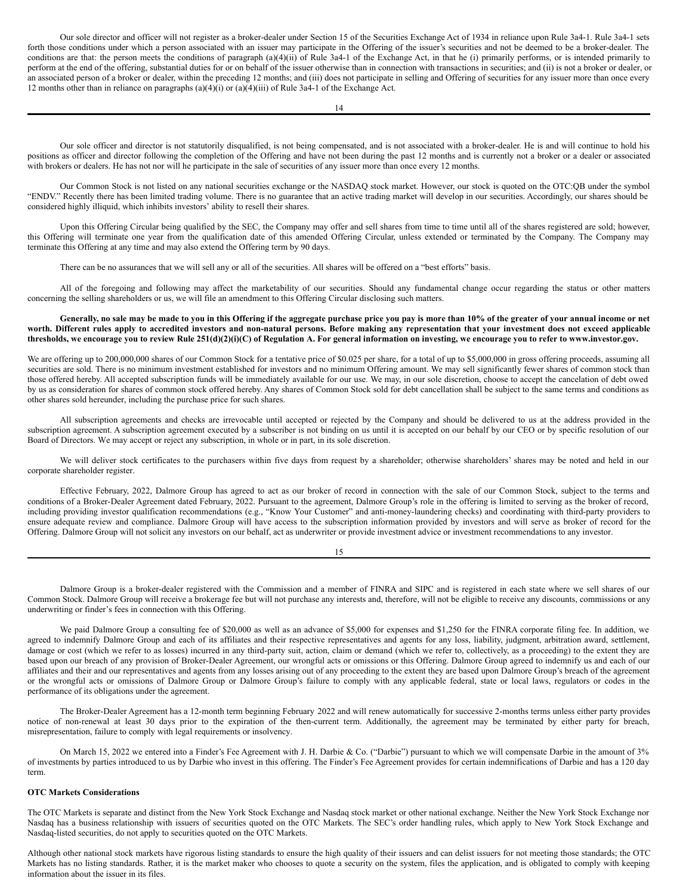Our sole director and officer will not register as a broker-dealer under Section 15 of the Securities Exchange Act of 1934 in reliance upon Rule 3a4-1. Rule 3a4-1 sets forth those conditions under which a person associated with an issuer may participate in the Offering of the issuer's securities and not be deemed to be a broker-dealer. The conditions are that: the person meets the conditions of paragraph (a)(4)(ii) of Rule 3a4-1 of the Exchange Act, in that he (i) primarily performs, or is intended primarily to perform at the end of the offering, substantial duties for or on behalf of the issuer otherwise than in connection with transactions in securities; and (ii) is not a broker or dealer, or an associated person of a broker or dealer, within the preceding 12 months; and (iii) does not participate in selling and Offering of securities for any issuer more than once every 12 months other than in reliance on paragraphs (a)(4)(i) or (a)(4)(iii) of Rule 3a4-1 of the Exchange Act.

#### 14

Our sole officer and director is not statutorily disqualified, is not being compensated, and is not associated with a broker-dealer. He is and will continue to hold his positions as officer and director following the completion of the Offering and have not been during the past 12 months and is currently not a broker or a dealer or associated with brokers or dealers. He has not nor will he participate in the sale of securities of any issuer more than once every 12 months.

Our Common Stock is not listed on any national securities exchange or the NASDAQ stock market. However, our stock is quoted on the OTC:QB under the symbol "ENDV." Recently there has been limited trading volume. There is no guarantee that an active trading market will develop in our securities. Accordingly, our shares should be considered highly illiquid, which inhibits investors' ability to resell their shares.

Upon this Offering Circular being qualified by the SEC, the Company may offer and sell shares from time to time until all of the shares registered are sold; however, this Offering will terminate one year from the qualification date of this amended Offering Circular, unless extended or terminated by the Company. The Company may terminate this Offering at any time and may also extend the Offering term by 90 days.

There can be no assurances that we will sell any or all of the securities. All shares will be offered on a "best efforts" basis.

All of the foregoing and following may affect the marketability of our securities. Should any fundamental change occur regarding the status or other matters concerning the selling shareholders or us, we will file an amendment to this Offering Circular disclosing such matters.

# Generally, no sale may be made to you in this Offering if the aggregate purchase price you pay is more than 10% of the greater of your annual income or net worth. Different rules apply to accredited investors and non-natural persons. Before making any representation that your investment does not exceed applicable thresholds, we encourage you to review Rule 251(d)(2)(i)(C) of Regulation A. For general information on investing, we encourage you to refer to www.investor.gov.

We are offering up to 200,000,000 shares of our Common Stock for a tentative price of \$0.025 per share, for a total of up to \$5,000,000 in gross offering proceeds, assuming all securities are sold. There is no minimum investment established for investors and no minimum Offering amount. We may sell significantly fewer shares of common stock than those offered hereby. All accepted subscription funds will be immediately available for our use. We may, in our sole discretion, choose to accept the cancelation of debt owed by us as consideration for shares of common stock offered hereby. Any shares of Common Stock sold for debt cancellation shall be subject to the same terms and conditions as other shares sold hereunder, including the purchase price for such shares.

All subscription agreements and checks are irrevocable until accepted or rejected by the Company and should be delivered to us at the address provided in the subscription agreement. A subscription agreement executed by a subscriber is not binding on us until it is accepted on our behalf by our CEO or by specific resolution of our Board of Directors. We may accept or reject any subscription, in whole or in part, in its sole discretion.

We will deliver stock certificates to the purchasers within five days from request by a shareholder; otherwise shareholders' shares may be noted and held in our corporate shareholder register.

Effective February, 2022, Dalmore Group has agreed to act as our broker of record in connection with the sale of our Common Stock, subject to the terms and conditions of a Broker-Dealer Agreement dated February, 2022. Pursuant to the agreement, Dalmore Group's role in the offering is limited to serving as the broker of record, including providing investor qualification recommendations (e.g., "Know Your Customer" and anti-money-laundering checks) and coordinating with third-party providers to ensure adequate review and compliance. Dalmore Group will have access to the subscription information provided by investors and will serve as broker of record for the Offering. Dalmore Group will not solicit any investors on our behalf, act as underwriter or provide investment advice or investment recommendations to any investor.

15

Dalmore Group is a broker-dealer registered with the Commission and a member of FINRA and SIPC and is registered in each state where we sell shares of our Common Stock. Dalmore Group will receive a brokerage fee but will not purchase any interests and, therefore, will not be eligible to receive any discounts, commissions or any underwriting or finder's fees in connection with this Offering.

We paid Dalmore Group a consulting fee of \$20,000 as well as an advance of \$5,000 for expenses and \$1,250 for the FINRA corporate filing fee. In addition, we agreed to indemnify Dalmore Group and each of its affiliates and their respective representatives and agents for any loss, liability, judgment, arbitration award, settlement, damage or cost (which we refer to as losses) incurred in any third-party suit, action, claim or demand (which we refer to, collectively, as a proceeding) to the extent they are based upon our breach of any provision of Broker-Dealer Agreement, our wrongful acts or omissions or this Offering. Dalmore Group agreed to indemnify us and each of our affiliates and their and our representatives and agents from any losses arising out of any proceeding to the extent they are based upon Dalmore Group's breach of the agreement or the wrongful acts or omissions of Dalmore Group or Dalmore Group's failure to comply with any applicable federal, state or local laws, regulators or codes in the performance of its obligations under the agreement.

The Broker-Dealer Agreement has a 12-month term beginning February 2022 and will renew automatically for successive 2-months terms unless either party provides notice of non-renewal at least 30 days prior to the expiration of the then-current term. Additionally, the agreement may be terminated by either party for breach, misrepresentation, failure to comply with legal requirements or insolvency.

On March 15, 2022 we entered into a Finder's Fee Agreement with J. H. Darbie & Co. ("Darbie") pursuant to which we will compensate Darbie in the amount of 3% of investments by parties introduced to us by Darbie who invest in this offering. The Finder's Fee Agreement provides for certain indemnifications of Darbie and has a 120 day term.

# **OTC Markets Considerations**

The OTC Markets is separate and distinct from the New York Stock Exchange and Nasdaq stock market or other national exchange. Neither the New York Stock Exchange nor Nasdaq has a business relationship with issuers of securities quoted on the OTC Markets. The SEC's order handling rules, which apply to New York Stock Exchange and Nasdaq-listed securities, do not apply to securities quoted on the OTC Markets.

Although other national stock markets have rigorous listing standards to ensure the high quality of their issuers and can delist issuers for not meeting those standards; the OTC Markets has no listing standards. Rather, it is the market maker who chooses to quote a security on the system, files the application, and is obligated to comply with keeping information about the issuer in its files.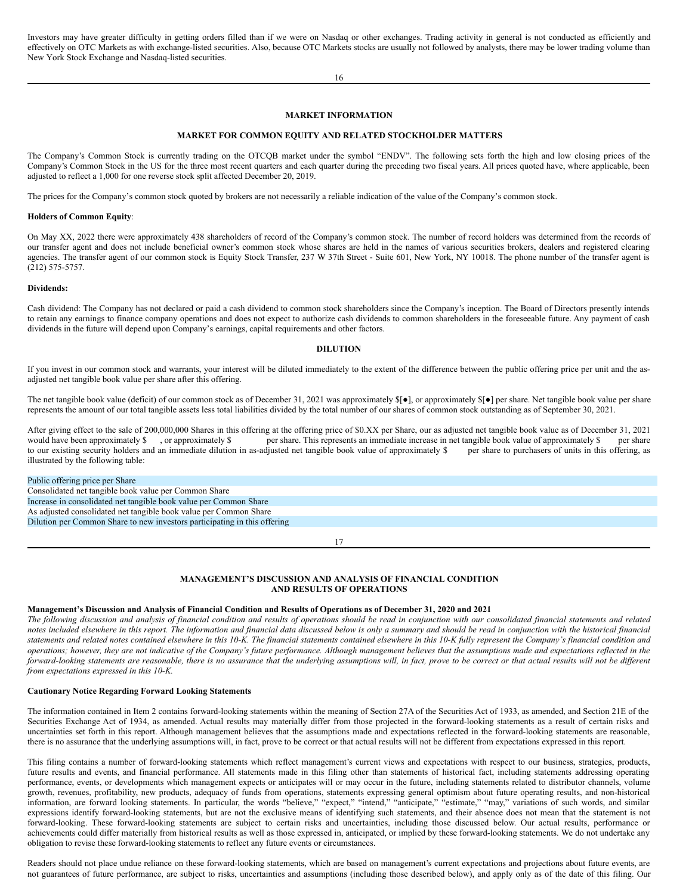Investors may have greater difficulty in getting orders filled than if we were on Nasdaq or other exchanges. Trading activity in general is not conducted as efficiently and effectively on OTC Markets as with exchange-listed securities. Also, because OTC Markets stocks are usually not followed by analysts, there may be lower trading volume than New York Stock Exchange and Nasdaq-listed securities.

16

## **MARKET INFORMATION**

# **MARKET FOR COMMON EQUITY AND RELATED STOCKHOLDER MATTERS**

The Company's Common Stock is currently trading on the OTCQB market under the symbol "ENDV". The following sets forth the high and low closing prices of the Company's Common Stock in the US for the three most recent quarters and each quarter during the preceding two fiscal years. All prices quoted have, where applicable, been adjusted to reflect a 1,000 for one reverse stock split affected December 20, 2019.

The prices for the Company's common stock quoted by brokers are not necessarily a reliable indication of the value of the Company's common stock.

#### **Holders of Common Equity**:

On May XX, 2022 there were approximately 438 shareholders of record of the Company's common stock. The number of record holders was determined from the records of our transfer agent and does not include beneficial owner's common stock whose shares are held in the names of various securities brokers, dealers and registered clearing agencies. The transfer agent of our common stock is Equity Stock Transfer, 237 W 37th Street - Suite 601, New York, NY 10018. The phone number of the transfer agent is (212) 575-5757.

#### **Dividends:**

Cash dividend: The Company has not declared or paid a cash dividend to common stock shareholders since the Company's inception. The Board of Directors presently intends to retain any earnings to finance company operations and does not expect to authorize cash dividends to common shareholders in the foreseeable future. Any payment of cash dividends in the future will depend upon Company's earnings, capital requirements and other factors.

## **DILUTION**

If you invest in our common stock and warrants, your interest will be diluted immediately to the extent of the difference between the public offering price per unit and the asadjusted net tangible book value per share after this offering.

The net tangible book value (deficit) of our common stock as of December 31, 2021 was approximately \$[●], or approximately \$[●] per share. Net tangible book value per share represents the amount of our total tangible assets less total liabilities divided by the total number of our shares of common stock outstanding as of September 30, 2021.

After giving effect to the sale of 200,000,000 Shares in this offering at the offering price of \$0.XX per Share, our as adjusted net tangible book value as of December 31, 2021 would have been approximately \$, or approximately \$ per share. This represents an immediate increase in net tangible book value of approximately \$ per share to our existing security holders and an immediate dilution in as-adjusted net tangible book value of approximately \$ per share to purchasers of units in this offering, as illustrated by the following table:

| Public offering price per Share                                           |  |
|---------------------------------------------------------------------------|--|
| Consolidated net tangible book value per Common Share                     |  |
| Increase in consolidated net tangible book value per Common Share         |  |
| As adjusted consolidated net tangible book value per Common Share         |  |
| Dilution per Common Share to new investors participating in this offering |  |
|                                                                           |  |

17

# **MANAGEMENT'S DISCUSSION AND ANALYSIS OF FINANCIAL CONDITION AND RESULTS OF OPERATIONS**

# Management's Discussion and Analysis of Financial Condition and Results of Operations as of December 31, 2020 and 2021

The following discussion and analysis of financial condition and results of operations should be read in conjunction with our consolidated financial statements and related notes included elsewhere in this report. The information and financial data discussed below is only a summary and should be read in conjunction with the historical financial statements and related notes contained elsewhere in this 10-K. The financial statements contained elsewhere in this 10-K fully represent the Company's financial condition and operations; however, they are not indicative of the Company's future performance. Although management believes that the assumptions made and expectations reflected in the forward-looking statements are reasonable, there is no assurance that the underlying assumptions will, in fact, prove to be correct or that actual results will not be different *from expectations expressed in this 10-K.*

## **Cautionary Notice Regarding Forward Looking Statements**

The information contained in Item 2 contains forward-looking statements within the meaning of Section 27A of the Securities Act of 1933, as amended, and Section 21E of the Securities Exchange Act of 1934, as amended. Actual results may materially differ from those projected in the forward-looking statements as a result of certain risks and uncertainties set forth in this report. Although management believes that the assumptions made and expectations reflected in the forward-looking statements are reasonable, there is no assurance that the underlying assumptions will, in fact, prove to be correct or that actual results will not be different from expectations expressed in this report.

This filing contains a number of forward-looking statements which reflect management's current views and expectations with respect to our business, strategies, products, future results and events, and financial performance. All statements made in this filing other than statements of historical fact, including statements addressing operating performance, events, or developments which management expects or anticipates will or may occur in the future, including statements related to distributor channels, volume growth, revenues, profitability, new products, adequacy of funds from operations, statements expressing general optimism about future operating results, and non-historical information, are forward looking statements. In particular, the words "believe," "expect," "intend," "anticipate," "estimate," "may," variations of such words, and similar expressions identify forward-looking statements, but are not the exclusive means of identifying such statements, and their absence does not mean that the statement is not forward-looking. These forward-looking statements are subject to certain risks and uncertainties, including those discussed below. Our actual results, performance or achievements could differ materially from historical results as well as those expressed in, anticipated, or implied by these forward-looking statements. We do not undertake any obligation to revise these forward-looking statements to reflect any future events or circumstances.

Readers should not place undue reliance on these forward-looking statements, which are based on management's current expectations and projections about future events, are not guarantees of future performance, are subject to risks, uncertainties and assumptions (including those described below), and apply only as of the date of this filing. Our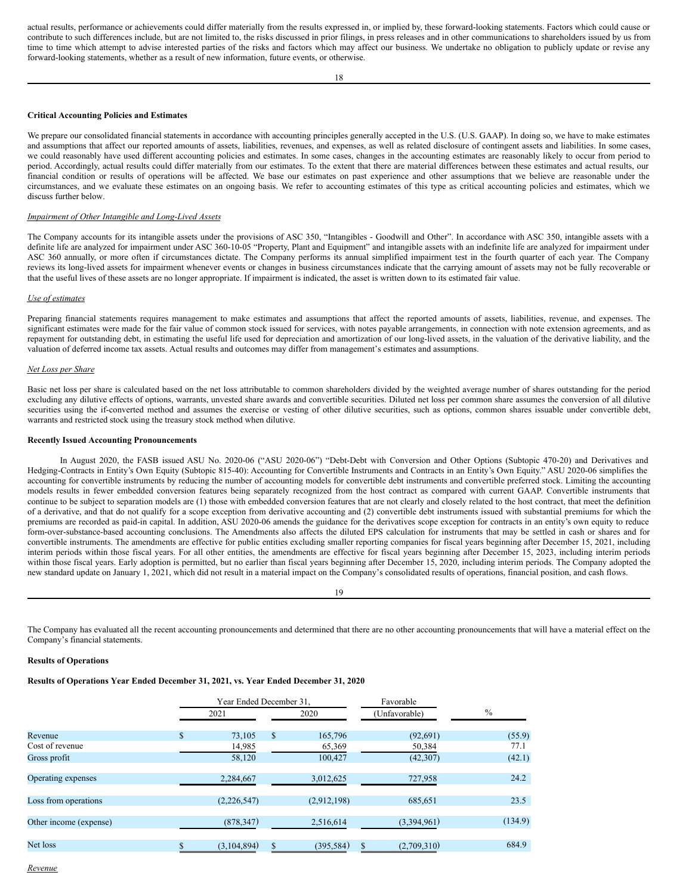actual results, performance or achievements could differ materially from the results expressed in, or implied by, these forward-looking statements. Factors which could cause or contribute to such differences include, but are not limited to, the risks discussed in prior filings, in press releases and in other communications to shareholders issued by us from time to time which attempt to advise interested parties of the risks and factors which may affect our business. We undertake no obligation to publicly update or revise any forward-looking statements, whether as a result of new information, future events, or otherwise.

# **Critical Accounting Policies and Estimates**

We prepare our consolidated financial statements in accordance with accounting principles generally accepted in the U.S. (U.S. GAAP). In doing so, we have to make estimates and assumptions that affect our reported amounts of assets, liabilities, revenues, and expenses, as well as related disclosure of contingent assets and liabilities. In some cases, we could reasonably have used different accounting policies and estimates. In some cases, changes in the accounting estimates are reasonably likely to occur from period to period. Accordingly, actual results could differ materially from our estimates. To the extent that there are material differences between these estimates and actual results, our financial condition or results of operations will be affected. We base our estimates on past experience and other assumptions that we believe are reasonable under the circumstances, and we evaluate these estimates on an ongoing basis. We refer to accounting estimates of this type as critical accounting policies and estimates, which we discuss further below.

# *Impairment of Other Intangible and Long-Lived Assets*

The Company accounts for its intangible assets under the provisions of ASC 350, "Intangibles - Goodwill and Other". In accordance with ASC 350, intangible assets with a definite life are analyzed for impairment under ASC 360-10-05 "Property, Plant and Equipment" and intangible assets with an indefinite life are analyzed for impairment under ASC 360 annually, or more often if circumstances dictate. The Company performs its annual simplified impairment test in the fourth quarter of each year. The Company reviews its long-lived assets for impairment whenever events or changes in business circumstances indicate that the carrying amount of assets may not be fully recoverable or that the useful lives of these assets are no longer appropriate. If impairment is indicated, the asset is written down to its estimated fair value.

## *Use of estimates*

Preparing financial statements requires management to make estimates and assumptions that affect the reported amounts of assets, liabilities, revenue, and expenses. The significant estimates were made for the fair value of common stock issued for services, with notes payable arrangements, in connection with note extension agreements, and as repayment for outstanding debt, in estimating the useful life used for depreciation and amortization of our long-lived assets, in the valuation of the derivative liability, and the valuation of deferred income tax assets. Actual results and outcomes may differ from management's estimates and assumptions.

## *Net Loss per Share*

Basic net loss per share is calculated based on the net loss attributable to common shareholders divided by the weighted average number of shares outstanding for the period excluding any dilutive effects of options, warrants, unvested share awards and convertible securities. Diluted net loss per common share assumes the conversion of all dilutive securities using the if-converted method and assumes the exercise or vesting of other dilutive securities, such as options, common shares issuable under convertible debt, warrants and restricted stock using the treasury stock method when dilutive.

# **Recently Issued Accounting Pronouncements**

In August 2020, the FASB issued ASU No. 2020-06 ("ASU 2020-06") "Debt-Debt with Conversion and Other Options (Subtopic 470-20) and Derivatives and Hedging-Contracts in Entity's Own Equity (Subtopic 815-40): Accounting for Convertible Instruments and Contracts in an Entity's Own Equity." ASU 2020-06 simplifies the accounting for convertible instruments by reducing the number of accounting models for convertible debt instruments and convertible preferred stock. Limiting the accounting models results in fewer embedded conversion features being separately recognized from the host contract as compared with current GAAP. Convertible instruments that continue to be subject to separation models are (1) those with embedded conversion features that are not clearly and closely related to the host contract, that meet the definition of a derivative, and that do not qualify for a scope exception from derivative accounting and (2) convertible debt instruments issued with substantial premiums for which the premiums are recorded as paid-in capital. In addition, ASU 2020-06 amends the guidance for the derivatives scope exception for contracts in an entity's own equity to reduce form-over-substance-based accounting conclusions. The Amendments also affects the diluted EPS calculation for instruments that may be settled in cash or shares and for convertible instruments. The amendments are effective for public entities excluding smaller reporting companies for fiscal years beginning after December 15, 2021, including interim periods within those fiscal years. For all other entities, the amendments are effective for fiscal years beginning after December 15, 2023, including interim periods within those fiscal years. Early adoption is permitted, but no earlier than fiscal years beginning after December 15, 2020, including interim periods. The Company adopted the new standard update on January 1, 2021, which did not result in a material impact on the Company's consolidated results of operations, financial position, and cash flows.

19

The Company has evaluated all the recent accounting pronouncements and determined that there are no other accounting pronouncements that will have a material effect on the Company's financial statements.

## **Results of Operations**

**Results of Operations Year Ended December 31, 2021, vs. Year Ended December 31, 2020**

|                        | Year Ended December 31. |              |             | Favorable          |         |
|------------------------|-------------------------|--------------|-------------|--------------------|---------|
|                        | 2021                    |              | 2020        | (Unfavorable)      | $\%$    |
| Revenue                | \$<br>73,105            | $\mathbb{S}$ | 165,796     | (92, 691)          | (55.9)  |
| Cost of revenue        | 14,985                  |              | 65,369      | 50,384             | 77.1    |
| Gross profit           | 58,120                  |              | 100.427     | (42, 307)          | (42.1)  |
| Operating expenses     | 2,284,667               |              | 3,012,625   | 727,958            | 24.2    |
| Loss from operations   | (2,226,547)             |              | (2,912,198) | 685,651            | 23.5    |
| Other income (expense) | (878, 347)              |              | 2,516,614   | (3,394,961)        | (134.9) |
| Net loss               | (3,104,894)             |              | (395, 584)  | (2,709,310)<br>\$. | 684.9   |

*Revenue*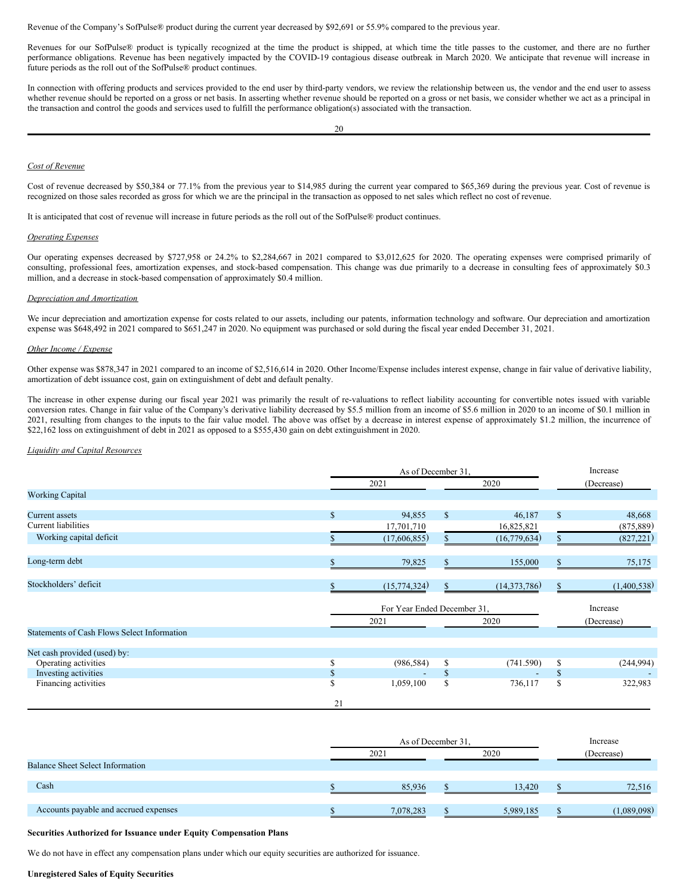Revenue of the Company's SofPulse® product during the current year decreased by \$92,691 or 55.9% compared to the previous year.

Revenues for our SofPulse® product is typically recognized at the time the product is shipped, at which time the title passes to the customer, and there are no further performance obligations. Revenue has been negatively impacted by the COVID-19 contagious disease outbreak in March 2020. We anticipate that revenue will increase in future periods as the roll out of the SofPulse® product continues.

In connection with offering products and services provided to the end user by third-party vendors, we review the relationship between us, the vendor and the end user to assess whether revenue should be reported on a gross or net basis. In asserting whether revenue should be reported on a gross or net basis, we consider whether we act as a principal in the transaction and control the goods and services used to fulfill the performance obligation(s) associated with the transaction.

# *Cost of Revenue*

Cost of revenue decreased by \$50,384 or 77.1% from the previous year to \$14,985 during the current year compared to \$65,369 during the previous year. Cost of revenue is recognized on those sales recorded as gross for which we are the principal in the transaction as opposed to net sales which reflect no cost of revenue.

It is anticipated that cost of revenue will increase in future periods as the roll out of the SofPulse® product continues.

## *Operating Expenses*

Our operating expenses decreased by \$727,958 or 24.2% to \$2,284,667 in 2021 compared to \$3,012,625 for 2020. The operating expenses were comprised primarily of consulting, professional fees, amortization expenses, and stock-based compensation. This change was due primarily to a decrease in consulting fees of approximately \$0.3 million, and a decrease in stock-based compensation of approximately \$0.4 million.

#### *Depreciation and Amortization*

We incur depreciation and amortization expense for costs related to our assets, including our patents, information technology and software. Our depreciation and amortization expense was \$648,492 in 2021 compared to \$651,247 in 2020. No equipment was purchased or sold during the fiscal year ended December 31, 2021.

#### *Other Income / Expense*

Other expense was \$878,347 in 2021 compared to an income of \$2,516,614 in 2020. Other Income/Expense includes interest expense, change in fair value of derivative liability, amortization of debt issuance cost, gain on extinguishment of debt and default penalty.

The increase in other expense during our fiscal year 2021 was primarily the result of re-valuations to reflect liability accounting for convertible notes issued with variable conversion rates. Change in fair value of the Company's derivative liability decreased by \$5.5 million from an income of \$5.6 million in 2020 to an income of \$0.1 million in 2021, resulting from changes to the inputs to the fair value model. The above was offset by a decrease in interest expense of approximately \$1.2 million, the incurrence of \$22,162 loss on extinguishment of debt in 2021 as opposed to a \$555,430 gain on debt extinguishment in 2020.

#### *Liquidity and Capital Resources*

|                                             | As of December 31, |                             |               |              |               | Increase    |  |
|---------------------------------------------|--------------------|-----------------------------|---------------|--------------|---------------|-------------|--|
|                                             |                    | 2021                        |               | 2020         | (Decrease)    |             |  |
| <b>Working Capital</b>                      |                    |                             |               |              |               |             |  |
| Current assets                              | S                  | 94,855                      | $\mathcal{S}$ | 46,187       | $\mathbb{S}$  | 48,668      |  |
| Current liabilities                         |                    | 17,701,710                  |               | 16,825,821   |               | (875, 889)  |  |
| Working capital deficit                     |                    | (17,606,855)                | \$.           | (16,779,634) |               | (827, 221)  |  |
| Long-term debt                              |                    | 79,825                      | \$            | 155,000      | ъ             | 75,175      |  |
| Stockholders' deficit                       |                    | (15, 774, 324)              |               | (14,373,786) | \$.           | (1,400,538) |  |
|                                             |                    | For Year Ended December 31, |               |              |               | Increase    |  |
|                                             |                    | 2021                        |               | 2020         |               | (Decrease)  |  |
| Statements of Cash Flows Select Information |                    |                             |               |              |               |             |  |
| Net cash provided (used) by:                |                    |                             |               |              |               |             |  |
| Operating activities                        | \$                 | (986, 584)                  | \$            | (741.590)    | \$            | (244, 994)  |  |
| Investing activities                        | \$                 |                             | \$            |              | S             |             |  |
| Financing activities                        | \$                 | 1,059,100                   | \$            | 736,117      | <sup>\$</sup> | 322,983     |  |
|                                             | 21                 |                             |               |              |               |             |  |

|                                         |  | Increase  |           |  |             |
|-----------------------------------------|--|-----------|-----------|--|-------------|
|                                         |  | 2021      | 2020      |  | (Decrease)  |
| <b>Balance Sheet Select Information</b> |  |           |           |  |             |
|                                         |  |           |           |  |             |
| Cash                                    |  | 85,936    | 13.420    |  | 72.516      |
|                                         |  |           |           |  |             |
| Accounts payable and accrued expenses   |  | 7.078.283 | 5.989.185 |  | (1.089.098) |
|                                         |  |           |           |  |             |

## **Securities Authorized for Issuance under Equity Compensation Plans**

We do not have in effect any compensation plans under which our equity securities are authorized for issuance.

**Unregistered Sales of Equity Securities**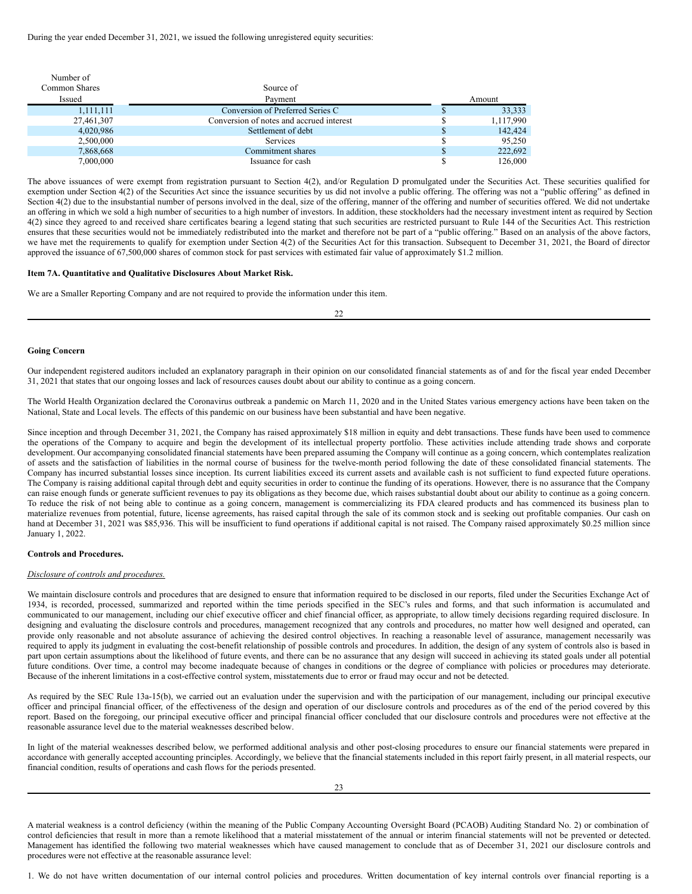During the year ended December 31, 2021, we issued the following unregistered equity securities:

| <b>INULLIDEL OI</b> |                                          |           |
|---------------------|------------------------------------------|-----------|
| Common Shares       | Source of                                |           |
| Issued              | Payment                                  | Amount    |
| 1,111,111           | Conversion of Preferred Series C         | 33,333    |
| 27,461,307          | Conversion of notes and accrued interest | 1,117,990 |
| 4,020,986           | Settlement of debt                       | 142,424   |
| 2.500,000           | <b>Services</b>                          | 95.250    |
| 7,868,668           | Commitment shares                        | 222,692   |
| 7,000,000           | Issuance for cash                        | 126,000   |

The above issuances of were exempt from registration pursuant to Section 4(2), and/or Regulation D promulgated under the Securities Act. These securities qualified for exemption under Section 4(2) of the Securities Act since the issuance securities by us did not involve a public offering. The offering was not a "public offering" as defined in Section 4(2) due to the insubstantial number of persons involved in the deal, size of the offering, manner of the offering and number of securities offered. We did not undertake an offering in which we sold a high number of securities to a high number of investors. In addition, these stockholders had the necessary investment intent as required by Section 4(2) since they agreed to and received share certificates bearing a legend stating that such securities are restricted pursuant to Rule 144 of the Securities Act. This restriction ensures that these securities would not be immediately redistributed into the market and therefore not be part of a "public offering." Based on an analysis of the above factors, we have met the requirements to qualify for exemption under Section 4(2) of the Securities Act for this transaction. Subsequent to December 31, 2021, the Board of director approved the issuance of 67,500,000 shares of common stock for past services with estimated fair value of approximately \$1.2 million.

#### **Item 7A. Quantitative and Qualitative Disclosures About Market Risk.**

We are a Smaller Reporting Company and are not required to provide the information under this item.

22

#### **Going Concern**

Number of

Our independent registered auditors included an explanatory paragraph in their opinion on our consolidated financial statements as of and for the fiscal year ended December 31, 2021 that states that our ongoing losses and lack of resources causes doubt about our ability to continue as a going concern.

The World Health Organization declared the Coronavirus outbreak a pandemic on March 11, 2020 and in the United States various emergency actions have been taken on the National, State and Local levels. The effects of this pandemic on our business have been substantial and have been negative.

Since inception and through December 31, 2021, the Company has raised approximately \$18 million in equity and debt transactions. These funds have been used to commence the operations of the Company to acquire and begin the development of its intellectual property portfolio. These activities include attending trade shows and corporate development. Our accompanying consolidated financial statements have been prepared assuming the Company will continue as a going concern, which contemplates realization of assets and the satisfaction of liabilities in the normal course of business for the twelve-month period following the date of these consolidated financial statements. The Company has incurred substantial losses since inception. Its current liabilities exceed its current assets and available cash is not sufficient to fund expected future operations. The Company is raising additional capital through debt and equity securities in order to continue the funding of its operations. However, there is no assurance that the Company can raise enough funds or generate sufficient revenues to pay its obligations as they become due, which raises substantial doubt about our ability to continue as a going concern. To reduce the risk of not being able to continue as a going concern, management is commercializing its FDA cleared products and has commenced its business plan to materialize revenues from potential, future, license agreements, has raised capital through the sale of its common stock and is seeking out profitable companies. Our cash on hand at December 31, 2021 was \$85,936. This will be insufficient to fund operations if additional capital is not raised. The Company raised approximately \$0.25 million since January 1, 2022.

# **Controls and Procedures.**

## *Disclosure of controls and procedures.*

We maintain disclosure controls and procedures that are designed to ensure that information required to be disclosed in our reports, filed under the Securities Exchange Act of 1934, is recorded, processed, summarized and reported within the time periods specified in the SEC's rules and forms, and that such information is accumulated and communicated to our management, including our chief executive officer and chief financial officer, as appropriate, to allow timely decisions regarding required disclosure. In designing and evaluating the disclosure controls and procedures, management recognized that any controls and procedures, no matter how well designed and operated, can provide only reasonable and not absolute assurance of achieving the desired control objectives. In reaching a reasonable level of assurance, management necessarily was required to apply its judgment in evaluating the cost-benefit relationship of possible controls and procedures. In addition, the design of any system of controls also is based in part upon certain assumptions about the likelihood of future events, and there can be no assurance that any design will succeed in achieving its stated goals under all potential future conditions. Over time, a control may become inadequate because of changes in conditions or the degree of compliance with policies or procedures may deteriorate. Because of the inherent limitations in a cost-effective control system, misstatements due to error or fraud may occur and not be detected.

As required by the SEC Rule 13a-15(b), we carried out an evaluation under the supervision and with the participation of our management, including our principal executive officer and principal financial officer, of the effectiveness of the design and operation of our disclosure controls and procedures as of the end of the period covered by this report. Based on the foregoing, our principal executive officer and principal financial officer concluded that our disclosure controls and procedures were not effective at the reasonable assurance level due to the material weaknesses described below.

In light of the material weaknesses described below, we performed additional analysis and other post-closing procedures to ensure our financial statements were prepared in accordance with generally accepted accounting principles. Accordingly, we believe that the financial statements included in this report fairly present, in all material respects, our financial condition, results of operations and cash flows for the periods presented.

A material weakness is a control deficiency (within the meaning of the Public Company Accounting Oversight Board (PCAOB) Auditing Standard No. 2) or combination of control deficiencies that result in more than a remote likelihood that a material misstatement of the annual or interim financial statements will not be prevented or detected. Management has identified the following two material weaknesses which have caused management to conclude that as of December 31, 2021 our disclosure controls and procedures were not effective at the reasonable assurance level:

1. We do not have written documentation of our internal control policies and procedures. Written documentation of key internal controls over financial reporting is a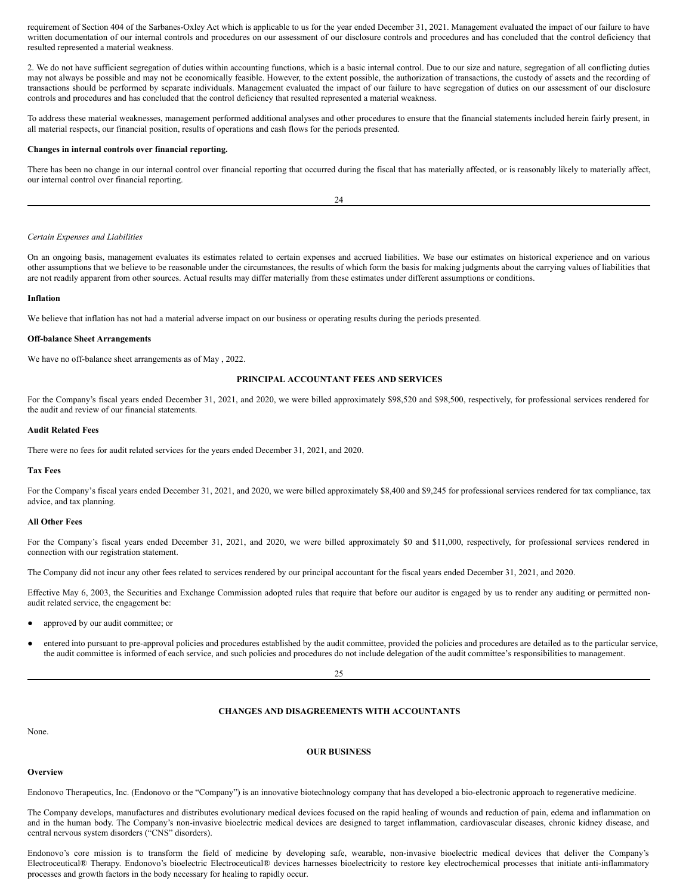requirement of Section 404 of the Sarbanes-Oxley Act which is applicable to us for the year ended December 31, 2021. Management evaluated the impact of our failure to have written documentation of our internal controls and procedures on our assessment of our disclosure controls and procedures and has concluded that the control deficiency that resulted represented a material weakness.

2. We do not have sufficient segregation of duties within accounting functions, which is a basic internal control. Due to our size and nature, segregation of all conflicting duties may not always be possible and may not be economically feasible. However, to the extent possible, the authorization of transactions, the custody of assets and the recording of transactions should be performed by separate individuals. Management evaluated the impact of our failure to have segregation of duties on our assessment of our disclosure controls and procedures and has concluded that the control deficiency that resulted represented a material weakness.

To address these material weaknesses, management performed additional analyses and other procedures to ensure that the financial statements included herein fairly present, in all material respects, our financial position, results of operations and cash flows for the periods presented.

# **Changes in internal controls over financial reporting.**

There has been no change in our internal control over financial reporting that occurred during the fiscal that has materially affected, or is reasonably likely to materially affect, our internal control over financial reporting.

| × |  |
|---|--|
| I |  |

## *Certain Expenses and Liabilities*

On an ongoing basis, management evaluates its estimates related to certain expenses and accrued liabilities. We base our estimates on historical experience and on various other assumptions that we believe to be reasonable under the circumstances, the results of which form the basis for making judgments about the carrying values of liabilities that are not readily apparent from other sources. Actual results may differ materially from these estimates under different assumptions or conditions.

# **Inflation**

We believe that inflation has not had a material adverse impact on our business or operating results during the periods presented.

## **Off-balance Sheet Arrangements**

We have no off-balance sheet arrangements as of May , 2022.

# **PRINCIPAL ACCOUNTANT FEES AND SERVICES**

For the Company's fiscal years ended December 31, 2021, and 2020, we were billed approximately \$98,520 and \$98,500, respectively, for professional services rendered for the audit and review of our financial statements.

#### **Audit Related Fees**

## **Tax Fees**

For the Company's fiscal years ended December 31, 2021, and 2020, we were billed approximately \$8,400 and \$9,245 for professional services rendered for tax compliance, tax advice, and tax planning.

## **All Other Fees**

For the Company's fiscal years ended December 31, 2021, and 2020, we were billed approximately \$0 and \$11,000, respectively, for professional services rendered in connection with our registration statement.

The Company did not incur any other fees related to services rendered by our principal accountant for the fiscal years ended December 31, 2021, and 2020.

Effective May 6, 2003, the Securities and Exchange Commission adopted rules that require that before our auditor is engaged by us to render any auditing or permitted nonaudit related service, the engagement be:

- approved by our audit committee; or
- entered into pursuant to pre-approval policies and procedures established by the audit committee, provided the policies and procedures are detailed as to the particular service, the audit committee is informed of each service, and such policies and procedures do not include delegation of the audit committee's responsibilities to management.

25

# **CHANGES AND DISAGREEMENTS WITH ACCOUNTANTS**

None.

**Overview**

## **OUR BUSINESS**

# Endonovo Therapeutics, Inc. (Endonovo or the "Company") is an innovative biotechnology company that has developed a bio-electronic approach to regenerative medicine.

The Company develops, manufactures and distributes evolutionary medical devices focused on the rapid healing of wounds and reduction of pain, edema and inflammation on and in the human body. The Company's non-invasive bioelectric medical devices are designed to target inflammation, cardiovascular diseases, chronic kidney disease, and central nervous system disorders ("CNS" disorders).

Endonovo's core mission is to transform the field of medicine by developing safe, wearable, non-invasive bioelectric medical devices that deliver the Company's Electroceutical® Therapy. Endonovo's bioelectric Electroceutical® devices harnesses bioelectricity to restore key electrochemical processes that initiate anti-inflammatory processes and growth factors in the body necessary for healing to rapidly occur.

There were no fees for audit related services for the years ended December 31, 2021, and 2020.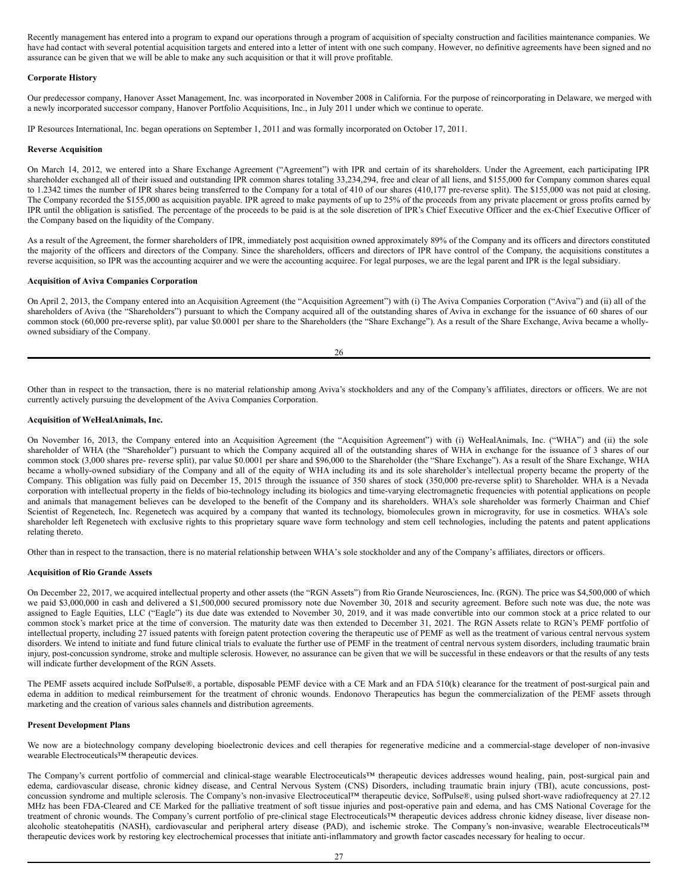Recently management has entered into a program to expand our operations through a program of acquisition of specialty construction and facilities maintenance companies. We have had contact with several potential acquisition targets and entered into a letter of intent with one such company. However, no definitive agreements have been signed and no assurance can be given that we will be able to make any such acquisition or that it will prove profitable.

# **Corporate History**

Our predecessor company, Hanover Asset Management, Inc. was incorporated in November 2008 in California. For the purpose of reincorporating in Delaware, we merged with a newly incorporated successor company, Hanover Portfolio Acquisitions, Inc., in July 2011 under which we continue to operate.

IP Resources International, Inc. began operations on September 1, 2011 and was formally incorporated on October 17, 2011.

# **Reverse Acquisition**

On March 14, 2012, we entered into a Share Exchange Agreement ("Agreement") with IPR and certain of its shareholders. Under the Agreement, each participating IPR shareholder exchanged all of their issued and outstanding IPR common shares totaling 33,234,294, free and clear of all liens, and \$155,000 for Company common shares equal to 1.2342 times the number of IPR shares being transferred to the Company for a total of 410 of our shares (410,177 pre-reverse split). The \$155,000 was not paid at closing. The Company recorded the \$155,000 as acquisition payable. IPR agreed to make payments of up to 25% of the proceeds from any private placement or gross profits earned by IPR until the obligation is satisfied. The percentage of the proceeds to be paid is at the sole discretion of IPR's Chief Executive Officer and the ex-Chief Executive Officer of the Company based on the liquidity of the Company.

As a result of the Agreement, the former shareholders of IPR, immediately post acquisition owned approximately 89% of the Company and its officers and directors constituted the majority of the officers and directors of the Company. Since the shareholders, officers and directors of IPR have control of the Company, the acquisitions constitutes a reverse acquisition, so IPR was the accounting acquirer and we were the accounting acquiree. For legal purposes, we are the legal parent and IPR is the legal subsidiary.

# **Acquisition of Aviva Companies Corporation**

On April 2, 2013, the Company entered into an Acquisition Agreement (the "Acquisition Agreement") with (i) The Aviva Companies Corporation ("Aviva") and (ii) all of the shareholders of Aviva (the "Shareholders") pursuant to which the Company acquired all of the outstanding shares of Aviva in exchange for the issuance of 60 shares of our common stock (60,000 pre-reverse split), par value \$0.0001 per share to the Shareholders (the "Share Exchange"). As a result of the Share Exchange, Aviva became a whollyowned subsidiary of the Company.

| ×<br>ł<br>I |                  |  |
|-------------|------------------|--|
|             | i<br>I<br>×<br>٧ |  |

Other than in respect to the transaction, there is no material relationship among Aviva's stockholders and any of the Company's affiliates, directors or officers. We are not currently actively pursuing the development of the Aviva Companies Corporation.

# **Acquisition of WeHealAnimals, Inc.**

On November 16, 2013, the Company entered into an Acquisition Agreement (the "Acquisition Agreement") with (i) WeHealAnimals, Inc. ("WHA") and (ii) the sole shareholder of WHA (the "Shareholder") pursuant to which the Company acquired all of the outstanding shares of WHA in exchange for the issuance of 3 shares of our common stock (3,000 shares pre- reverse split), par value \$0.0001 per share and \$96,000 to the Shareholder (the "Share Exchange"). As a result of the Share Exchange, WHA became a wholly-owned subsidiary of the Company and all of the equity of WHA including its and its sole shareholder's intellectual property became the property of the Company. This obligation was fully paid on December 15, 2015 through the issuance of 350 shares of stock (350,000 pre-reverse split) to Shareholder. WHA is a Nevada corporation with intellectual property in the fields of bio-technology including its biologics and time-varying electromagnetic frequencies with potential applications on people and animals that management believes can be developed to the benefit of the Company and its shareholders. WHA's sole shareholder was formerly Chairman and Chief Scientist of Regenetech, Inc. Regenetech was acquired by a company that wanted its technology, biomolecules grown in microgravity, for use in cosmetics. WHA's sole shareholder left Regenetech with exclusive rights to this proprietary square wave form technology and stem cell technologies, including the patents and patent applications relating thereto.

Other than in respect to the transaction, there is no material relationship between WHA's sole stockholder and any of the Company's affiliates, directors or officers.

# **Acquisition of Rio Grande Assets**

On December 22, 2017, we acquired intellectual property and other assets (the "RGN Assets") from Rio Grande Neurosciences, Inc. (RGN). The price was \$4,500,000 of which we paid \$3,000,000 in cash and delivered a \$1,500,000 secured promissory note due November 30, 2018 and security agreement. Before such note was due, the note was assigned to Eagle Equities, LLC ("Eagle") its due date was extended to November 30, 2019, and it was made convertible into our common stock at a price related to our common stock's market price at the time of conversion. The maturity date was then extended to December 31, 2021. The RGN Assets relate to RGN's PEMF portfolio of intellectual property, including 27 issued patents with foreign patent protection covering the therapeutic use of PEMF as well as the treatment of various central nervous system disorders. We intend to initiate and fund future clinical trials to evaluate the further use of PEMF in the treatment of central nervous system disorders, including traumatic brain injury, post-concussion syndrome, stroke and multiple sclerosis. However, no assurance can be given that we will be successful in these endeavors or that the results of any tests will indicate further development of the RGN Assets.

The PEMF assets acquired include SofPulse®, a portable, disposable PEMF device with a CE Mark and an FDA 510(k) clearance for the treatment of post-surgical pain and edema in addition to medical reimbursement for the treatment of chronic wounds. Endonovo Therapeutics has begun the commercialization of the PEMF assets through marketing and the creation of various sales channels and distribution agreements.

# **Present Development Plans**

We now are a biotechnology company developing bioelectronic devices and cell therapies for regenerative medicine and a commercial-stage developer of non-invasive wearable Electroceuticals™ therapeutic devices.

The Company's current portfolio of commercial and clinical-stage wearable Electroceuticals™ therapeutic devices addresses wound healing, pain, post-surgical pain and edema, cardiovascular disease, chronic kidney disease, and Central Nervous System (CNS) Disorders, including traumatic brain injury (TBI), acute concussions, postconcussion syndrome and multiple sclerosis. The Company's non-invasive Electroceutical™ therapeutic device, SofPulse®, using pulsed short-wave radiofrequency at 27.12 MHz has been FDA-Cleared and CE Marked for the palliative treatment of soft tissue injuries and post-operative pain and edema, and has CMS National Coverage for the treatment of chronic wounds. The Company's current portfolio of pre-clinical stage Electroceuticals™ therapeutic devices address chronic kidney disease, liver disease nonalcoholic steatohepatitis (NASH), cardiovascular and peripheral artery disease (PAD), and ischemic stroke. The Company's non-invasive, wearable Electroceuticals™ therapeutic devices work by restoring key electrochemical processes that initiate anti-inflammatory and growth factor cascades necessary for healing to occur.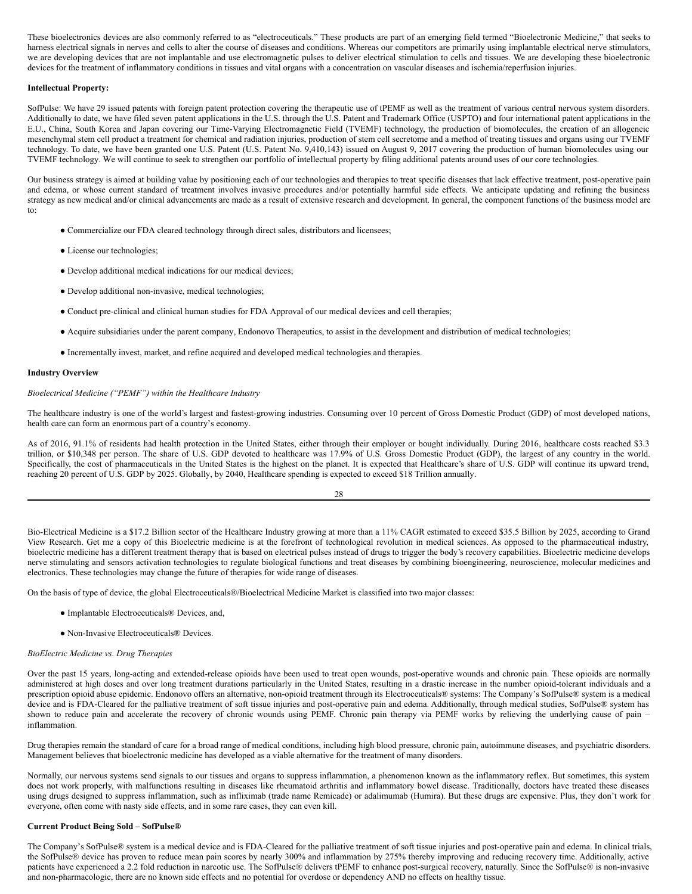These bioelectronics devices are also commonly referred to as "electroceuticals." These products are part of an emerging field termed "Bioelectronic Medicine," that seeks to harness electrical signals in nerves and cells to alter the course of diseases and conditions. Whereas our competitors are primarily using implantable electrical nerve stimulators, we are developing devices that are not implantable and use electromagnetic pulses to deliver electrical stimulation to cells and tissues. We are developing these bioelectronic devices for the treatment of inflammatory conditions in tissues and vital organs with a concentration on vascular diseases and ischemia/reperfusion injuries.

# **Intellectual Property:**

SofPulse: We have 29 issued patents with foreign patent protection covering the therapeutic use of tPEMF as well as the treatment of various central nervous system disorders. Additionally to date, we have filed seven patent applications in the U.S. through the U.S. Patent and Trademark Office (USPTO) and four international patent applications in the E.U., China, South Korea and Japan covering our Time-Varying Electromagnetic Field (TVEMF) technology, the production of biomolecules, the creation of an allogeneic mesenchymal stem cell product a treatment for chemical and radiation injuries, production of stem cell secretome and a method of treating tissues and organs using our TVEMF technology. To date, we have been granted one U.S. Patent (U.S. Patent No. 9,410,143) issued on August 9, 2017 covering the production of human biomolecules using our TVEMF technology. We will continue to seek to strengthen our portfolio of intellectual property by filing additional patents around uses of our core technologies.

Our business strategy is aimed at building value by positioning each of our technologies and therapies to treat specific diseases that lack effective treatment, post-operative pain and edema, or whose current standard of treatment involves invasive procedures and/or potentially harmful side effects. We anticipate updating and refining the business strategy as new medical and/or clinical advancements are made as a result of extensive research and development. In general, the component functions of the business model are to:

- Commercialize our FDA cleared technology through direct sales, distributors and licensees;
- License our technologies;
- Develop additional medical indications for our medical devices;
- Develop additional non-invasive, medical technologies;
- Conduct pre-clinical and clinical human studies for FDA Approval of our medical devices and cell therapies;
- Acquire subsidiaries under the parent company, Endonovo Therapeutics, to assist in the development and distribution of medical technologies;
- Incrementally invest, market, and refine acquired and developed medical technologies and therapies.

# **Industry Overview**

## *Bioelectrical Medicine ("PEMF") within the Healthcare Industry*

The healthcare industry is one of the world's largest and fastest-growing industries. Consuming over 10 percent of Gross Domestic Product (GDP) of most developed nations, health care can form an enormous part of a country's economy.

As of 2016, 91.1% of residents had health protection in the United States, either through their employer or bought individually. During 2016, healthcare costs reached \$3.3 trillion, or \$10,348 per person. The share of U.S. GDP devoted to healthcare was 17.9% of U.S. Gross Domestic Product (GDP), the largest of any country in the world. Specifically, the cost of pharmaceuticals in the United States is the highest on the planet. It is expected that Healthcare's share of U.S. GDP will continue its upward trend, reaching 20 percent of U.S. GDP by 2025. Globally, by 2040, Healthcare spending is expected to exceed \$18 Trillion annually.

28

Bio-Electrical Medicine is a \$17.2 Billion sector of the Healthcare Industry growing at more than a 11% CAGR estimated to exceed \$35.5 Billion by 2025, according to Grand View Research. Get me a copy of this Bioelectric medicine is at the forefront of technological revolution in medical sciences. As opposed to the pharmaceutical industry, bioelectric medicine has a different treatment therapy that is based on electrical pulses instead of drugs to trigger the body's recovery capabilities. Bioelectric medicine develops nerve stimulating and sensors activation technologies to regulate biological functions and treat diseases by combining bioengineering, neuroscience, molecular medicines and electronics. These technologies may change the future of therapies for wide range of diseases.

On the basis of type of device, the global Electroceuticals®/Bioelectrical Medicine Market is classified into two major classes:

- Implantable Electroceuticals® Devices, and,
- Non-Invasive Electroceuticals® Devices.

#### *BioElectric Medicine vs. Drug Therapies*

Over the past 15 years, long-acting and extended-release opioids have been used to treat open wounds, post-operative wounds and chronic pain. These opioids are normally administered at high doses and over long treatment durations particularly in the United States, resulting in a drastic increase in the number opioid-tolerant individuals and a prescription opioid abuse epidemic. Endonovo offers an alternative, non-opioid treatment through its Electroceuticals® systems: The Company's SofPulse® system is a medical device and is FDA-Cleared for the palliative treatment of soft tissue injuries and post-operative pain and edema. Additionally, through medical studies, SofPulse® system has shown to reduce pain and accelerate the recovery of chronic wounds using PEMF. Chronic pain therapy via PEMF works by relieving the underlying cause of pain inflammation.

Drug therapies remain the standard of care for a broad range of medical conditions, including high blood pressure, chronic pain, autoimmune diseases, and psychiatric disorders. Management believes that bioelectronic medicine has developed as a viable alternative for the treatment of many disorders.

Normally, our nervous systems send signals to our tissues and organs to suppress inflammation, a phenomenon known as the inflammatory reflex. But sometimes, this system does not work properly, with malfunctions resulting in diseases like rheumatoid arthritis and inflammatory bowel disease. Traditionally, doctors have treated these diseases using drugs designed to suppress inflammation, such as infliximab (trade name Remicade) or adalimumab (Humira). But these drugs are expensive. Plus, they don't work for everyone, often come with nasty side effects, and in some rare cases, they can even kill.

## **Current Product Being Sold – SofPulse®**

The Company's SofPulse® system is a medical device and is FDA-Cleared for the palliative treatment of soft tissue injuries and post-operative pain and edema. In clinical trials, the SofPulse® device has proven to reduce mean pain scores by nearly 300% and inflammation by 275% thereby improving and reducing recovery time. Additionally, active patients have experienced a 2.2 fold reduction in narcotic use. The SofPulse® delivers tPEMF to enhance post-surgical recovery, naturally. Since the SofPulse® is non-invasive and non-pharmacologic, there are no known side effects and no potential for overdose or dependency AND no effects on healthy tissue.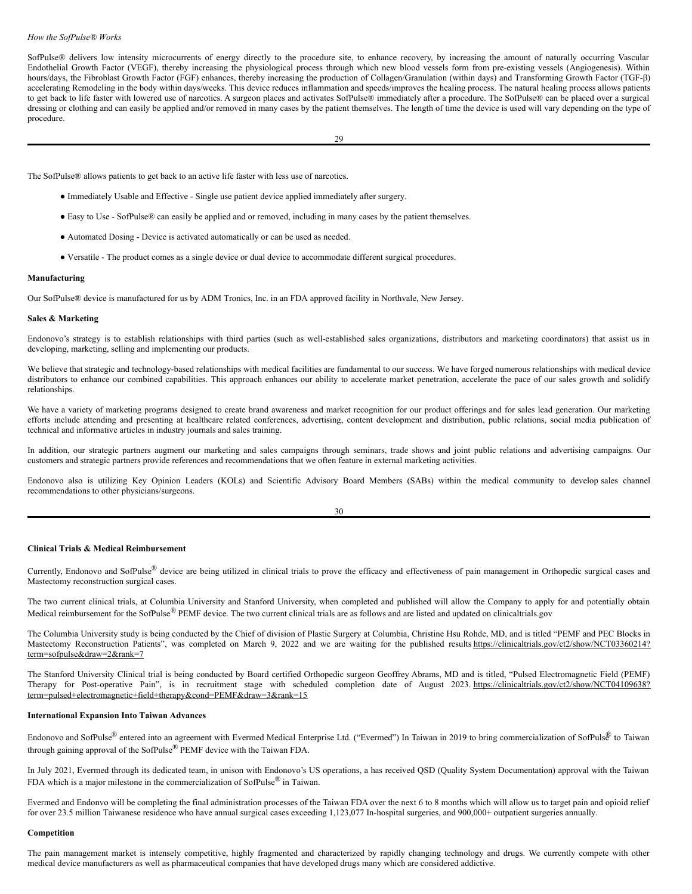SofPulse® delivers low intensity microcurrents of energy directly to the procedure site, to enhance recovery, by increasing the amount of naturally occurring Vascular Endothelial Growth Factor (VEGF), thereby increasing the physiological process through which new blood vessels form from pre-existing vessels (Angiogenesis). Within hours/days, the Fibroblast Growth Factor (FGF) enhances, thereby increasing the production of Collagen/Granulation (within days) and Transforming Growth Factor (TGF-β) accelerating Remodeling in the body within days/weeks. This device reduces inflammation and speeds/improves the healing process. The natural healing process allows patients to get back to life faster with lowered use of narcotics. A surgeon places and activates SofPulse® immediately after a procedure. The SofPulse® can be placed over a surgical dressing or clothing and can easily be applied and/or removed in many cases by the patient themselves. The length of time the device is used will vary depending on the type of procedure.

The SofPulse® allows patients to get back to an active life faster with less use of narcotics.

- Immediately Usable and Effective Single use patient device applied immediately after surgery.
- Easy to Use SofPulse® can easily be applied and or removed, including in many cases by the patient themselves.
- Automated Dosing Device is activated automatically or can be used as needed.
- Versatile The product comes as a single device or dual device to accommodate different surgical procedures.

## **Manufacturing**

Our SofPulse® device is manufactured for us by ADM Tronics, Inc. in an FDA approved facility in Northvale, New Jersey.

## **Sales & Marketing**

Endonovo's strategy is to establish relationships with third parties (such as well-established sales organizations, distributors and marketing coordinators) that assist us in developing, marketing, selling and implementing our products.

We believe that strategic and technology-based relationships with medical facilities are fundamental to our success. We have forged numerous relationships with medical device distributors to enhance our combined capabilities. This approach enhances our ability to accelerate market penetration, accelerate the pace of our sales growth and solidify relationships.

We have a variety of marketing programs designed to create brand awareness and market recognition for our product offerings and for sales lead generation. Our marketing efforts include attending and presenting at healthcare related conferences, advertising, content development and distribution, public relations, social media publication of technical and informative articles in industry journals and sales training.

In addition, our strategic partners augment our marketing and sales campaigns through seminars, trade shows and joint public relations and advertising campaigns. Our customers and strategic partners provide references and recommendations that we often feature in external marketing activities.

Endonovo also is utilizing Key Opinion Leaders (KOLs) and Scientific Advisory Board Members (SABs) within the medical community to develop sales channel recommendations to other physicians/surgeons.

30

# **Clinical Trials & Medical Reimbursement**

Currently, Endonovo and SofPulse® device are being utilized in clinical trials to prove the efficacy and effectiveness of pain management in Orthopedic surgical cases and Mastectomy reconstruction surgical cases.

The two current clinical trials, at Columbia University and Stanford University, when completed and published will allow the Company to apply for and potentially obtain Medical reimbursement for the SofPulse® PEMF device. The two current clinical trials are as follows and are listed and updated on clinicaltrials.gov

The Columbia University study is being conducted by the Chief of division of Plastic Surgery at Columbia, Christine Hsu Rohde, MD, and is titled "PEMF and PEC Blocks in Mastectomy Reconstruction Patients", was completed on March 9, 2022 and we are waiting for the published results https://clinicaltrials.gov/ct2/show/NCT03360214? term=sofpulse&draw=2&rank=7

The Stanford University Clinical trial is being conducted by Board certified Orthopedic surgeon Geoffrey Abrams, MD and is titled, "Pulsed Electromagnetic Field (PEMF) Therapy for Post-operative Pain", is in recruitment stage with scheduled completion date of August 2023. https://clinicaltrials.gov/ct2/show/NCT04109638? term=pulsed+electromagnetic+field+therapy&cond=PEMF&draw=3&rank=15

# **International Expansion Into Taiwan Advances**

Endonovo and SofPulse<sup>®</sup> entered into an agreement with Evermed Medical Enterprise Ltd. ("Evermed") In Taiwan in 2019 to bring commercialization of SofPuls<sup>®</sup> to Taiwan through gaining approval of the SofPulse® PEMF device with the Taiwan FDA.

In July 2021, Evermed through its dedicated team, in unison with Endonovo's US operations, a has received QSD (Quality System Documentation) approval with the Taiwan FDA which is a major milestone in the commercialization of SofPulse<sup>®</sup> in Taiwan.

Evermed and Endonvo will be completing the final administration processes of the Taiwan FDA over the next 6 to 8 months which will allow us to target pain and opioid relief for over 23.5 million Taiwanese residence who have annual surgical cases exceeding 1,123,077 In-hospital surgeries, and 900,000+ outpatient surgeries annually.

#### **Competition**

The pain management market is intensely competitive, highly fragmented and characterized by rapidly changing technology and drugs. We currently compete with other medical device manufacturers as well as pharmaceutical companies that have developed drugs many which are considered addictive.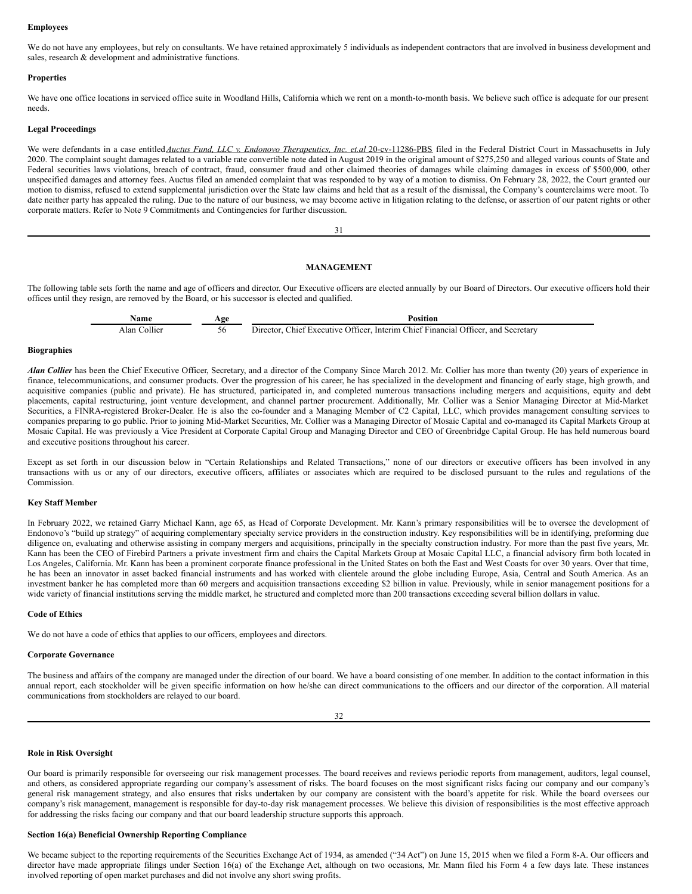#### **Employees**

We do not have any employees, but rely on consultants. We have retained approximately 5 individuals as independent contractors that are involved in business development and sales, research & development and administrative functions.

#### **Properties**

We have one office locations in serviced office suite in Woodland Hills, California which we rent on a month-to-month basis. We believe such office is adequate for our present needs.

#### **Legal Proceedings**

We were defendants in a case entitled*Auctus Fund, LLC v. Endonovo Therapeutics, Inc. et.al* 20-cv-11286-PBS filed in the Federal District Court in Massachusetts in July 2020. The complaint sought damages related to a variable rate convertible note dated in August 2019 in the original amount of \$275,250 and alleged various counts of State and Federal securities laws violations, breach of contract, fraud, consumer fraud and other claimed theories of damages while claiming damages in excess of \$500,000, other unspecified damages and attorney fees. Auctus filed an amended complaint that was responded to by way of a motion to dismiss. On February 28, 2022, the Court granted our motion to dismiss, refused to extend supplemental jurisdiction over the State law claims and held that as a result of the dismissal, the Company's counterclaims were moot. To date neither party has appealed the ruling. Due to the nature of our business, we may become active in litigation relating to the defense, or assertion of our patent rights or other corporate matters. Refer to Note 9 Commitments and Contingencies for further discussion.

31

# **MANAGEMENT**

The following table sets forth the name and age of officers and director. Our Executive officers are elected annually by our Board of Directors. Our executive officers hold their offices until they resign, are removed by the Board, or his successor is elected and qualified.

| Name         | Age | <b>Position</b>                                                                   |
|--------------|-----|-----------------------------------------------------------------------------------|
| Alan Collier | 56  | Director, Chief Executive Officer, Interim Chief Financial Officer, and Secretary |

## **Biographies**

*Alan Collier* has been the Chief Executive Officer, Secretary, and a director of the Company Since March 2012. Mr. Collier has more than twenty (20) years of experience in finance, telecommunications, and consumer products. Over the progression of his career, he has specialized in the development and financing of early stage, high growth, and acquisitive companies (public and private). He has structured, participated in, and completed numerous transactions including mergers and acquisitions, equity and debt placements, capital restructuring, joint venture development, and channel partner procurement. Additionally, Mr. Collier was a Senior Managing Director at Mid-Market Securities, a FINRA-registered Broker-Dealer. He is also the co-founder and a Managing Member of C2 Capital, LLC, which provides management consulting services to companies preparing to go public. Prior to joining Mid-Market Securities, Mr. Collier was a Managing Director of Mosaic Capital and co-managed its Capital Markets Group at Mosaic Capital. He was previously a Vice President at Corporate Capital Group and Managing Director and CEO of Greenbridge Capital Group. He has held numerous board and executive positions throughout his career.

Except as set forth in our discussion below in "Certain Relationships and Related Transactions," none of our directors or executive officers has been involved in any transactions with us or any of our directors, executive officers, affiliates or associates which are required to be disclosed pursuant to the rules and regulations of the Commission.

#### **Key Staff Member**

In February 2022, we retained Garry Michael Kann, age 65, as Head of Corporate Development. Mr. Kann's primary responsibilities will be to oversee the development of Endonovo's "build up strategy" of acquiring complementary specialty service providers in the construction industry. Key responsibilities will be in identifying, preforming due diligence on, evaluating and otherwise assisting in company mergers and acquisitions, principally in the specialty construction industry. For more than the past five years, Mr. Kann has been the CEO of Firebird Partners a private investment firm and chairs the Capital Markets Group at Mosaic Capital LLC, a financial advisory firm both located in Los Angeles, California. Mr. Kann has been a prominent corporate finance professional in the United States on both the East and West Coasts for over 30 years. Over that time, he has been an innovator in asset backed financial instruments and has worked with clientele around the globe including Europe, Asia, Central and South America. As an investment banker he has completed more than 60 mergers and acquisition transactions exceeding \$2 billion in value. Previously, while in senior management positions for a wide variety of financial institutions serving the middle market, he structured and completed more than 200 transactions exceeding several billion dollars in value.

# **Code of Ethics**

We do not have a code of ethics that applies to our officers, employees and directors.

# **Corporate Governance**

The business and affairs of the company are managed under the direction of our board. We have a board consisting of one member. In addition to the contact information in this annual report, each stockholder will be given specific information on how he/she can direct communications to the officers and our director of the corporation. All material communications from stockholders are relayed to our board.



#### **Role in Risk Oversight**

Our board is primarily responsible for overseeing our risk management processes. The board receives and reviews periodic reports from management, auditors, legal counsel, and others, as considered appropriate regarding our company's assessment of risks. The board focuses on the most significant risks facing our company and our company's general risk management strategy, and also ensures that risks undertaken by our company are consistent with the board's appetite for risk. While the board oversees our company's risk management, management is responsible for day-to-day risk management processes. We believe this division of responsibilities is the most effective approach for addressing the risks facing our company and that our board leadership structure supports this approach.

#### **Section 16(a) Beneficial Ownership Reporting Compliance**

We became subject to the reporting requirements of the Securities Exchange Act of 1934, as amended ("34 Act") on June 15, 2015 when we filed a Form 8-A. Our officers and director have made appropriate filings under Section 16(a) of the Exchange Act, although on two occasions, Mr. Mann filed his Form 4 a few days late. These instances involved reporting of open market purchases and did not involve any short swing profits.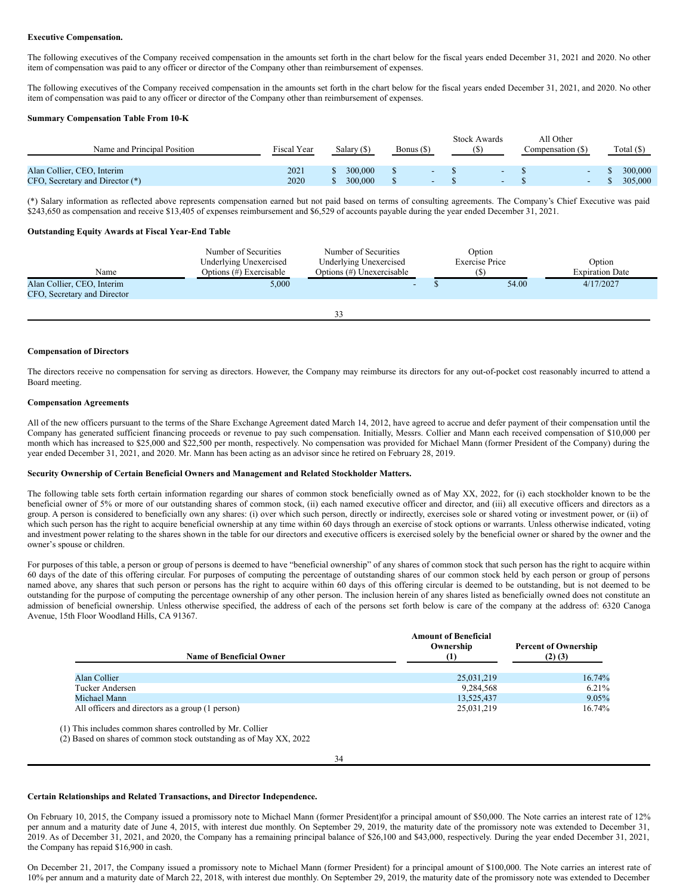## **Executive Compensation.**

The following executives of the Company received compensation in the amounts set forth in the chart below for the fiscal years ended December 31, 2021 and 2020. No other item of compensation was paid to any officer or director of the Company other than reimbursement of expenses.

The following executives of the Company received compensation in the amounts set forth in the chart below for the fiscal years ended December 31, 2021, and 2020. No other item of compensation was paid to any officer or director of the Company other than reimbursement of expenses.

## **Summary Compensation Table From 10-K**

| Name and Principal Position          | <b>Fiscal Year</b> | Salarv (\$ | Bonus (S) | Stock Awards             | All Other<br>Compensation (S | otal (S |
|--------------------------------------|--------------------|------------|-----------|--------------------------|------------------------------|---------|
| Alan Collier, CEO, Interim           | 2021               | 300,000    |           | $\overline{\phantom{a}}$ |                              | 300,000 |
| $CFO$ , Secretary and Director $(*)$ | 2020               | 300,000    |           |                          |                              | 305,000 |

(\*) Salary information as reflected above represents compensation earned but not paid based on terms of consulting agreements. The Company's Chief Executive was paid \$243,650 as compensation and receive \$13,405 of expenses reimbursement and \$6,529 of accounts payable during the year ended December 31, 2021.

## **Outstanding Equity Awards at Fiscal Year-End Table**

| Name                                                      | Number of Securities<br>Underlying Unexercised<br>Options (#) Exercisable | Number of Securities<br>Underlying Unexercised<br>Options (#) Unexercisable | Option<br><b>Exercise Price</b> | Option<br><b>Expiration Date</b> |
|-----------------------------------------------------------|---------------------------------------------------------------------------|-----------------------------------------------------------------------------|---------------------------------|----------------------------------|
| Alan Collier, CEO, Interim<br>CFO, Secretary and Director | 5,000                                                                     |                                                                             | 54.00                           | 4/17/2027                        |
|                                                           |                                                                           | 33                                                                          |                                 |                                  |

## **Compensation of Directors**

The directors receive no compensation for serving as directors. However, the Company may reimburse its directors for any out-of-pocket cost reasonably incurred to attend a Board meeting.

# **Compensation Agreements**

All of the new officers pursuant to the terms of the Share Exchange Agreement dated March 14, 2012, have agreed to accrue and defer payment of their compensation until the Company has generated sufficient financing proceeds or revenue to pay such compensation. Initially, Messrs. Collier and Mann each received compensation of \$10,000 per month which has increased to \$25,000 and \$22,500 per month, respectively. No compensation was provided for Michael Mann (former President of the Company) during the year ended December 31, 2021, and 2020. Mr. Mann has been acting as an advisor since he retired on February 28, 2019.

# **Security Ownership of Certain Beneficial Owners and Management and Related Stockholder Matters.**

The following table sets forth certain information regarding our shares of common stock beneficially owned as of May XX, 2022, for (i) each stockholder known to be the beneficial owner of 5% or more of our outstanding shares of common stock, (ii) each named executive officer and director, and (iii) all executive officers and directors as a group. A person is considered to beneficially own any shares: (i) over which such person, directly or indirectly, exercises sole or shared voting or investment power, or (ii) of which such person has the right to acquire beneficial ownership at any time within 60 days through an exercise of stock options or warrants. Unless otherwise indicated, voting and investment power relating to the shares shown in the table for our directors and executive officers is exercised solely by the beneficial owner or shared by the owner and the owner's spouse or children.

For purposes of this table, a person or group of persons is deemed to have "beneficial ownership" of any shares of common stock that such person has the right to acquire within 60 days of the date of this offering circular. For purposes of computing the percentage of outstanding shares of our common stock held by each person or group of persons named above, any shares that such person or persons has the right to acquire within 60 days of this offering circular is deemed to be outstanding, but is not deemed to be outstanding for the purpose of computing the percentage ownership of any other person. The inclusion herein of any shares listed as beneficially owned does not constitute an admission of beneficial ownership. Unless otherwise specified, the address of each of the persons set forth below is care of the company at the address of: 6320 Canoga Avenue, 15th Floor Woodland Hills, CA 91367.

| <b>Name of Beneficial Owner</b>                  | <b>Amount of Beneficial</b><br>Ownership<br>(1) | <b>Percent of Ownership</b><br>$(2)$ $(3)$ |
|--------------------------------------------------|-------------------------------------------------|--------------------------------------------|
| Alan Collier                                     | 25,031,219                                      | 16.74%                                     |
| Tucker Andersen                                  | 9,284,568                                       | $6.21\%$                                   |
| Michael Mann                                     | 13,525,437                                      | 9.05%                                      |
| All officers and directors as a group (1 person) | 25,031,219                                      | 16.74%                                     |

(1) This includes common shares controlled by Mr. Collier

(2) Based on shares of common stock outstanding as of May XX, 2022

34

#### **Certain Relationships and Related Transactions, and Director Independence.**

On February 10, 2015, the Company issued a promissory note to Michael Mann (former President)for a principal amount of \$50,000. The Note carries an interest rate of 12% per annum and a maturity date of June 4, 2015, with interest due monthly. On September 29, 2019, the maturity date of the promissory note was extended to December 31, 2019. As of December 31, 2021, and 2020, the Company has a remaining principal balance of \$26,100 and \$43,000, respectively. During the year ended December 31, 2021, the Company has repaid \$16,900 in cash.

On December 21, 2017, the Company issued a promissory note to Michael Mann (former President) for a principal amount of \$100,000. The Note carries an interest rate of 10% per annum and a maturity date of March 22, 2018, with interest due monthly. On September 29, 2019, the maturity date of the promissory note was extended to December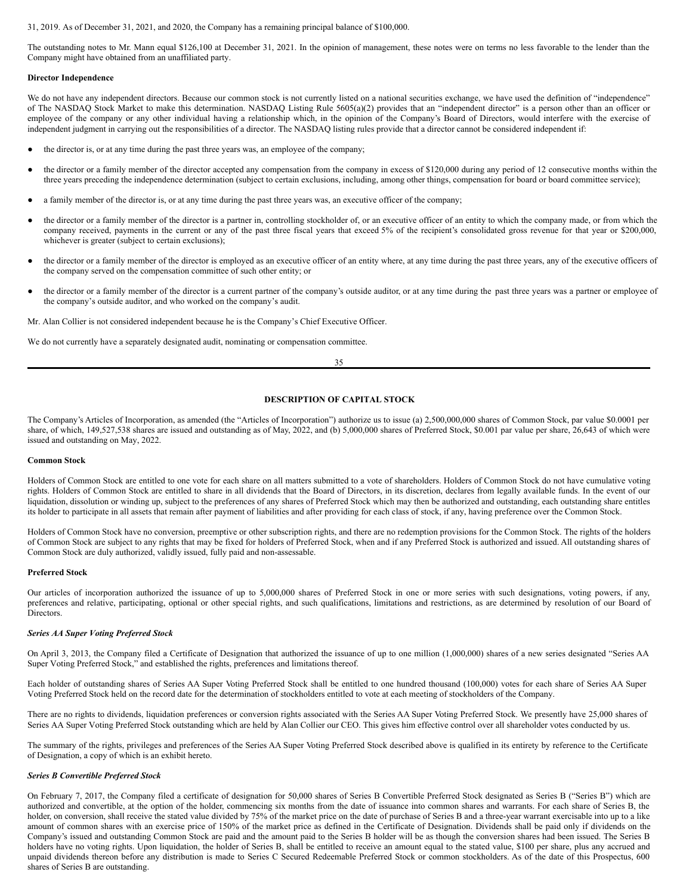31, 2019. As of December 31, 2021, and 2020, the Company has a remaining principal balance of \$100,000.

The outstanding notes to Mr. Mann equal \$126,100 at December 31, 2021. In the opinion of management, these notes were on terms no less favorable to the lender than the Company might have obtained from an unaffiliated party.

## **Director Independence**

We do not have any independent directors. Because our common stock is not currently listed on a national securities exchange, we have used the definition of "independence" of The NASDAQ Stock Market to make this determination. NASDAQ Listing Rule 5605(a)(2) provides that an "independent director" is a person other than an officer or employee of the company or any other individual having a relationship which, in the opinion of the Company's Board of Directors, would interfere with the exercise of independent judgment in carrying out the responsibilities of a director. The NASDAQ listing rules provide that a director cannot be considered independent if:

- the director is, or at any time during the past three years was, an employee of the company;
- the director or a family member of the director accepted any compensation from the company in excess of \$120,000 during any period of 12 consecutive months within the three years preceding the independence determination (subject to certain exclusions, including, among other things, compensation for board or board committee service);
- a family member of the director is, or at any time during the past three years was, an executive officer of the company;
- the director or a family member of the director is a partner in, controlling stockholder of, or an executive officer of an entity to which the company made, or from which the company received, payments in the current or any of the past three fiscal years that exceed 5% of the recipient's consolidated gross revenue for that year or \$200,000, whichever is greater (subject to certain exclusions);
- the director or a family member of the director is employed as an executive officer of an entity where, at any time during the past three years, any of the executive officers of the company served on the compensation committee of such other entity; or
- the director or a family member of the director is a current partner of the company's outside auditor, or at any time during the past three years was a partner or employee of the company's outside auditor, and who worked on the company's audit.

Mr. Alan Collier is not considered independent because he is the Company's Chief Executive Officer.

We do not currently have a separately designated audit, nominating or compensation committee.

35

## **DESCRIPTION OF CAPITAL STOCK**

The Company's Articles of Incorporation, as amended (the "Articles of Incorporation") authorize us to issue (a) 2,500,000,000 shares of Common Stock, par value \$0.0001 per share, of which, 149,527,538 shares are issued and outstanding as of May, 2022, and (b) 5,000,000 shares of Preferred Stock, \$0.001 par value per share, 26,643 of which were issued and outstanding on May, 2022.

## **Common Stock**

Holders of Common Stock are entitled to one vote for each share on all matters submitted to a vote of shareholders. Holders of Common Stock do not have cumulative voting rights. Holders of Common Stock are entitled to share in all dividends that the Board of Directors, in its discretion, declares from legally available funds. In the event of our liquidation, dissolution or winding up, subject to the preferences of any shares of Preferred Stock which may then be authorized and outstanding, each outstanding share entitles its holder to participate in all assets that remain after payment of liabilities and after providing for each class of stock, if any, having preference over the Common Stock.

Holders of Common Stock have no conversion, preemptive or other subscription rights, and there are no redemption provisions for the Common Stock. The rights of the holders of Common Stock are subject to any rights that may be fixed for holders of Preferred Stock, when and if any Preferred Stock is authorized and issued. All outstanding shares of Common Stock are duly authorized, validly issued, fully paid and non-assessable.

# **Preferred Stock**

Our articles of incorporation authorized the issuance of up to 5,000,000 shares of Preferred Stock in one or more series with such designations, voting powers, if any, preferences and relative, participating, optional or other special rights, and such qualifications, limitations and restrictions, as are determined by resolution of our Board of Directors.

# *Series AA Super Voting Preferred Stock*

On April 3, 2013, the Company filed a Certificate of Designation that authorized the issuance of up to one million (1,000,000) shares of a new series designated "Series AA Super Voting Preferred Stock," and established the rights, preferences and limitations thereof.

Each holder of outstanding shares of Series AA Super Voting Preferred Stock shall be entitled to one hundred thousand (100,000) votes for each share of Series AA Super Voting Preferred Stock held on the record date for the determination of stockholders entitled to vote at each meeting of stockholders of the Company.

There are no rights to dividends, liquidation preferences or conversion rights associated with the Series AA Super Voting Preferred Stock. We presently have 25,000 shares of Series AA Super Voting Preferred Stock outstanding which are held by Alan Collier our CEO. This gives him effective control over all shareholder votes conducted by us.

The summary of the rights, privileges and preferences of the Series AA Super Voting Preferred Stock described above is qualified in its entirety by reference to the Certificate of Designation, a copy of which is an exhibit hereto.

# *Series B Convertible Preferred Stock*

On February 7, 2017, the Company filed a certificate of designation for 50,000 shares of Series B Convertible Preferred Stock designated as Series B ("Series B") which are authorized and convertible, at the option of the holder, commencing six months from the date of issuance into common shares and warrants. For each share of Series B, the holder, on conversion, shall receive the stated value divided by 75% of the market price on the date of purchase of Series B and a three-year warrant exercisable into up to a like amount of common shares with an exercise price of 150% of the market price as defined in the Certificate of Designation. Dividends shall be paid only if dividends on the Company's issued and outstanding Common Stock are paid and the amount paid to the Series B holder will be as though the conversion shares had been issued. The Series B holders have no voting rights. Upon liquidation, the holder of Series B, shall be entitled to receive an amount equal to the stated value, \$100 per share, plus any accrued and unpaid dividends thereon before any distribution is made to Series C Secured Redeemable Preferred Stock or common stockholders. As of the date of this Prospectus, 600 shares of Series B are outstanding.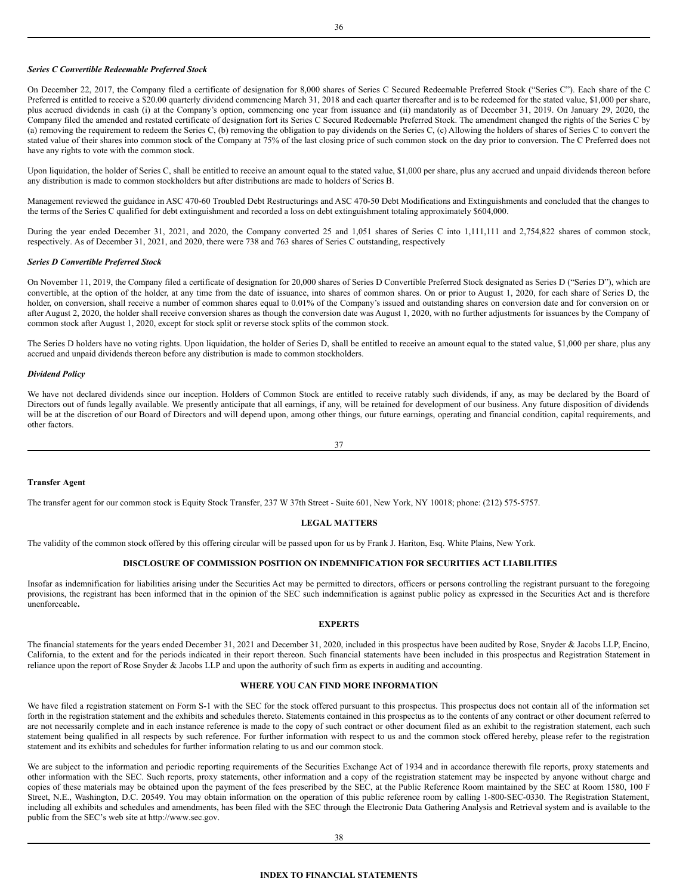# *Series C Convertible Redeemable Preferred Stock*

On December 22, 2017, the Company filed a certificate of designation for 8,000 shares of Series C Secured Redeemable Preferred Stock ("Series C"). Each share of the C Preferred is entitled to receive a \$20.00 quarterly dividend commencing March 31, 2018 and each quarter thereafter and is to be redeemed for the stated value, \$1,000 per share, plus accrued dividends in cash (i) at the Company's option, commencing one year from issuance and (ii) mandatorily as of December 31, 2019. On January 29, 2020, the Company filed the amended and restated certificate of designation fort its Series C Secured Redeemable Preferred Stock. The amendment changed the rights of the Series C by (a) removing the requirement to redeem the Series C, (b) removing the obligation to pay dividends on the Series C, (c) Allowing the holders of shares of Series C to convert the stated value of their shares into common stock of the Company at 75% of the last closing price of such common stock on the day prior to conversion. The C Preferred does not have any rights to vote with the common stock.

Upon liquidation, the holder of Series C, shall be entitled to receive an amount equal to the stated value, \$1,000 per share, plus any accrued and unpaid dividends thereon before any distribution is made to common stockholders but after distributions are made to holders of Series B.

Management reviewed the guidance in ASC 470-60 Troubled Debt Restructurings and ASC 470-50 Debt Modifications and Extinguishments and concluded that the changes to the terms of the Series C qualified for debt extinguishment and recorded a loss on debt extinguishment totaling approximately \$604,000.

During the year ended December 31, 2021, and 2020, the Company converted 25 and 1,051 shares of Series C into 1,111,111 and 2,754,822 shares of common stock, respectively. As of December 31, 2021, and 2020, there were 738 and 763 shares of Series C outstanding, respectively

## *Series D Convertible Preferred Stock*

On November 11, 2019, the Company filed a certificate of designation for 20,000 shares of Series D Convertible Preferred Stock designated as Series D ("Series D"), which are convertible, at the option of the holder, at any time from the date of issuance, into shares of common shares. On or prior to August 1, 2020, for each share of Series D, the holder, on conversion, shall receive a number of common shares equal to 0.01% of the Company's issued and outstanding shares on conversion date and for conversion on or after August 2, 2020, the holder shall receive conversion shares as though the conversion date was August 1, 2020, with no further adjustments for issuances by the Company of common stock after August 1, 2020, except for stock split or reverse stock splits of the common stock.

The Series D holders have no voting rights. Upon liquidation, the holder of Series D, shall be entitled to receive an amount equal to the stated value, \$1,000 per share, plus any accrued and unpaid dividends thereon before any distribution is made to common stockholders.

## *Dividend Policy*

We have not declared dividends since our inception. Holders of Common Stock are entitled to receive ratably such dividends, if any, as may be declared by the Board of Directors out of funds legally available. We presently anticipate that all earnings, if any, will be retained for development of our business. Any future disposition of dividends will be at the discretion of our Board of Directors and will depend upon, among other things, our future earnings, operating and financial condition, capital requirements, and other factors.

37

# **Transfer Agent**

The transfer agent for our common stock is Equity Stock Transfer, 237 W 37th Street - Suite 601, New York, NY 10018; phone: (212) 575-5757.

#### **LEGAL MATTERS**

The validity of the common stock offered by this offering circular will be passed upon for us by Frank J. Hariton, Esq. White Plains, New York.

# **DISCLOSURE OF COMMISSION POSITION ON INDEMNIFICATION FOR SECURITIES ACT LIABILITIES**

Insofar as indemnification for liabilities arising under the Securities Act may be permitted to directors, officers or persons controlling the registrant pursuant to the foregoing provisions, the registrant has been informed that in the opinion of the SEC such indemnification is against public policy as expressed in the Securities Act and is therefore unenforceable**.**

## **EXPERTS**

The financial statements for the years ended December 31, 2021 and December 31, 2020, included in this prospectus have been audited by Rose, Snyder & Jacobs LLP, Encino, California, to the extent and for the periods indicated in their report thereon. Such financial statements have been included in this prospectus and Registration Statement in reliance upon the report of Rose Snyder & Jacobs LLP and upon the authority of such firm as experts in auditing and accounting.

## **WHERE YOU CAN FIND MORE INFORMATION**

We have filed a registration statement on Form S-1 with the SEC for the stock offered pursuant to this prospectus. This prospectus does not contain all of the information set forth in the registration statement and the exhibits and schedules thereto. Statements contained in this prospectus as to the contents of any contract or other document referred to are not necessarily complete and in each instance reference is made to the copy of such contract or other document filed as an exhibit to the registration statement, each such statement being qualified in all respects by such reference. For further information with respect to us and the common stock offered hereby, please refer to the registration statement and its exhibits and schedules for further information relating to us and our common stock.

We are subject to the information and periodic reporting requirements of the Securities Exchange Act of 1934 and in accordance therewith file reports, proxy statements and other information with the SEC. Such reports, proxy statements, other information and a copy of the registration statement may be inspected by anyone without charge and copies of these materials may be obtained upon the payment of the fees prescribed by the SEC, at the Public Reference Room maintained by the SEC at Room 1580, 100 F Street, N.E., Washington, D.C. 20549. You may obtain information on the operation of this public reference room by calling 1-800-SEC-0330. The Registration Statement, including all exhibits and schedules and amendments, has been filed with the SEC through the Electronic Data Gathering Analysis and Retrieval system and is available to the public from the SEC's web site at http://www.sec.gov.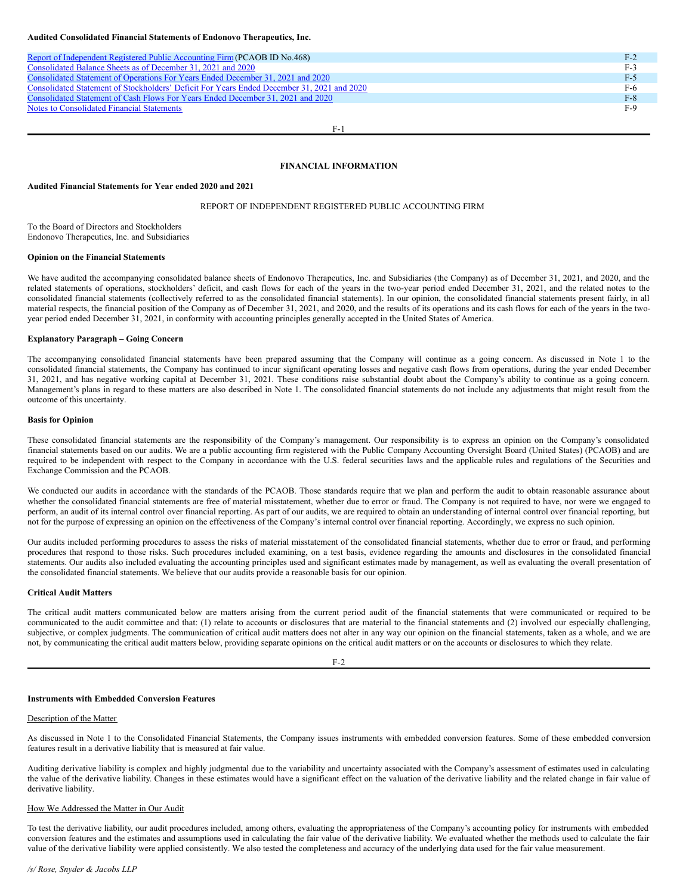## **Audited Consolidated Financial Statements of Endonovo Therapeutics, Inc.**

| Report of Independent Registered Public Accounting Firm (PCAOB ID No.468)                  | $F-2$ |
|--------------------------------------------------------------------------------------------|-------|
|                                                                                            |       |
| Consolidated Balance Sheets as of December 31, 2021 and 2020                               | $F-3$ |
| Consolidated Statement of Operations For Years Ended December 31, 2021 and 2020            | $F-5$ |
|                                                                                            |       |
| Consolidated Statement of Stockholders' Deficit For Years Ended December 31, 2021 and 2020 | $F-6$ |
| Consolidated Statement of Cash Flows For Years Ended December 31, 2021 and 2020            | $F-8$ |
|                                                                                            |       |
| Notes to Consolidated Financial Statements                                                 | $F-9$ |
|                                                                                            |       |

F-1

## **FINANCIAL INFORMATION**

## **Audited Financial Statements for Year ended 2020 and 2021**

## <span id="page-22-0"></span>REPORT OF INDEPENDENT REGISTERED PUBLIC ACCOUNTING FIRM

To the Board of Directors and Stockholders Endonovo Therapeutics, Inc. and Subsidiaries

#### **Opinion on the Financial Statements**

We have audited the accompanying consolidated balance sheets of Endonovo Therapeutics, Inc. and Subsidiaries (the Company) as of December 31, 2021, and 2020, and the related statements of operations, stockholders' deficit, and cash flows for each of the years in the two-year period ended December 31, 2021, and the related notes to the consolidated financial statements (collectively referred to as the consolidated financial statements). In our opinion, the consolidated financial statements present fairly, in all material respects, the financial position of the Company as of December 31, 2021, and 2020, and the results of its operations and its cash flows for each of the years in the twoyear period ended December 31, 2021, in conformity with accounting principles generally accepted in the United States of America.

## **Explanatory Paragraph – Going Concern**

The accompanying consolidated financial statements have been prepared assuming that the Company will continue as a going concern. As discussed in Note 1 to the consolidated financial statements, the Company has continued to incur significant operating losses and negative cash flows from operations, during the year ended December 31, 2021, and has negative working capital at December 31, 2021. These conditions raise substantial doubt about the Company's ability to continue as a going concern. Management's plans in regard to these matters are also described in Note 1. The consolidated financial statements do not include any adjustments that might result from the outcome of this uncertainty.

# **Basis for Opinion**

These consolidated financial statements are the responsibility of the Company's management. Our responsibility is to express an opinion on the Company's consolidated financial statements based on our audits. We are a public accounting firm registered with the Public Company Accounting Oversight Board (United States) (PCAOB) and are required to be independent with respect to the Company in accordance with the U.S. federal securities laws and the applicable rules and regulations of the Securities and Exchange Commission and the PCAOB.

We conducted our audits in accordance with the standards of the PCAOB. Those standards require that we plan and perform the audit to obtain reasonable assurance about whether the consolidated financial statements are free of material misstatement, whether due to error or fraud. The Company is not required to have, nor were we engaged to perform, an audit of its internal control over financial reporting. As part of our audits, we are required to obtain an understanding of internal control over financial reporting, but not for the purpose of expressing an opinion on the effectiveness of the Company's internal control over financial reporting. Accordingly, we express no such opinion.

Our audits included performing procedures to assess the risks of material misstatement of the consolidated financial statements, whether due to error or fraud, and performing procedures that respond to those risks. Such procedures included examining, on a test basis, evidence regarding the amounts and disclosures in the consolidated financial statements. Our audits also included evaluating the accounting principles used and significant estimates made by management, as well as evaluating the overall presentation of the consolidated financial statements. We believe that our audits provide a reasonable basis for our opinion.

# **Critical Audit Matters**

The critical audit matters communicated below are matters arising from the current period audit of the financial statements that were communicated or required to be communicated to the audit committee and that: (1) relate to accounts or disclosures that are material to the financial statements and (2) involved our especially challenging, subjective, or complex judgments. The communication of critical audit matters does not alter in any way our opinion on the financial statements, taken as a whole, and we are not, by communicating the critical audit matters below, providing separate opinions on the critical audit matters or on the accounts or disclosures to which they relate.

# $F-2$

## **Instruments with Embedded Conversion Features**

# Description of the Matter

As discussed in Note 1 to the Consolidated Financial Statements, the Company issues instruments with embedded conversion features. Some of these embedded conversion features result in a derivative liability that is measured at fair value.

Auditing derivative liability is complex and highly judgmental due to the variability and uncertainty associated with the Company's assessment of estimates used in calculating the value of the derivative liability. Changes in these estimates would have a significant effect on the valuation of the derivative liability and the related change in fair value of derivative liability.

#### How We Addressed the Matter in Our Audit

To test the derivative liability, our audit procedures included, among others, evaluating the appropriateness of the Company's accounting policy for instruments with embedded conversion features and the estimates and assumptions used in calculating the fair value of the derivative liability. We evaluated whether the methods used to calculate the fair value of the derivative liability were applied consistently. We also tested the completeness and accuracy of the underlying data used for the fair value measurement.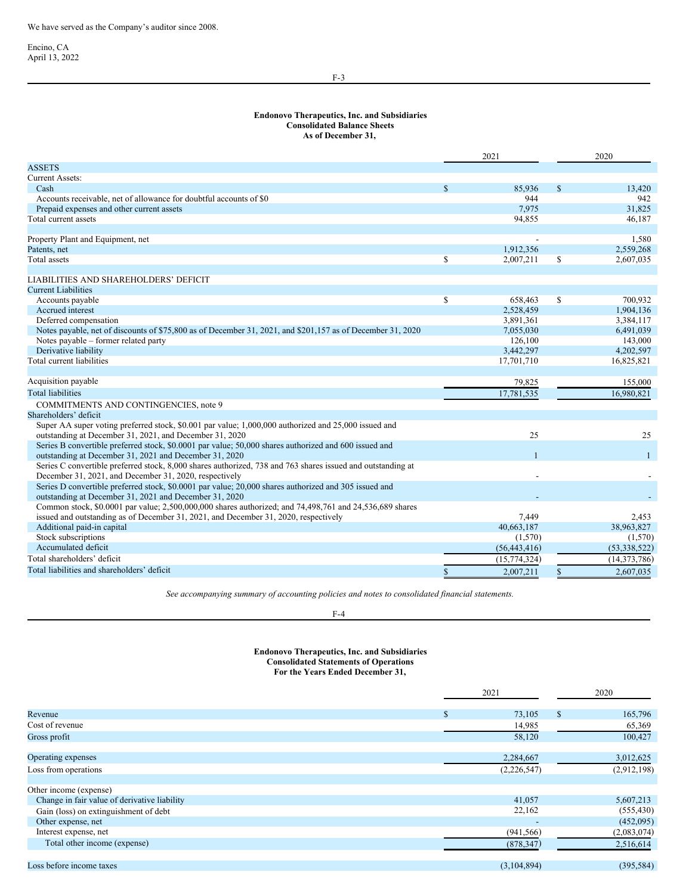Encino, CA April 13, 2022

F-3

## <span id="page-23-0"></span>**Endonovo Therapeutics, Inc. and Subsidiaries Consolidated Balance Sheets As of December 31,**

|                                                                                                                                                                 |              | 2021           |              | 2020           |
|-----------------------------------------------------------------------------------------------------------------------------------------------------------------|--------------|----------------|--------------|----------------|
| <b>ASSETS</b>                                                                                                                                                   |              |                |              |                |
| <b>Current Assets:</b>                                                                                                                                          |              |                |              |                |
| Cash                                                                                                                                                            | $\mathbb{S}$ | 85,936         | $\mathbb{S}$ | 13,420         |
| Accounts receivable, net of allowance for doubtful accounts of \$0                                                                                              |              | 944            |              | 942            |
| Prepaid expenses and other current assets                                                                                                                       |              | 7.975          |              | 31.825         |
| Total current assets                                                                                                                                            |              | 94,855         |              | 46,187         |
|                                                                                                                                                                 |              |                |              |                |
| Property Plant and Equipment, net                                                                                                                               |              |                |              | 1.580          |
| Patents, net                                                                                                                                                    |              | 1,912,356      |              | 2,559,268      |
| Total assets                                                                                                                                                    | \$           | 2,007,211      | \$           | 2,607,035      |
| LIABILITIES AND SHAREHOLDERS' DEFICIT                                                                                                                           |              |                |              |                |
| <b>Current Liabilities</b>                                                                                                                                      |              |                |              |                |
| Accounts payable                                                                                                                                                | \$           | 658,463        | \$           | 700,932        |
| Accrued interest                                                                                                                                                |              | 2,528,459      |              | 1,904,136      |
| Deferred compensation                                                                                                                                           |              | 3,891,361      |              | 3,384,117      |
| Notes payable, net of discounts of \$75,800 as of December 31, 2021, and \$201,157 as of December 31, 2020                                                      |              | 7,055,030      |              | 6,491,039      |
| Notes payable – former related party                                                                                                                            |              | 126,100        |              | 143,000        |
| Derivative liability                                                                                                                                            |              | 3,442,297      |              | 4,202,597      |
| Total current liabilities                                                                                                                                       |              | 17,701,710     |              | 16,825,821     |
|                                                                                                                                                                 |              |                |              |                |
| Acquisition payable                                                                                                                                             |              | 79,825         |              | 155,000        |
| <b>Total liabilities</b>                                                                                                                                        |              | 17,781,535     |              | 16,980,821     |
| COMMITMENTS AND CONTINGENCIES, note 9                                                                                                                           |              |                |              |                |
| Shareholders' deficit                                                                                                                                           |              |                |              |                |
| Super AA super voting preferred stock, \$0.001 par value; 1,000,000 authorized and 25,000 issued and<br>outstanding at December 31, 2021, and December 31, 2020 |              | 25             |              | 25             |
| Series B convertible preferred stock, \$0,0001 par value; 50,000 shares authorized and 600 issued and                                                           |              |                |              |                |
| outstanding at December 31, 2021 and December 31, 2020                                                                                                          |              | $\mathbf{1}$   |              | 1              |
| Series C convertible preferred stock, 8,000 shares authorized, 738 and 763 shares issued and outstanding at                                                     |              |                |              |                |
| December 31, 2021, and December 31, 2020, respectively                                                                                                          |              |                |              |                |
| Series D convertible preferred stock, \$0.0001 par value; 20,000 shares authorized and 305 issued and                                                           |              |                |              |                |
| outstanding at December 31, 2021 and December 31, 2020                                                                                                          |              |                |              |                |
| Common stock, \$0.0001 par value; 2,500,000,000 shares authorized; and 74,498,761 and 24,536,689 shares                                                         |              |                |              |                |
| issued and outstanding as of December 31, 2021, and December 31, 2020, respectively                                                                             |              | 7,449          |              | 2,453          |
| Additional paid-in capital                                                                                                                                      |              | 40,663,187     |              | 38,963,827     |
| Stock subscriptions                                                                                                                                             |              | (1,570)        |              | (1,570)        |
| Accumulated deficit                                                                                                                                             |              | (56, 443, 416) |              | (53,338,522)   |
| Total shareholders' deficit                                                                                                                                     |              | (15,774,324)   |              | (14, 373, 786) |
| Total liabilities and shareholders' deficit                                                                                                                     | \$           | 2,007,211      | \$           | 2,607,035      |

*See accompanying summary of accounting policies and notes to consolidated financial statements.*

F-4

# <span id="page-23-1"></span>**Endonovo Therapeutics, Inc. and Subsidiaries Consolidated Statements of Operations For the Years Ended December 31,**

|                                              |    | 2021        |               | 2020        |
|----------------------------------------------|----|-------------|---------------|-------------|
| Revenue                                      | S. | 73,105      | <sup>\$</sup> | 165,796     |
| Cost of revenue                              |    | 14,985      |               | 65,369      |
| Gross profit                                 |    | 58,120      |               | 100,427     |
| Operating expenses                           |    | 2,284,667   |               | 3,012,625   |
| Loss from operations                         |    | (2,226,547) |               | (2,912,198) |
| Other income (expense)                       |    |             |               |             |
| Change in fair value of derivative liability |    | 41,057      |               | 5,607,213   |
| Gain (loss) on extinguishment of debt        |    | 22,162      |               | (555, 430)  |
| Other expense, net                           |    |             |               | (452,095)   |
| Interest expense, net                        |    | (941, 566)  |               | (2,083,074) |
| Total other income (expense)                 |    | (878, 347)  |               | 2,516,614   |
| Loss before income taxes                     |    | (3,104,894) |               | (395, 584)  |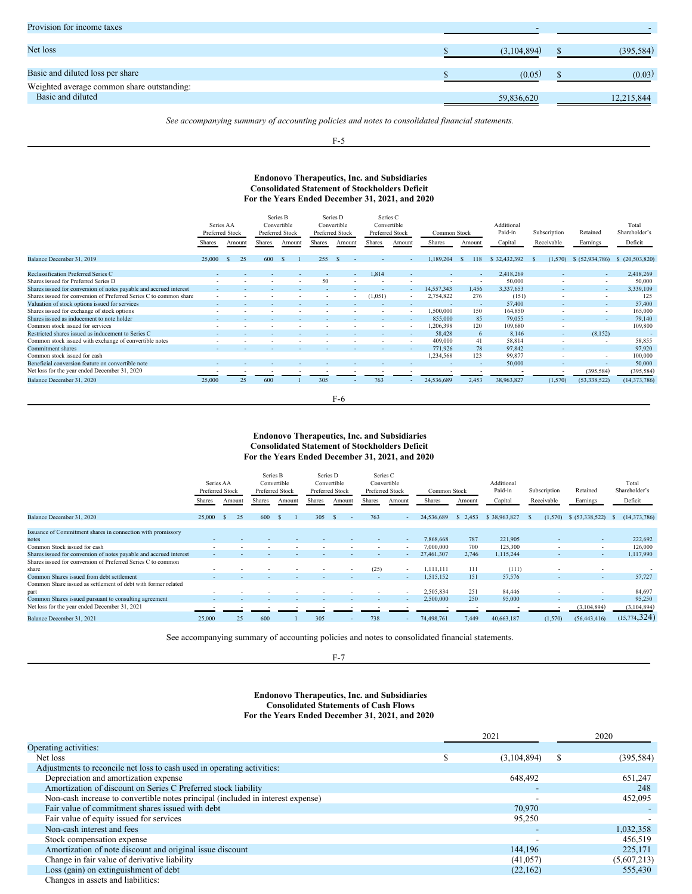| Provision for income taxes                                                     |             |            |
|--------------------------------------------------------------------------------|-------------|------------|
| Net loss                                                                       | (3.104.894) | (395, 584) |
| Basic and diluted loss per share<br>Weighted average common share outstanding: | (0.05)      | (0.03)     |
| Basic and diluted                                                              | 59,836,620  | 12,215,844 |

*See accompanying summary of accounting policies and notes to consolidated financial statements.*

F-5

# <span id="page-24-0"></span>**Endonovo Therapeutics, Inc. and Subsidiaries Consolidated Statement of Stockholders Deficit For the Years Ended December 31, 2021, and 2020**

|                                                                    | Series AA<br>Preferred Stock |        |        | Series B<br>Convertible<br>Preferred Stock |        | Series D<br>Convertible<br>Preferred Stock |                          | Series C<br>Convertible<br>Preferred Stock | Common Stock |        | Additional<br>Paid-in | Subscription   | Retained        | Total<br>Shareholder's |
|--------------------------------------------------------------------|------------------------------|--------|--------|--------------------------------------------|--------|--------------------------------------------|--------------------------|--------------------------------------------|--------------|--------|-----------------------|----------------|-----------------|------------------------|
|                                                                    | Shares                       | Amount | Shares | Amount                                     | Shares | Amount                                     | Shares                   | Amount                                     | Shares       | Amount | Capital               | Receivable     | Earnings        | Deficit                |
| Balance December 31, 2019                                          | 25,000                       | 25     | 600    | $\mathbf S$                                | 255    |                                            |                          |                                            | 1.189.204    | 118    | \$32,432,392          | (1,570)        | \$ (52,934,786) | (20,503,820)           |
| Reclassification Preferred Series C                                |                              |        |        |                                            |        |                                            | 1,814                    |                                            |              | $\sim$ | 2,418,269             |                | ۰               | 2,418,269              |
| Shares issued for Preferred Series D                               |                              |        |        |                                            | 50     |                                            |                          |                                            |              |        | 50,000                |                | $\sim$          | 50,000                 |
| Shares issued for conversion of notes payable and accrued interest |                              |        |        |                                            |        |                                            | $\overline{\phantom{a}}$ | $\sim$                                     | 14,557,343   | 1,456  | 3,337,653             |                | $\sim$          | 3,339,109              |
| Shares issued for conversion of Preferred Series C to common share |                              |        |        |                                            |        |                                            | (1,051)                  | $\sim$                                     | 2,754,822    | 276    | (151)                 |                | $\sim$          | 125                    |
| Valuation of stock options issued for services                     |                              |        |        |                                            |        |                                            |                          |                                            |              |        | 57,400                |                | $\sim$          | 57,400                 |
| Shares issued for exchange of stock options                        |                              |        |        |                                            |        |                                            | $\sim$                   |                                            | 1,500,000    | 150    | 164,850               |                | ٠               | 165,000                |
| Shares issued as inducement to note holder                         |                              |        |        |                                            |        |                                            |                          |                                            | 855,000      | 85     | 79,055                | $\overline{a}$ | ٠               | 79,140                 |
| Common stock issued for services                                   |                              |        |        |                                            |        |                                            |                          |                                            | 1,206,398    | 120    | 109,680               |                |                 | 109,800                |
| Restricted shares issued as inducement to Series C                 |                              |        |        |                                            |        |                                            |                          |                                            | 58,428       | 6      | 8,146                 | $\sim$         | (8, 152)        |                        |
| Common stock issued with exchange of convertible notes             |                              |        |        |                                            |        |                                            |                          |                                            | 409,000      | 41     | 58,814                |                |                 | 58,855                 |
| Commitment shares                                                  |                              |        |        |                                            |        |                                            |                          |                                            | 771,926      | 78     | 97,842                | $\sim$         |                 | 97,920                 |
| Common stock issued for cash                                       |                              |        |        |                                            |        |                                            |                          |                                            | 1,234,568    | 123    | 99,877                |                |                 | 100,000                |
| Beneficial conversion feature on convertible note                  |                              |        |        |                                            |        |                                            |                          |                                            |              |        | 50,000                |                |                 | 50,000                 |
| Net loss for the year ended December 31, 2020                      |                              |        |        |                                            |        |                                            |                          |                                            |              |        |                       |                | (395, 584)      | (395, 584)             |
| Balance December 31, 2020                                          | 25,000                       | 25     | 600    |                                            | 305    |                                            | 763                      |                                            | 24,536,689   | 2,453  | 38,963,827            | (1,570)        | (53,338,522)    | (14,373,786)           |
|                                                                    |                              |        |        |                                            |        | $F-6$                                      |                          |                                            |              |        |                       |                |                 |                        |

# **Endonovo Therapeutics, Inc. and Subsidiaries Consolidated Statement of Stockholders Deficit For the Years Ended December 31, 2021, and 2020**

|                                                                                                                                    | Series AA<br>Preferred Stock |          | Series B<br>Convertible<br>Preferred Stock |        | Series D<br>Convertible<br>Preferred Stock |                          | Series C<br>Convertible<br>Preferred Stock |                          | Common Stock |            | Additional<br>Paid-in | Subscription             | Retained                 | Total<br>Shareholder's   |
|------------------------------------------------------------------------------------------------------------------------------------|------------------------------|----------|--------------------------------------------|--------|--------------------------------------------|--------------------------|--------------------------------------------|--------------------------|--------------|------------|-----------------------|--------------------------|--------------------------|--------------------------|
|                                                                                                                                    | <b>Shares</b>                | Amount   | <b>Shares</b>                              | Amount | Shares                                     | Amount                   | <b>Shares</b>                              | Amount                   | Shares       | Amount     | Capital               | Receivable               | Earnings                 | Deficit                  |
| Balance December 31, 2020                                                                                                          | 25,000                       | 25<br>-8 | 600                                        |        | 305                                        | -8                       | 763                                        | $\sim$                   | 24,536,689   | 2.453<br>S | \$38,963,827          | (1,570)                  | \$ (53,338,522)          | (14,373,786)             |
| Issuance of Commitment shares in connection with promissory<br>notes                                                               |                              |          |                                            |        |                                            |                          |                                            |                          | 7.868.668    | 787        | 221,905               |                          | $\sim$                   | 222,692                  |
| Common Stock issued for cash                                                                                                       | $\sim$                       |          |                                            |        |                                            |                          |                                            | $\overline{\phantom{a}}$ | 7,000,000    | 700        | 125,300               | $\overline{\phantom{a}}$ | $\overline{a}$           | 126,000                  |
| Shares issued for conversion of notes payable and accrued interest<br>Shares issued for conversion of Preferred Series C to common |                              |          |                                            |        |                                            |                          |                                            |                          | 27,461,307   | 2,746      | 1,115,244             | $\overline{\phantom{a}}$ | $\overline{\phantom{a}}$ | 1,117,990                |
| share                                                                                                                              |                              |          |                                            |        |                                            | $\overline{\phantom{a}}$ | (25)                                       | $\sim$                   | 1.111.111    | 111        | (111)                 | ٠                        | $\overline{\phantom{a}}$ | $\overline{\phantom{a}}$ |
| Common Shares issued from debt settlement                                                                                          |                              |          |                                            |        |                                            |                          |                                            | $\sim$                   | 1.515.152    | 151        | 57,576                | $\overline{\phantom{a}}$ | $\overline{a}$           | 57,727                   |
| Common Share issued as settlement of debt with former related<br>part                                                              |                              |          |                                            |        |                                            |                          |                                            | $\overline{\phantom{a}}$ | 2.505.834    | 251        | 84,446                |                          | $\overline{\phantom{a}}$ | 84,697                   |
| Common Shares issued pursuant to consulting agreement                                                                              | ۰                            |          |                                            |        |                                            |                          |                                            | $\sim$                   | 2,500,000    | 250        | 95,000                | $\overline{\phantom{a}}$ | ۰.                       | 95,250                   |
| Net loss for the year ended December 31, 2021                                                                                      |                              |          |                                            |        |                                            |                          |                                            |                          |              |            |                       |                          | (3,104,894)              | (3,104,894)              |
| Balance December 31, 2021                                                                                                          | 25,000                       | 25       | 600                                        |        | 305                                        | $\overline{\phantom{a}}$ | 738                                        | ٠                        | 74.498.761   | 7.449      | 40.663.187            | (1,570)                  | (56, 443, 416)           | (15,774,324)             |

See accompanying summary of accounting policies and notes to consolidated financial statements.

F-7

<span id="page-24-1"></span>**Endonovo Therapeutics, Inc. and Subsidiaries Consolidated Statements of Cash Flows For the Years Ended December 31, 2021, and 2020**

|                                                                                 | 2021        |   | 2020        |
|---------------------------------------------------------------------------------|-------------|---|-------------|
| Operating activities:                                                           |             |   |             |
| Net loss                                                                        | (3,104,894) | S | (395, 584)  |
| Adjustments to reconcile net loss to cash used in operating activities:         |             |   |             |
| Depreciation and amortization expense                                           | 648,492     |   | 651.247     |
| Amortization of discount on Series C Preferred stock liability                  |             |   | 248         |
| Non-cash increase to convertible notes principal (included in interest expense) |             |   | 452,095     |
| Fair value of commitment shares issued with debt                                | 70,970      |   |             |
| Fair value of equity issued for services                                        | 95,250      |   |             |
| Non-cash interest and fees                                                      |             |   | 1,032,358   |
| Stock compensation expense                                                      |             |   | 456,519     |
| Amortization of note discount and original issue discount                       | 144,196     |   | 225,171     |
| Change in fair value of derivative liability                                    | (41,057)    |   | (5,607,213) |
| Loss (gain) on extinguishment of debt                                           | (22, 162)   |   | 555,430     |
| Changes in assets and liabilities:                                              |             |   |             |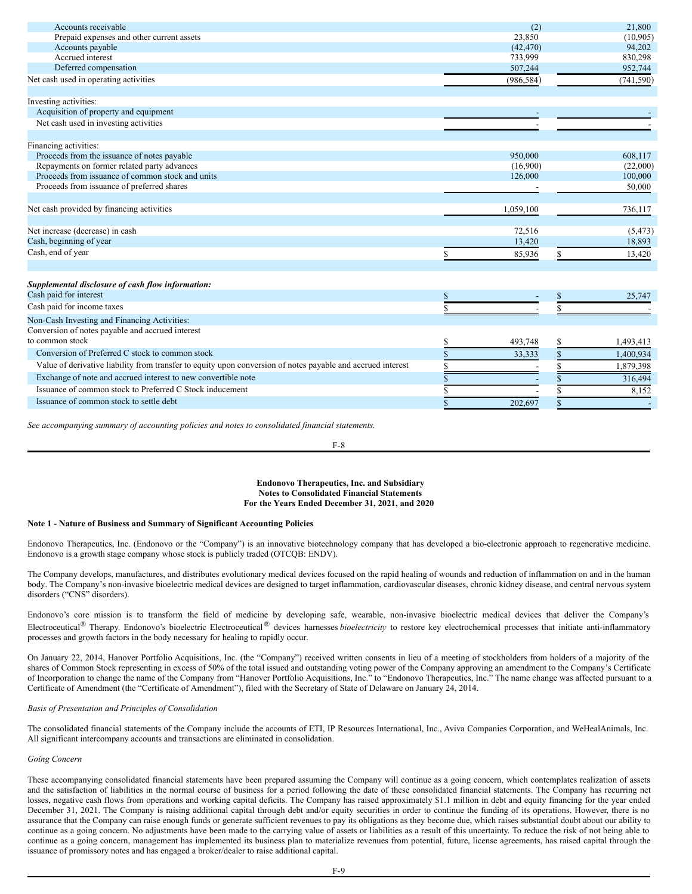| Accounts receivable                                                                                         |             | (2)        | 21,800       |
|-------------------------------------------------------------------------------------------------------------|-------------|------------|--------------|
| Prepaid expenses and other current assets                                                                   |             | 23,850     | (10, 905)    |
| Accounts payable                                                                                            |             | (42, 470)  | 94,202       |
| Accrued interest                                                                                            |             | 733,999    | 830,298      |
| Deferred compensation                                                                                       |             | 507,244    | 952,744      |
| Net cash used in operating activities                                                                       |             | (986, 584) | (741, 590)   |
|                                                                                                             |             |            |              |
| Investing activities:<br>Acquisition of property and equipment                                              |             |            |              |
|                                                                                                             |             |            |              |
| Net cash used in investing activities                                                                       |             |            |              |
| Financing activities:                                                                                       |             |            |              |
| Proceeds from the issuance of notes payable                                                                 |             | 950,000    | 608,117      |
| Repayments on former related party advances                                                                 |             | (16,900)   | (22,000)     |
| Proceeds from issuance of common stock and units                                                            |             | 126,000    | 100,000      |
| Proceeds from issuance of preferred shares                                                                  |             |            | 50,000       |
| Net cash provided by financing activities                                                                   |             | 1,059,100  | 736,117      |
| Net increase (decrease) in cash                                                                             |             | 72,516     | (5, 473)     |
| Cash, beginning of year                                                                                     |             | 13,420     | 18,893       |
| Cash, end of year                                                                                           |             | 85,936     | 13,420       |
|                                                                                                             |             |            |              |
| Supplemental disclosure of cash flow information:                                                           |             |            |              |
| Cash paid for interest                                                                                      | \$          |            | \$<br>25,747 |
| Cash paid for income taxes                                                                                  |             |            |              |
| Non-Cash Investing and Financing Activities:                                                                |             |            |              |
| Conversion of notes payable and accrued interest                                                            |             |            |              |
| to common stock                                                                                             | \$          | 493,748    | 1,493,413    |
| Conversion of Preferred C stock to common stock                                                             | S           | 33,333     | 1,400,934    |
| Value of derivative liability from transfer to equity upon conversion of notes payable and accrued interest | S           |            | 1,879,398    |
| Exchange of note and accrued interest to new convertible note                                               | S           |            | 316,494      |
| Issuance of common stock to Preferred C Stock inducement                                                    |             |            | 8,152        |
| Issuance of common stock to settle debt                                                                     | $\mathbf S$ | 202,697    |              |

*See accompanying summary of accounting policies and notes to consolidated financial statements.*

F-8

# <span id="page-25-0"></span>**Endonovo Therapeutics, Inc. and Subsidiary Notes to Consolidated Financial Statements For the Years Ended December 31, 2021, and 2020**

# **Note 1 - Nature of Business and Summary of Significant Accounting Policies**

Endonovo Therapeutics, Inc. (Endonovo or the "Company") is an innovative biotechnology company that has developed a bio-electronic approach to regenerative medicine. Endonovo is a growth stage company whose stock is publicly traded (OTCQB: ENDV).

The Company develops, manufactures, and distributes evolutionary medical devices focused on the rapid healing of wounds and reduction of inflammation on and in the human body. The Company's non-invasive bioelectric medical devices are designed to target inflammation, cardiovascular diseases, chronic kidney disease, and central nervous system disorders ("CNS" disorders).

Endonovo's core mission is to transform the field of medicine by developing safe, wearable, non-invasive bioelectric medical devices that deliver the Company's Electroceutical<sup>®</sup> Therapy. Endonovo's bioelectric Electroceutical® devices harnesses *bioelectricity* to restore key electrochemical processes that initiate anti-inflammatory processes and growth factors in the body necessary for healing to rapidly occur.

On January 22, 2014, Hanover Portfolio Acquisitions, Inc. (the "Company") received written consents in lieu of a meeting of stockholders from holders of a majority of the shares of Common Stock representing in excess of 50% of the total issued and outstanding voting power of the Company approving an amendment to the Company's Certificate of Incorporation to change the name of the Company from "Hanover Portfolio Acquisitions, Inc." to "Endonovo Therapeutics, Inc." The name change was affected pursuant to a Certificate of Amendment (the "Certificate of Amendment"), filed with the Secretary of State of Delaware on January 24, 2014.

# *Basis of Presentation and Principles of Consolidation*

The consolidated financial statements of the Company include the accounts of ETI, IP Resources International, Inc., Aviva Companies Corporation, and WeHealAnimals, Inc. All significant intercompany accounts and transactions are eliminated in consolidation.

# *Going Concern*

These accompanying consolidated financial statements have been prepared assuming the Company will continue as a going concern, which contemplates realization of assets and the satisfaction of liabilities in the normal course of business for a period following the date of these consolidated financial statements. The Company has recurring net losses, negative cash flows from operations and working capital deficits. The Company has raised approximately \$1.1 million in debt and equity financing for the year ended December 31, 2021. The Company is raising additional capital through debt and/or equity securities in order to continue the funding of its operations. However, there is no assurance that the Company can raise enough funds or generate sufficient revenues to pay its obligations as they become due, which raises substantial doubt about our ability to continue as a going concern. No adjustments have been made to the carrying value of assets or liabilities as a result of this uncertainty. To reduce the risk of not being able to continue as a going concern, management has implemented its business plan to materialize revenues from potential, future, license agreements, has raised capital through the issuance of promissory notes and has engaged a broker/dealer to raise additional capital.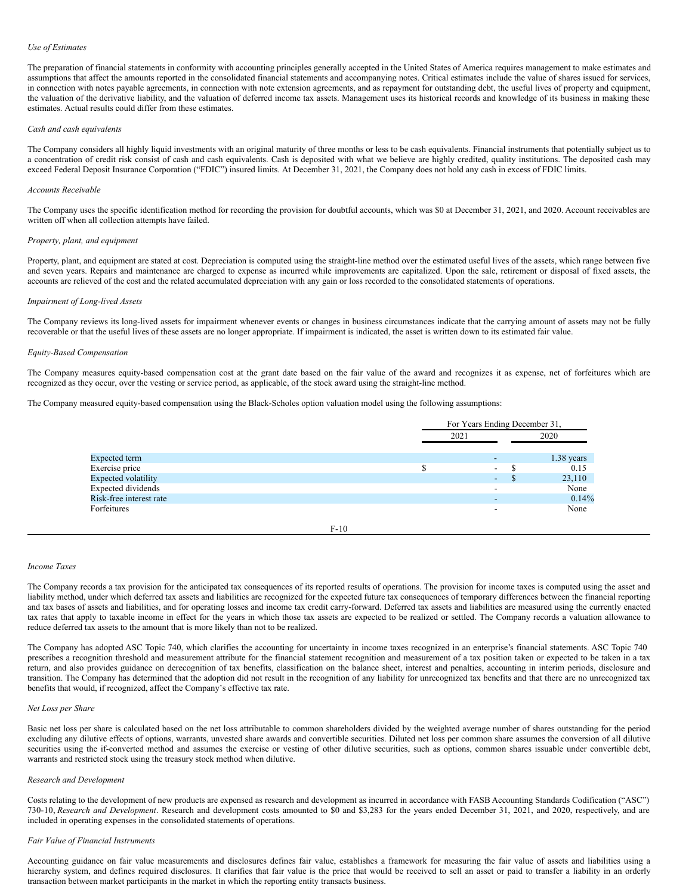# *Use of Estimates*

The preparation of financial statements in conformity with accounting principles generally accepted in the United States of America requires management to make estimates and assumptions that affect the amounts reported in the consolidated financial statements and accompanying notes. Critical estimates include the value of shares issued for services, in connection with notes payable agreements, in connection with note extension agreements, and as repayment for outstanding debt, the useful lives of property and equipment, the valuation of the derivative liability, and the valuation of deferred income tax assets. Management uses its historical records and knowledge of its business in making these estimates. Actual results could differ from these estimates.

#### *Cash and cash equivalents*

The Company considers all highly liquid investments with an original maturity of three months or less to be cash equivalents. Financial instruments that potentially subject us to a concentration of credit risk consist of cash and cash equivalents. Cash is deposited with what we believe are highly credited, quality institutions. The deposited cash may exceed Federal Deposit Insurance Corporation ("FDIC") insured limits. At December 31, 2021, the Company does not hold any cash in excess of FDIC limits.

#### *Accounts Receivable*

The Company uses the specific identification method for recording the provision for doubtful accounts, which was \$0 at December 31, 2021, and 2020. Account receivables are written off when all collection attempts have failed.

#### *Property, plant, and equipment*

Property, plant, and equipment are stated at cost. Depreciation is computed using the straight-line method over the estimated useful lives of the assets, which range between five and seven years. Repairs and maintenance are charged to expense as incurred while improvements are capitalized. Upon the sale, retirement or disposal of fixed assets, the accounts are relieved of the cost and the related accumulated depreciation with any gain or loss recorded to the consolidated statements of operations.

#### *Impairment of Long-lived Assets*

The Company reviews its long-lived assets for impairment whenever events or changes in business circumstances indicate that the carrying amount of assets may not be fully recoverable or that the useful lives of these assets are no longer appropriate. If impairment is indicated, the asset is written down to its estimated fair value.

#### *Equity-Based Compensation*

The Company measures equity-based compensation cost at the grant date based on the fair value of the award and recognizes it as expense, net of forfeitures which are recognized as they occur, over the vesting or service period, as applicable, of the stock award using the straight-line method.

The Company measured equity-based compensation using the Black-Scholes option valuation model using the following assumptions:

|                            | For Years Ending December 31, |   |            |
|----------------------------|-------------------------------|---|------------|
|                            | 2021                          |   | 2020       |
| <b>Expected</b> term       | $\overline{\phantom{a}}$      |   | 1.38 years |
| Exercise price             | $\sim$                        | S | 0.15       |
| <b>Expected volatility</b> | $\sim$                        | S | 23,110     |
| Expected dividends         |                               |   | None       |
| Risk-free interest rate    |                               |   | 0.14%      |
| Forfeitures                |                               |   | None       |
|                            |                               |   |            |

$$
F-10
$$

## *Income Taxes*

The Company records a tax provision for the anticipated tax consequences of its reported results of operations. The provision for income taxes is computed using the asset and liability method, under which deferred tax assets and liabilities are recognized for the expected future tax consequences of temporary differences between the financial reporting and tax bases of assets and liabilities, and for operating losses and income tax credit carry-forward. Deferred tax assets and liabilities are measured using the currently enacted tax rates that apply to taxable income in effect for the years in which those tax assets are expected to be realized or settled. The Company records a valuation allowance to reduce deferred tax assets to the amount that is more likely than not to be realized.

The Company has adopted ASC Topic 740, which clarifies the accounting for uncertainty in income taxes recognized in an enterprise's financial statements. ASC Topic 740 prescribes a recognition threshold and measurement attribute for the financial statement recognition and measurement of a tax position taken or expected to be taken in a tax return, and also provides guidance on derecognition of tax benefits, classification on the balance sheet, interest and penalties, accounting in interim periods, disclosure and transition. The Company has determined that the adoption did not result in the recognition of any liability for unrecognized tax benefits and that there are no unrecognized tax benefits that would, if recognized, affect the Company's effective tax rate.

# *Net Loss per Share*

Basic net loss per share is calculated based on the net loss attributable to common shareholders divided by the weighted average number of shares outstanding for the period excluding any dilutive effects of options, warrants, unvested share awards and convertible securities. Diluted net loss per common share assumes the conversion of all dilutive securities using the if-converted method and assumes the exercise or vesting of other dilutive securities, such as options, common shares issuable under convertible debt, warrants and restricted stock using the treasury stock method when dilutive.

## *Research and Development*

Costs relating to the development of new products are expensed as research and development as incurred in accordance with FASB Accounting Standards Codification ("ASC") 730-10, *Research and Development*. Research and development costs amounted to \$0 and \$3,283 for the years ended December 31, 2021, and 2020, respectively, and are included in operating expenses in the consolidated statements of operations.

# *Fair Value of Financial Instruments*

Accounting guidance on fair value measurements and disclosures defines fair value, establishes a framework for measuring the fair value of assets and liabilities using a hierarchy system, and defines required disclosures. It clarifies that fair value is the price that would be received to sell an asset or paid to transfer a liability in an orderly transaction between market participants in the market in which the reporting entity transacts business.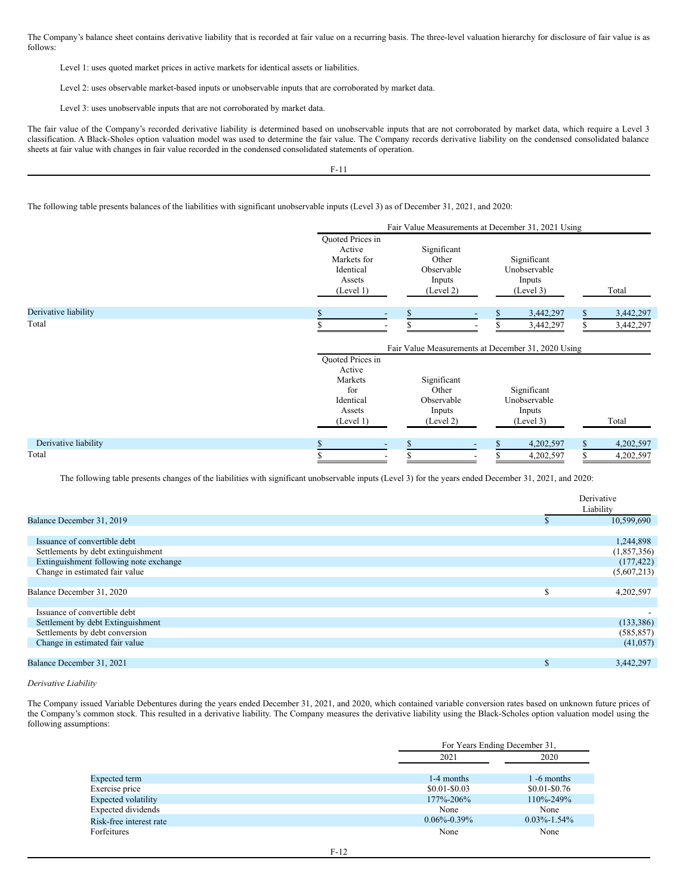The Company's balance sheet contains derivative liability that is recorded at fair value on a recurring basis. The three-level valuation hierarchy for disclosure of fair value is as follows:

Level 1: uses quoted market prices in active markets for identical assets or liabilities.

Level 2: uses observable market-based inputs or unobservable inputs that are corroborated by market data.

Level 3: uses unobservable inputs that are not corroborated by market data.

The fair value of the Company's recorded derivative liability is determined based on unobservable inputs that are not corroborated by market data, which require a Level 3 classification. A Black-Sholes option valuation model was used to determine the fair value. The Company records derivative liability on the condensed consolidated balance sheets at fair value with changes in fair value recorded in the condensed consolidated statements of operation.

F-11

The following table presents balances of the liabilities with significant unobservable inputs (Level 3) as of December 31, 2021, and 2020:

|                      |                                                                                      | Fair Value Measurements at December 31, 2021 Using        |                                                    |                |           |  |  |  |
|----------------------|--------------------------------------------------------------------------------------|-----------------------------------------------------------|----------------------------------------------------|----------------|-----------|--|--|--|
|                      | <b>Ouoted Prices in</b><br>Active<br>Markets for<br>Identical<br>Assets<br>(Level 1) | Significant<br>Other<br>Observable<br>Inputs<br>(Level 2) | Significant<br>Unobservable<br>Inputs<br>(Level 3) |                | Total     |  |  |  |
| Derivative liability |                                                                                      |                                                           |                                                    | 3,442,297<br>S | 3,442,297 |  |  |  |
| Total                |                                                                                      |                                                           |                                                    | 3,442,297      | 3,442,297 |  |  |  |
|                      |                                                                                      | Fair Value Measurements at December 31, 2020 Using        |                                                    |                |           |  |  |  |
|                      | Quoted Prices in<br>Active<br>Markets<br>for<br>Identical<br>Assets<br>(Level 1)     | Significant<br>Other<br>Observable<br>Inputs<br>(Level 2) | Significant<br>Unobservable<br>Inputs<br>(Level 3) |                | Total     |  |  |  |
| Derivative liability |                                                                                      |                                                           |                                                    | 4,202,597      | 4,202,597 |  |  |  |
|                      |                                                                                      |                                                           |                                                    |                |           |  |  |  |

The following table presents changes of the liabilities with significant unobservable inputs (Level 3) for the years ended December 31, 2021, and 2020:

|                                        |        | Derivative<br>Liability |
|----------------------------------------|--------|-------------------------|
| Balance December 31, 2019              |        | 10,599,690              |
|                                        |        |                         |
| Issuance of convertible debt           |        | 1,244,898               |
| Settlements by debt extinguishment     |        | (1,857,356)             |
| Extinguishment following note exchange |        | (177, 422)              |
| Change in estimated fair value         |        | (5,607,213)             |
|                                        |        |                         |
| Balance December 31, 2020              | S      | 4,202,597               |
|                                        |        |                         |
| Issuance of convertible debt           |        |                         |
| Settlement by debt Extinguishment      |        | (133, 386)              |
| Settlements by debt conversion         |        | (585, 857)              |
| Change in estimated fair value         |        | (41, 057)               |
|                                        |        |                         |
| Balance December 31, 2021              | ¢<br>ъ | 3,442,297               |

## *Derivative Liability*

The Company issued Variable Debentures during the years ended December 31, 2021, and 2020, which contained variable conversion rates based on unknown future prices of the Company's common stock. This resulted in a derivative liability. The Company measures the derivative liability using the Black-Scholes option valuation model using the following assumptions:

|                            | For Years Ending December 31, |                   |
|----------------------------|-------------------------------|-------------------|
|                            | 2021                          | 2020              |
|                            |                               |                   |
| Expected term              | 1-4 months                    | $1 - 6$ months    |
| Exercise price             | $$0.01 - $0.03$               | $$0.01-S0.76$     |
| <b>Expected volatility</b> | $177\% - 206\%$               | $110\% - 249\%$   |
| Expected dividends         | None                          | None              |
| Risk-free interest rate    | $0.06\% - 0.39\%$             | $0.03\% - 1.54\%$ |
| Forfeitures                | None                          | None              |
|                            |                               |                   |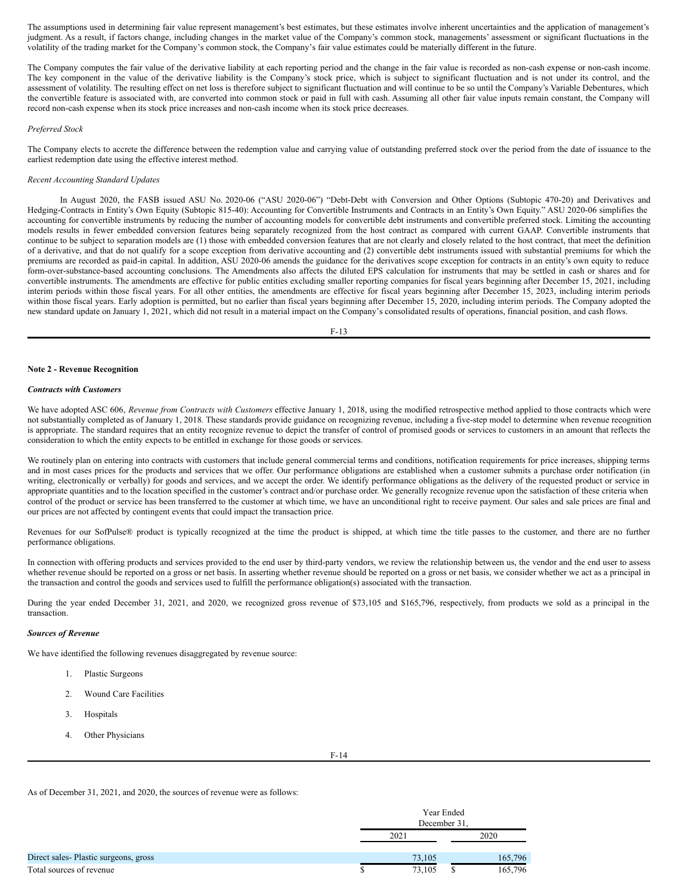The assumptions used in determining fair value represent management's best estimates, but these estimates involve inherent uncertainties and the application of management's judgment. As a result, if factors change, including changes in the market value of the Company's common stock, managements' assessment or significant fluctuations in the volatility of the trading market for the Company's common stock, the Company's fair value estimates could be materially different in the future.

The Company computes the fair value of the derivative liability at each reporting period and the change in the fair value is recorded as non-cash expense or non-cash income. The key component in the value of the derivative liability is the Company's stock price, which is subject to significant fluctuation and is not under its control, and the assessment of volatility. The resulting effect on net loss is therefore subject to significant fluctuation and will continue to be so until the Company's Variable Debentures, which the convertible feature is associated with, are converted into common stock or paid in full with cash. Assuming all other fair value inputs remain constant, the Company will record non-cash expense when its stock price increases and non-cash income when its stock price decreases.

## *Preferred Stock*

The Company elects to accrete the difference between the redemption value and carrying value of outstanding preferred stock over the period from the date of issuance to the earliest redemption date using the effective interest method.

#### *Recent Accounting Standard Updates*

In August 2020, the FASB issued ASU No. 2020-06 ("ASU 2020-06") "Debt-Debt with Conversion and Other Options (Subtopic 470-20) and Derivatives and Hedging-Contracts in Entity's Own Equity (Subtopic 815-40): Accounting for Convertible Instruments and Contracts in an Entity's Own Equity." ASU 2020-06 simplifies the accounting for convertible instruments by reducing the number of accounting models for convertible debt instruments and convertible preferred stock. Limiting the accounting models results in fewer embedded conversion features being separately recognized from the host contract as compared with current GAAP. Convertible instruments that continue to be subject to separation models are (1) those with embedded conversion features that are not clearly and closely related to the host contract, that meet the definition of a derivative, and that do not qualify for a scope exception from derivative accounting and (2) convertible debt instruments issued with substantial premiums for which the premiums are recorded as paid-in capital. In addition, ASU 2020-06 amends the guidance for the derivatives scope exception for contracts in an entity's own equity to reduce form-over-substance-based accounting conclusions. The Amendments also affects the diluted EPS calculation for instruments that may be settled in cash or shares and for convertible instruments. The amendments are effective for public entities excluding smaller reporting companies for fiscal years beginning after December 15, 2021, including interim periods within those fiscal years. For all other entities, the amendments are effective for fiscal years beginning after December 15, 2023, including interim periods within those fiscal years. Early adoption is permitted, but no earlier than fiscal years beginning after December 15, 2020, including interim periods. The Company adopted the new standard update on January 1, 2021, which did not result in a material impact on the Company's consolidated results of operations, financial position, and cash flows.

F-13

#### **Note 2 - Revenue Recognition**

# *Contracts with Customers*

We have adopted ASC 606, *Revenue from Contracts with Customers* effective January 1, 2018, using the modified retrospective method applied to those contracts which were not substantially completed as of January 1, 2018. These standards provide guidance on recognizing revenue, including a five-step model to determine when revenue recognition is appropriate. The standard requires that an entity recognize revenue to depict the transfer of control of promised goods or services to customers in an amount that reflects the consideration to which the entity expects to be entitled in exchange for those goods or services.

We routinely plan on entering into contracts with customers that include general commercial terms and conditions, notification requirements for price increases, shipping terms and in most cases prices for the products and services that we offer. Our performance obligations are established when a customer submits a purchase order notification (in writing, electronically or verbally) for goods and services, and we accept the order. We identify performance obligations as the delivery of the requested product or service in appropriate quantities and to the location specified in the customer's contract and/or purchase order. We generally recognize revenue upon the satisfaction of these criteria when control of the product or service has been transferred to the customer at which time, we have an unconditional right to receive payment. Our sales and sale prices are final and our prices are not affected by contingent events that could impact the transaction price.

Revenues for our SofPulse® product is typically recognized at the time the product is shipped, at which time the title passes to the customer, and there are no further performance obligations.

In connection with offering products and services provided to the end user by third-party vendors, we review the relationship between us, the vendor and the end user to assess whether revenue should be reported on a gross or net basis. In asserting whether revenue should be reported on a gross or net basis, we consider whether we act as a principal in the transaction and control the goods and services used to fulfill the performance obligation(s) associated with the transaction.

During the year ended December 31, 2021, and 2020, we recognized gross revenue of \$73,105 and \$165,796, respectively, from products we sold as a principal in the transaction.

#### *Sources of Revenue*

We have identified the following revenues disaggregated by revenue source:

- 1. Plastic Surgeons
- 2. Wound Care Facilities
- 3. Hospitals
- 4. Other Physicians

F-14

As of December 31, 2021, and 2020, the sources of revenue were as follows:

|                                       | Year Ended   |  |         |
|---------------------------------------|--------------|--|---------|
|                                       | December 31. |  |         |
|                                       | 2021         |  | 2020    |
| Direct sales- Plastic surgeons, gross | 73,105       |  | 165,796 |
| Total sources of revenue              | 73,105       |  | 165,796 |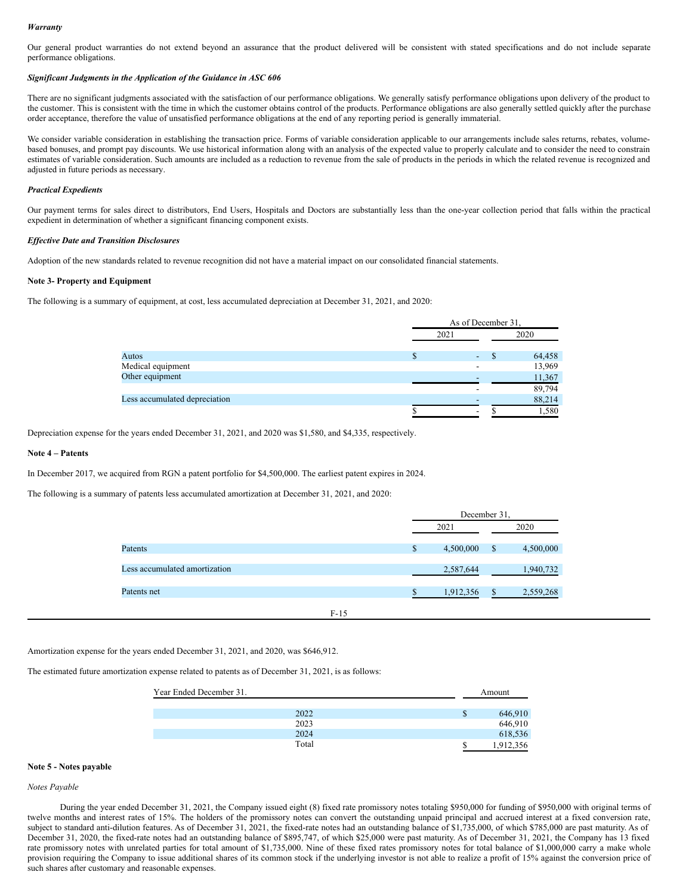#### *Warranty*

Our general product warranties do not extend beyond an assurance that the product delivered will be consistent with stated specifications and do not include separate performance obligations.

## *Significant Judgments in the Application of the Guidance in ASC 606*

There are no significant judgments associated with the satisfaction of our performance obligations. We generally satisfy performance obligations upon delivery of the product to the customer. This is consistent with the time in which the customer obtains control of the products. Performance obligations are also generally settled quickly after the purchase order acceptance, therefore the value of unsatisfied performance obligations at the end of any reporting period is generally immaterial.

We consider variable consideration in establishing the transaction price. Forms of variable consideration applicable to our arrangements include sales returns, rebates, volumebased bonuses, and prompt pay discounts. We use historical information along with an analysis of the expected value to properly calculate and to consider the need to constrain estimates of variable consideration. Such amounts are included as a reduction to revenue from the sale of products in the periods in which the related revenue is recognized and adjusted in future periods as necessary.

## *Practical Expedients*

Our payment terms for sales direct to distributors, End Users, Hospitals and Doctors are substantially less than the one-year collection period that falls within the practical expedient in determination of whether a significant financing component exists.

#### *Ef ective Date and Transition Disclosures*

Adoption of the new standards related to revenue recognition did not have a material impact on our consolidated financial statements.

#### **Note 3- Property and Equipment**

The following is a summary of equipment, at cost, less accumulated depreciation at December 31, 2021, and 2020:

|                               | As of December 31,       |   |        |  |
|-------------------------------|--------------------------|---|--------|--|
|                               | 2021                     |   | 2020   |  |
|                               |                          |   |        |  |
| Autos                         | $\overline{\phantom{0}}$ | ъ | 64,458 |  |
| Medical equipment             |                          |   | 13,969 |  |
| Other equipment               |                          |   | 11,367 |  |
|                               |                          |   | 89,794 |  |
| Less accumulated depreciation |                          |   | 88,214 |  |
|                               | $\overline{\phantom{a}}$ |   | 1,580  |  |

Depreciation expense for the years ended December 31, 2021, and 2020 was \$1,580, and \$4,335, respectively.

# **Note 4 – Patents**

In December 2017, we acquired from RGN a patent portfolio for \$4,500,000. The earliest patent expires in 2024.

The following is a summary of patents less accumulated amortization at December 31, 2021, and 2020:

|                               |        | December 31, |           |    |           |
|-------------------------------|--------|--------------|-----------|----|-----------|
|                               |        |              | 2021      |    | 2020      |
| Patents                       |        | \$           | 4,500,000 | \$ | 4,500,000 |
| Less accumulated amortization |        |              | 2,587,644 |    | 1,940,732 |
| Patents net                   |        | S            | 1,912,356 | \$ | 2,559,268 |
|                               | $F-15$ |              |           |    |           |

Amortization expense for the years ended December 31, 2021, and 2020, was \$646,912.

The estimated future amortization expense related to patents as of December 31, 2021, is as follows:

| Year Ended December 31. |   | Amount    |
|-------------------------|---|-----------|
|                         |   |           |
| 2022                    | S | 646,910   |
| 2023                    |   | 646,910   |
| 2024                    |   | 618,536   |
| Total                   | S | 1,912,356 |

#### **Note 5 - Notes payable**

# *Notes Payable*

During the year ended December 31, 2021, the Company issued eight (8) fixed rate promissory notes totaling \$950,000 for funding of \$950,000 with original terms of twelve months and interest rates of 15%. The holders of the promissory notes can convert the outstanding unpaid principal and accrued interest at a fixed conversion rate, subject to standard anti-dilution features. As of December 31, 2021, the fixed-rate notes had an outstanding balance of \$1,735,000, of which \$785,000 are past maturity. As of December 31, 2020, the fixed-rate notes had an outstanding balance of \$895,747, of which \$25,000 were past maturity. As of December 31, 2021, the Company has 13 fixed rate promissory notes with unrelated parties for total amount of \$1,735,000. Nine of these fixed rates promissory notes for total balance of \$1,000,000 carry a make whole provision requiring the Company to issue additional shares of its common stock if the underlying investor is not able to realize a profit of 15% against the conversion price of such shares after customary and reasonable expenses.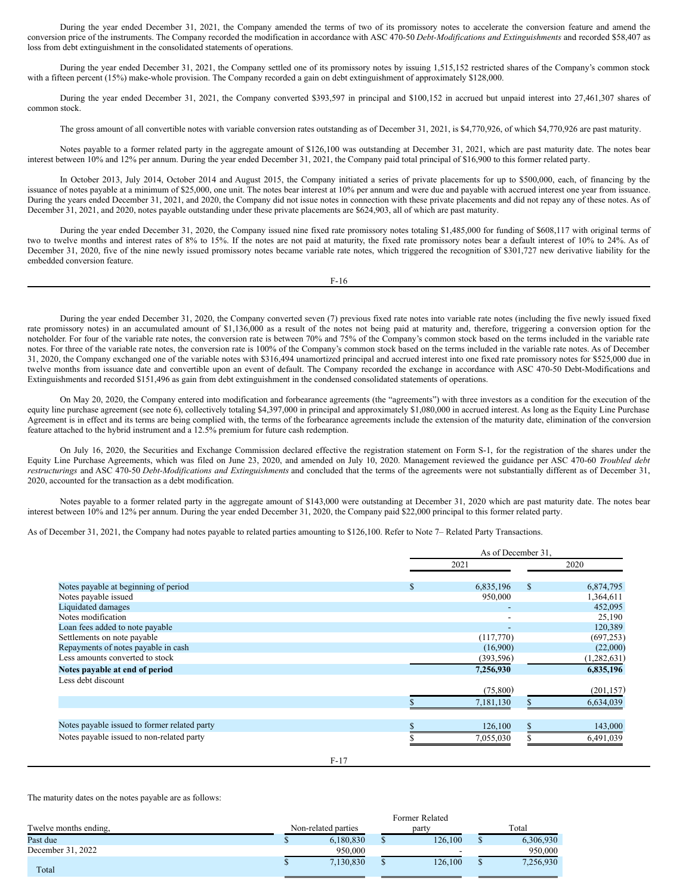During the year ended December 31, 2021, the Company amended the terms of two of its promissory notes to accelerate the conversion feature and amend the conversion price of the instruments. The Company recorded the modification in accordance with ASC 470-50 *Debt-Modifications and Extinguishments* and recorded \$58,407 as loss from debt extinguishment in the consolidated statements of operations.

During the year ended December 31, 2021, the Company settled one of its promissory notes by issuing 1,515,152 restricted shares of the Company's common stock with a fifteen percent (15%) make-whole provision. The Company recorded a gain on debt extinguishment of approximately \$128,000.

During the year ended December 31, 2021, the Company converted \$393,597 in principal and \$100,152 in accrued but unpaid interest into 27,461,307 shares of common stock.

The gross amount of all convertible notes with variable conversion rates outstanding as of December 31, 2021, is \$4,770,926, of which \$4,770,926 are past maturity.

Notes payable to a former related party in the aggregate amount of \$126,100 was outstanding at December 31, 2021, which are past maturity date. The notes bear interest between 10% and 12% per annum. During the year ended December 31, 2021, the Company paid total principal of \$16,900 to this former related party.

In October 2013, July 2014, October 2014 and August 2015, the Company initiated a series of private placements for up to \$500,000, each, of financing by the issuance of notes payable at a minimum of \$25,000, one unit. The notes bear interest at 10% per annum and were due and payable with accrued interest one year from issuance. During the years ended December 31, 2021, and 2020, the Company did not issue notes in connection with these private placements and did not repay any of these notes. As of December 31, 2021, and 2020, notes payable outstanding under these private placements are \$624,903, all of which are past maturity.

During the year ended December 31, 2020, the Company issued nine fixed rate promissory notes totaling \$1,485,000 for funding of \$608,117 with original terms of two to twelve months and interest rates of 8% to 15%. If the notes are not paid at maturity, the fixed rate promissory notes bear a default interest of 10% to 24%. As of December 31, 2020, five of the nine newly issued promissory notes became variable rate notes, which triggered the recognition of \$301,727 new derivative liability for the embedded conversion feature.

F-16

During the year ended December 31, 2020, the Company converted seven (7) previous fixed rate notes into variable rate notes (including the five newly issued fixed rate promissory notes) in an accumulated amount of \$1,136,000 as a result of the notes not being paid at maturity and, therefore, triggering a conversion option for the noteholder. For four of the variable rate notes, the conversion rate is between 70% and 75% of the Company's common stock based on the terms included in the variable rate notes. For three of the variable rate notes, the conversion rate is 100% of the Company's common stock based on the terms included in the variable rate notes. As of December 31, 2020, the Company exchanged one of the variable notes with \$316,494 unamortized principal and accrued interest into one fixed rate promissory notes for \$525,000 due in twelve months from issuance date and convertible upon an event of default. The Company recorded the exchange in accordance with ASC 470-50 Debt-Modifications and Extinguishments and recorded \$151,496 as gain from debt extinguishment in the condensed consolidated statements of operations.

On May 20, 2020, the Company entered into modification and forbearance agreements (the "agreements") with three investors as a condition for the execution of the equity line purchase agreement (see note 6), collectively totaling \$4,397,000 in principal and approximately \$1,080,000 in accrued interest. As long as the Equity Line Purchase Agreement is in effect and its terms are being complied with, the terms of the forbearance agreements include the extension of the maturity date, elimination of the conversion feature attached to the hybrid instrument and a 12.5% premium for future cash redemption.

On July 16, 2020, the Securities and Exchange Commission declared effective the registration statement on Form S-1, for the registration of the shares under the Equity Line Purchase Agreements, which was filed on June 23, 2020, and amended on July 10, 2020. Management reviewed the guidance per ASC 470-60 *Troubled debt restructurings* and ASC 470-50 *Debt-Modifications and Extinguishments* and concluded that the terms of the agreements were not substantially different as of December 31, 2020, accounted for the transaction as a debt modification.

Notes payable to a former related party in the aggregate amount of \$143,000 were outstanding at December 31, 2020 which are past maturity date. The notes bear interest between 10% and 12% per annum. During the year ended December 31, 2020, the Company paid \$22,000 principal to this former related party.

As of December 31, 2021, the Company had notes payable to related parties amounting to \$126,100. Refer to Note 7– Related Party Transactions.

|                                              |   | As of December 31,       |    |             |  |
|----------------------------------------------|---|--------------------------|----|-------------|--|
|                                              |   | 2021                     |    | 2020        |  |
| Notes payable at beginning of period         | S | 6,835,196                | \$ | 6,874,795   |  |
| Notes payable issued                         |   | 950,000                  |    | 1,364,611   |  |
| Liquidated damages                           |   |                          |    | 452,095     |  |
| Notes modification                           |   | $\overline{\phantom{a}}$ |    | 25,190      |  |
| Loan fees added to note payable              |   |                          |    | 120,389     |  |
| Settlements on note payable                  |   | (117,770)                |    | (697, 253)  |  |
| Repayments of notes payable in cash          |   | (16,900)                 |    | (22,000)    |  |
| Less amounts converted to stock              |   | (393, 596)               |    | (1,282,631) |  |
| Notes payable at end of period               |   | 7,256,930                |    | 6,835,196   |  |
| Less debt discount                           |   |                          |    |             |  |
|                                              |   | (75,800)                 |    | (201, 157)  |  |
|                                              |   | 7,181,130                |    | 6,634,039   |  |
| Notes payable issued to former related party |   | 126,100                  | \$ | 143,000     |  |
| Notes payable issued to non-related party    |   | 7,055,030                |    | 6,491,039   |  |
|                                              |   |                          |    |             |  |

F-17

The maturity dates on the notes payable are as follows:

|                       | Former Related |                     |  |         |    |           |  |
|-----------------------|----------------|---------------------|--|---------|----|-----------|--|
| Twelve months ending. |                | Non-related parties |  | party   |    | Total     |  |
| Past due              |                | 6.180.830           |  | 126,100 | ĸυ | 6.306.930 |  |
| December 31, 2022     |                | 950,000             |  | -       |    | 950,000   |  |
| Total                 | ъ              | 7,130,830           |  | 126,100 |    | 7,256,930 |  |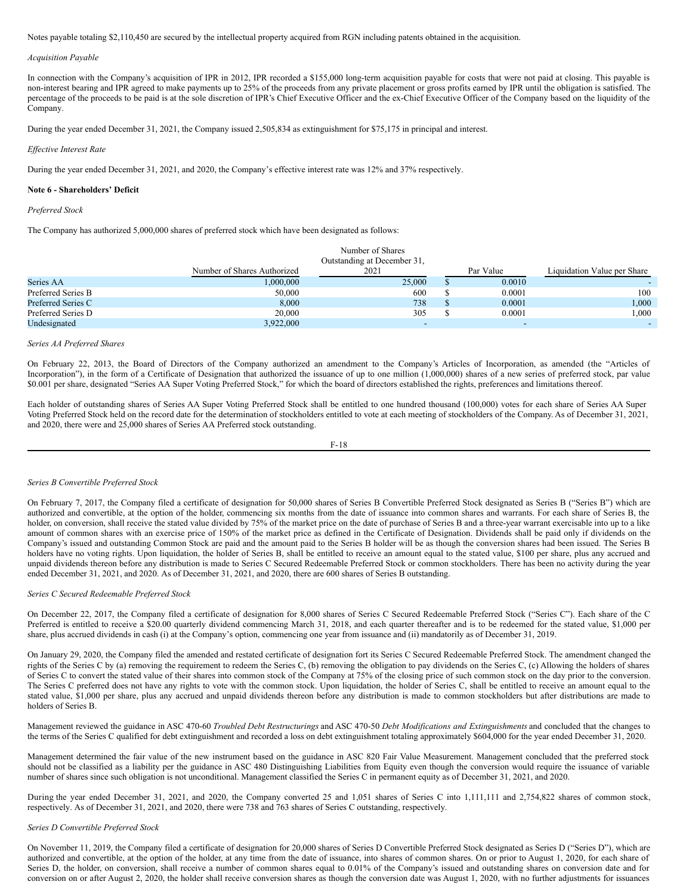Notes payable totaling \$2,110,450 are secured by the intellectual property acquired from RGN including patents obtained in the acquisition.

#### *Acquisition Payable*

In connection with the Company's acquisition of IPR in 2012, IPR recorded a \$155,000 long-term acquisition payable for costs that were not paid at closing. This payable is non-interest bearing and IPR agreed to make payments up to 25% of the proceeds from any private placement or gross profits earned by IPR until the obligation is satisfied. The percentage of the proceeds to be paid is at the sole discretion of IPR's Chief Executive Officer and the ex-Chief Executive Officer of the Company based on the liquidity of the Company.

During the year ended December 31, 2021, the Company issued 2,505,834 as extinguishment for \$75,175 in principal and interest.

## *Ef ective Interest Rate*

During the year ended December 31, 2021, and 2020, the Company's effective interest rate was 12% and 37% respectively.

#### **Note 6 - Shareholders' Deficit**

#### *Preferred Stock*

The Company has authorized 5,000,000 shares of preferred stock which have been designated as follows:

|                    |                             | Number of Shares            |                          |                             |
|--------------------|-----------------------------|-----------------------------|--------------------------|-----------------------------|
|                    |                             | Outstanding at December 31, |                          |                             |
|                    | Number of Shares Authorized | 2021                        | Par Value                | Liquidation Value per Share |
| Series AA          | .000.000                    | 25,000                      | 0.0010                   |                             |
| Preferred Series B | 50,000                      | 600                         | 0.0001                   | 100                         |
| Preferred Series C | 8,000                       | 738                         | 0.0001                   | $000_{11}$                  |
| Preferred Series D | 20,000                      | 305                         | 0.0001                   | .000                        |
| Undesignated       | 3.922,000                   |                             | $\overline{\phantom{0}}$ | $\sim$                      |

# *Series AA Preferred Shares*

On February 22, 2013, the Board of Directors of the Company authorized an amendment to the Company's Articles of Incorporation, as amended (the "Articles of Incorporation"), in the form of a Certificate of Designation that authorized the issuance of up to one million (1,000,000) shares of a new series of preferred stock, par value \$0.001 per share, designated "Series AA Super Voting Preferred Stock," for which the board of directors established the rights, preferences and limitations thereof.

Each holder of outstanding shares of Series AA Super Voting Preferred Stock shall be entitled to one hundred thousand (100,000) votes for each share of Series AA Super Voting Preferred Stock held on the record date for the determination of stockholders entitled to vote at each meeting of stockholders of the Company. As of December 31, 2021, and 2020, there were and 25,000 shares of Series AA Preferred stock outstanding.

F-18

# *Series B Convertible Preferred Stock*

On February 7, 2017, the Company filed a certificate of designation for 50,000 shares of Series B Convertible Preferred Stock designated as Series B ("Series B") which are authorized and convertible, at the option of the holder, commencing six months from the date of issuance into common shares and warrants. For each share of Series B, the holder, on conversion, shall receive the stated value divided by 75% of the market price on the date of purchase of Series B and a three-year warrant exercisable into up to a like amount of common shares with an exercise price of 150% of the market price as defined in the Certificate of Designation. Dividends shall be paid only if dividends on the Company's issued and outstanding Common Stock are paid and the amount paid to the Series B holder will be as though the conversion shares had been issued. The Series B holders have no voting rights. Upon liquidation, the holder of Series B, shall be entitled to receive an amount equal to the stated value, \$100 per share, plus any accrued and unpaid dividends thereon before any distribution is made to Series C Secured Redeemable Preferred Stock or common stockholders. There has been no activity during the year ended December 31, 2021, and 2020. As of December 31, 2021, and 2020, there are 600 shares of Series B outstanding.

# *Series C Secured Redeemable Preferred Stock*

On December 22, 2017, the Company filed a certificate of designation for 8,000 shares of Series C Secured Redeemable Preferred Stock ("Series C"). Each share of the C Preferred is entitled to receive a \$20.00 quarterly dividend commencing March 31, 2018, and each quarter thereafter and is to be redeemed for the stated value, \$1,000 per share, plus accrued dividends in cash (i) at the Company's option, commencing one year from issuance and (ii) mandatorily as of December 31, 2019.

On January 29, 2020, the Company filed the amended and restated certificate of designation fort its Series C Secured Redeemable Preferred Stock. The amendment changed the rights of the Series C by (a) removing the requirement to redeem the Series C, (b) removing the obligation to pay dividends on the Series C, (c) Allowing the holders of shares of Series C to convert the stated value of their shares into common stock of the Company at 75% of the closing price of such common stock on the day prior to the conversion. The Series C preferred does not have any rights to vote with the common stock. Upon liquidation, the holder of Series C, shall be entitled to receive an amount equal to the stated value, \$1,000 per share, plus any accrued and unpaid dividends thereon before any distribution is made to common stockholders but after distributions are made to holders of Series B.

Management reviewed the guidance in ASC 470-60 *Troubled Debt Restructurings* and ASC 470-50 *Debt Modifications and Extinguishments* and concluded that the changes to the terms of the Series C qualified for debt extinguishment and recorded a loss on debt extinguishment totaling approximately \$604,000 for the year ended December 31, 2020.

Management determined the fair value of the new instrument based on the guidance in ASC 820 Fair Value Measurement. Management concluded that the preferred stock should not be classified as a liability per the guidance in ASC 480 Distinguishing Liabilities from Equity even though the conversion would require the issuance of variable number of shares since such obligation is not unconditional. Management classified the Series C in permanent equity as of December 31, 2021, and 2020.

During the year ended December 31, 2021, and 2020, the Company converted 25 and 1,051 shares of Series C into 1,111,111 and 2,754,822 shares of common stock, respectively. As of December 31, 2021, and 2020, there were 738 and 763 shares of Series C outstanding, respectively.

#### *Series D Convertible Preferred Stock*

On November 11, 2019, the Company filed a certificate of designation for 20,000 shares of Series D Convertible Preferred Stock designated as Series D ("Series D"), which are authorized and convertible, at the option of the holder, at any time from the date of issuance, into shares of common shares. On or prior to August 1, 2020, for each share of Series D, the holder, on conversion, shall receive a number of common shares equal to 0.01% of the Company's issued and outstanding shares on conversion date and for conversion on or after August 2, 2020, the holder shall receive conversion shares as though the conversion date was August 1, 2020, with no further adjustments for issuances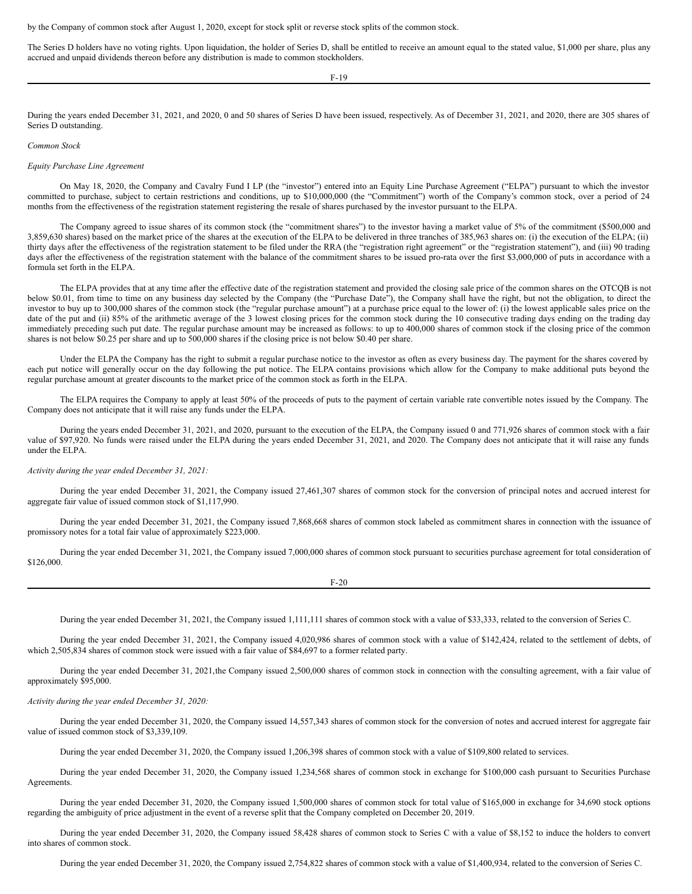by the Company of common stock after August 1, 2020, except for stock split or reverse stock splits of the common stock.

The Series D holders have no voting rights. Upon liquidation, the holder of Series D, shall be entitled to receive an amount equal to the stated value, \$1,000 per share, plus any accrued and unpaid dividends thereon before any distribution is made to common stockholders.

F-19

During the years ended December 31, 2021, and 2020, 0 and 50 shares of Series D have been issued, respectively. As of December 31, 2021, and 2020, there are 305 shares of Series D outstanding.

*Common Stock*

# *Equity Purchase Line Agreement*

On May 18, 2020, the Company and Cavalry Fund I LP (the "investor") entered into an Equity Line Purchase Agreement ("ELPA") pursuant to which the investor committed to purchase, subject to certain restrictions and conditions, up to \$10,000,000 (the "Commitment") worth of the Company's common stock, over a period of 24 months from the effectiveness of the registration statement registering the resale of shares purchased by the investor pursuant to the ELPA.

The Company agreed to issue shares of its common stock (the "commitment shares") to the investor having a market value of 5% of the commitment (\$500,000 and 3,859,630 shares) based on the market price of the shares at the execution of the ELPA to be delivered in three tranches of 385,963 shares on: (i) the execution of the ELPA; (ii) thirty days after the effectiveness of the registration statement to be filed under the RRA (the "registration right agreement" or the "registration statement"), and (iii) 90 trading days after the effectiveness of the registration statement with the balance of the commitment shares to be issued pro-rata over the first \$3,000,000 of puts in accordance with a formula set forth in the ELPA.

The ELPA provides that at any time after the effective date of the registration statement and provided the closing sale price of the common shares on the OTCQB is not below \$0.01, from time to time on any business day selected by the Company (the "Purchase Date"), the Company shall have the right, but not the obligation, to direct the investor to buy up to 300,000 shares of the common stock (the "regular purchase amount") at a purchase price equal to the lower of: (i) the lowest applicable sales price on the date of the put and (ii) 85% of the arithmetic average of the 3 lowest closing prices for the common stock during the 10 consecutive trading days ending on the trading day immediately preceding such put date. The regular purchase amount may be increased as follows: to up to 400,000 shares of common stock if the closing price of the common shares is not below \$0.25 per share and up to 500,000 shares if the closing price is not below \$0.40 per share.

Under the ELPA the Company has the right to submit a regular purchase notice to the investor as often as every business day. The payment for the shares covered by each put notice will generally occur on the day following the put notice. The ELPA contains provisions which allow for the Company to make additional puts beyond the regular purchase amount at greater discounts to the market price of the common stock as forth in the ELPA.

The ELPA requires the Company to apply at least 50% of the proceeds of puts to the payment of certain variable rate convertible notes issued by the Company. The Company does not anticipate that it will raise any funds under the ELPA.

During the years ended December 31, 2021, and 2020, pursuant to the execution of the ELPA, the Company issued 0 and 771,926 shares of common stock with a fair value of \$97,920. No funds were raised under the ELPA during the years ended December 31, 2021, and 2020. The Company does not anticipate that it will raise any funds under the ELPA.

## *Activity during the year ended December 31, 2021:*

During the year ended December 31, 2021, the Company issued 27,461,307 shares of common stock for the conversion of principal notes and accrued interest for aggregate fair value of issued common stock of \$1,117,990.

During the year ended December 31, 2021, the Company issued 7,868,668 shares of common stock labeled as commitment shares in connection with the issuance of promissory notes for a total fair value of approximately \$223,000.

During the year ended December 31, 2021, the Company issued 7,000,000 shares of common stock pursuant to securities purchase agreement for total consideration of \$126,000.

F-20

During the year ended December 31, 2021, the Company issued 1,111,111 shares of common stock with a value of \$33,333, related to the conversion of Series C.

During the year ended December 31, 2021, the Company issued 4,020,986 shares of common stock with a value of \$142,424, related to the settlement of debts, of which 2,505,834 shares of common stock were issued with a fair value of \$84,697 to a former related party.

During the year ended December 31, 2021, the Company issued 2,500,000 shares of common stock in connection with the consulting agreement, with a fair value of approximately \$95,000.

*Activity during the year ended December 31, 2020:*

During the year ended December 31, 2020, the Company issued 14,557,343 shares of common stock for the conversion of notes and accrued interest for aggregate fair value of issued common stock of \$3,339,109.

During the year ended December 31, 2020, the Company issued 1,206,398 shares of common stock with a value of \$109,800 related to services.

During the year ended December 31, 2020, the Company issued 1,234,568 shares of common stock in exchange for \$100,000 cash pursuant to Securities Purchase Agreements.

During the year ended December 31, 2020, the Company issued 1,500,000 shares of common stock for total value of \$165,000 in exchange for 34,690 stock options regarding the ambiguity of price adjustment in the event of a reverse split that the Company completed on December 20, 2019.

During the year ended December 31, 2020, the Company issued 58,428 shares of common stock to Series C with a value of \$8,152 to induce the holders to convert into shares of common stock.

During the year ended December 31, 2020, the Company issued 2,754,822 shares of common stock with a value of \$1,400,934, related to the conversion of Series C.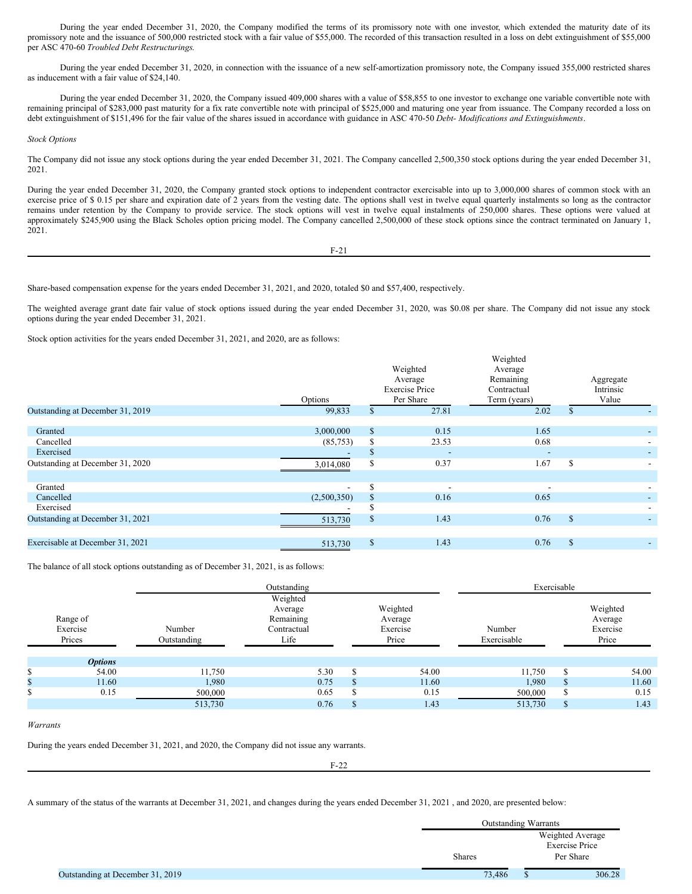During the year ended December 31, 2020, the Company modified the terms of its promissory note with one investor, which extended the maturity date of its promissory note and the issuance of 500,000 restricted stock with a fair value of \$55,000. The recorded of this transaction resulted in a loss on debt extinguishment of \$55,000 per ASC 470-60 *Troubled Debt Restructurings*.

During the year ended December 31, 2020, in connection with the issuance of a new self-amortization promissory note, the Company issued 355,000 restricted shares as inducement with a fair value of \$24,140.

During the year ended December 31, 2020, the Company issued 409,000 shares with a value of \$58,855 to one investor to exchange one variable convertible note with remaining principal of \$283,000 past maturity for a fix rate convertible note with principal of \$525,000 and maturing one year from issuance. The Company recorded a loss on debt extinguishment of \$151,496 for the fair value of the shares issued in accordance with guidance in ASC 470-50 *Debt- Modifications and Extinguishments*.

#### *Stock Options*

The Company did not issue any stock options during the year ended December 31, 2021. The Company cancelled 2,500,350 stock options during the year ended December 31, 2021.

During the year ended December 31, 2020, the Company granted stock options to independent contractor exercisable into up to 3,000,000 shares of common stock with an exercise price of \$ 0.15 per share and expiration date of 2 years from the vesting date. The options shall vest in twelve equal quarterly instalments so long as the contractor remains under retention by the Company to provide service. The stock options will vest in twelve equal instalments of 250,000 shares. These options were valued at approximately \$245,900 using the Black Scholes option pricing model. The Company cancelled 2,500,000 of these stock options since the contract terminated on January 1, 2021.

F-21

Share-based compensation expense for the years ended December 31, 2021, and 2020, totaled \$0 and \$57,400, respectively.

The weighted average grant date fair value of stock options issued during the year ended December 31, 2020, was \$0.08 per share. The Company did not issue any stock options during the year ended December 31, 2021.

Stock option activities for the years ended December 31, 2021, and 2020, are as follows:

|                                  | Options                  |          | Weighted<br>Average<br><b>Exercise Price</b><br>Per Share | Weighted<br>Average<br>Remaining<br>Contractual<br>Term (years) | Aggregate<br>Intrinsic<br>Value |  |  |
|----------------------------------|--------------------------|----------|-----------------------------------------------------------|-----------------------------------------------------------------|---------------------------------|--|--|
| Outstanding at December 31, 2019 | 99,833                   |          | 27.81                                                     | 2.02                                                            |                                 |  |  |
| Granted<br>Cancelled             | 3,000,000<br>(85,753)    | \$<br>\$ | 0.15<br>23.53                                             | 1.65<br>0.68                                                    |                                 |  |  |
| Exercised                        |                          | ж        |                                                           |                                                                 |                                 |  |  |
| Outstanding at December 31, 2020 | 3,014,080                | ъ        | 0.37                                                      | 1.67                                                            | S                               |  |  |
|                                  |                          |          |                                                           |                                                                 |                                 |  |  |
| Granted                          | $\overline{\phantom{a}}$ | \$       | $\overline{\phantom{a}}$                                  | -                                                               |                                 |  |  |
| Cancelled                        | (2,500,350)              |          | 0.16                                                      | 0.65                                                            |                                 |  |  |
| Exercised                        |                          |          |                                                           |                                                                 |                                 |  |  |
| Outstanding at December 31, 2021 | 513,730                  | ъ        | 1.43                                                      | 0.76                                                            | <sup>\$</sup>                   |  |  |
|                                  |                          |          |                                                           |                                                                 |                                 |  |  |
| Exercisable at December 31, 2021 | 513,730                  | \$       | 1.43                                                      | 0.76                                                            | <sup>\$</sup>                   |  |  |
|                                  |                          |          |                                                           |                                                                 |                                 |  |  |

The balance of all stock options outstanding as of December 31, 2021, is as follows:

|                                | Outstanding           |                                                         |   |                                          | Exercisable           |    |                                          |
|--------------------------------|-----------------------|---------------------------------------------------------|---|------------------------------------------|-----------------------|----|------------------------------------------|
| Range of<br>Exercise<br>Prices | Number<br>Outstanding | Weighted<br>Average<br>Remaining<br>Contractual<br>Life |   | Weighted<br>Average<br>Exercise<br>Price | Number<br>Exercisable |    | Weighted<br>Average<br>Exercise<br>Price |
| <b>Options</b>                 |                       |                                                         |   |                                          |                       |    |                                          |
| \$<br>54.00                    | 11,750                | 5.30                                                    |   | 54.00                                    | 11,750                | \$ | 54.00                                    |
| \$<br>11.60                    | 1,980                 | 0.75                                                    |   | 11.60                                    | 1,980                 | \$ | 11.60                                    |
| \$<br>0.15                     | 500,000               | 0.65                                                    |   | 0.15                                     | 500,000               | \$ | 0.15                                     |
|                                | 513,730               | 0.76                                                    | S | 1.43                                     | 513,730               | \$ | 1.43                                     |

# *Warrants*

During the years ended December 31, 2021, and 2020, the Company did not issue any warrants.

F-22

A summary of the status of the warrants at December 31, 2021, and changes during the years ended December 31, 2021 , and 2020, are presented below:

|                                  | <b>Outstanding Warrants</b> |                             |                       |
|----------------------------------|-----------------------------|-----------------------------|-----------------------|
|                                  |                             |                             | Weighted Average      |
|                                  |                             |                             | <b>Exercise Price</b> |
|                                  | <b>Shares</b>               |                             | Per Share             |
|                                  |                             |                             |                       |
| Outstanding at December 31, 2019 | 73,486                      | $\triangle$<br>$\mathbf{D}$ | 306.28                |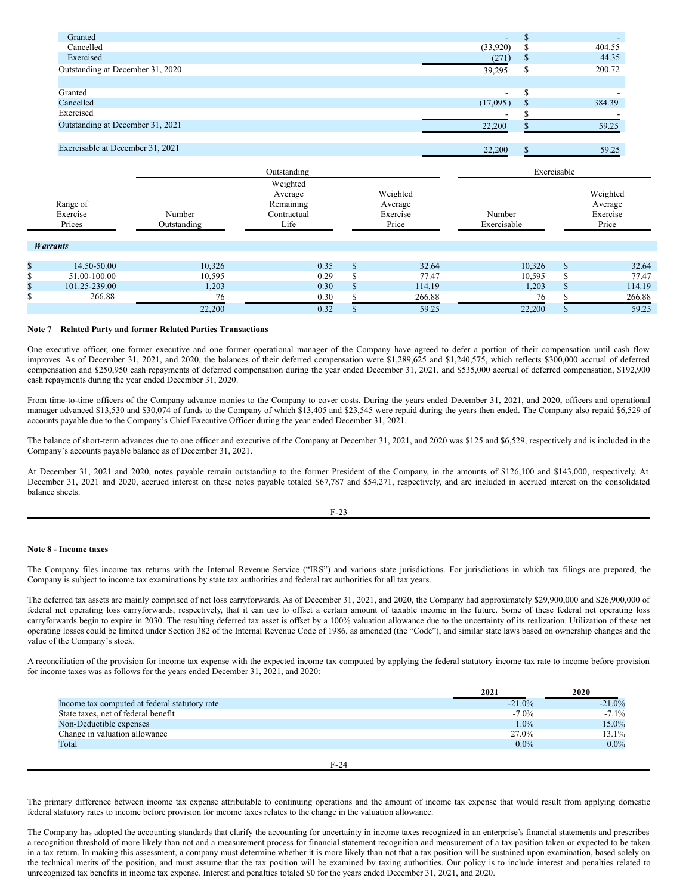| Granted                          |             |             |              |          | $\qquad \qquad \blacksquare$ | \$           |               | $\overline{\phantom{a}}$ |
|----------------------------------|-------------|-------------|--------------|----------|------------------------------|--------------|---------------|--------------------------|
| Cancelled                        |             |             |              |          | (33,920)                     | \$           |               | 404.55                   |
| Exercised                        |             |             |              |          | (271)                        | \$           |               | 44.35                    |
| Outstanding at December 31, 2020 |             |             |              |          | 39,295                       | \$           |               | 200.72                   |
|                                  |             |             |              |          |                              |              |               |                          |
| Granted                          |             |             |              |          | $\overline{\phantom{a}}$     | \$           |               |                          |
| Cancelled                        |             |             |              |          | (17,095)                     | \$           |               | 384.39                   |
| Exercised                        |             |             |              |          |                              |              |               |                          |
| Outstanding at December 31, 2021 |             |             |              |          | 22,200                       |              |               | 59.25                    |
|                                  |             |             |              |          |                              |              |               |                          |
| Exercisable at December 31, 2021 |             |             |              |          | 22,200                       | $\mathbb{S}$ |               | 59.25                    |
|                                  |             |             |              |          |                              |              |               |                          |
|                                  |             | Outstanding |              |          |                              |              | Exercisable   |                          |
|                                  |             | Weighted    |              |          |                              |              |               |                          |
|                                  |             | Average     |              | Weighted |                              |              |               | Weighted                 |
| Range of                         |             | Remaining   |              | Average  |                              |              |               | Average                  |
| Exercise                         | Number      | Contractual |              | Exercise | Number                       |              |               | Exercise                 |
| Prices                           | Outstanding | Life        |              | Price    | Exercisable                  |              |               | Price                    |
|                                  |             |             |              |          |                              |              |               |                          |
| <b>Warrants</b>                  |             |             |              |          |                              |              |               |                          |
| \$<br>14.50-50.00                | 10,326      | 0.35        | $\mathbb{S}$ | 32.64    |                              | 10,326       | \$            | 32.64                    |
| \$<br>51.00-100.00               | 10,595      | 0.29        | S            | 77.47    |                              | 10,595       | \$            | 77.47                    |
| \$<br>101.25-239.00              | 1,203       | 0.30        | $\mathbf S$  | 114,19   |                              | 1,203        | \$            | 114.19                   |
| 266.88                           | 76          | 0.30        | S            | 266.88   |                              | 76           | \$            | 266.88                   |
|                                  | 22,200      | 0.32        | $\mathbf S$  | 59.25    |                              | 22,200       | $\mathsf{\$}$ | 59.25                    |
|                                  |             |             |              |          |                              |              |               |                          |

# **Note 7 – Related Party and former Related Parties Transactions**

One executive officer, one former executive and one former operational manager of the Company have agreed to defer a portion of their compensation until cash flow improves. As of December 31, 2021, and 2020, the balances of their deferred compensation were \$1,289,625 and \$1,240,575, which reflects \$300,000 accrual of deferred compensation and \$250,950 cash repayments of deferred compensation during the year ended December 31, 2021, and \$535,000 accrual of deferred compensation, \$192,900 cash repayments during the year ended December 31, 2020.

From time-to-time officers of the Company advance monies to the Company to cover costs. During the years ended December 31, 2021, and 2020, officers and operational manager advanced \$13,530 and \$30,074 of funds to the Company of which \$13,405 and \$23,545 were repaid during the years then ended. The Company also repaid \$6,529 of accounts payable due to the Company's Chief Executive Officer during the year ended December 31, 2021.

The balance of short-term advances due to one officer and executive of the Company at December 31, 2021, and 2020 was \$125 and \$6,529, respectively and is included in the Company's accounts payable balance as of December 31, 2021.

At December 31, 2021 and 2020, notes payable remain outstanding to the former President of the Company, in the amounts of \$126,100 and \$143,000, respectively. At December 31, 2021 and 2020, accrued interest on these notes payable totaled \$67,787 and \$54,271, respectively, and are included in accrued interest on the consolidated balance sheets.

#### F-23

# **Note 8 - Income taxes**

The Company files income tax returns with the Internal Revenue Service ("IRS") and various state jurisdictions. For jurisdictions in which tax filings are prepared, the Company is subject to income tax examinations by state tax authorities and federal tax authorities for all tax years.

The deferred tax assets are mainly comprised of net loss carryforwards. As of December 31, 2021, and 2020, the Company had approximately \$29,900,000 and \$26,900,000 of federal net operating loss carryforwards, respectively, that it can use to offset a certain amount of taxable income in the future. Some of these federal net operating loss carryforwards begin to expire in 2030. The resulting deferred tax asset is offset by a 100% valuation allowance due to the uncertainty of its realization. Utilization of these net operating losses could be limited under Section 382 of the Internal Revenue Code of 1986, as amended (the "Code"), and similar state laws based on ownership changes and the value of the Company's stock.

A reconciliation of the provision for income tax expense with the expected income tax computed by applying the federal statutory income tax rate to income before provision for income taxes was as follows for the years ended December 31, 2021, and 2020:

|                                               | 2021     | 2020      |
|-----------------------------------------------|----------|-----------|
| Income tax computed at federal statutory rate | $-21.0%$ | $-21.0\%$ |
| State taxes, net of federal benefit           | $-7.0\%$ | $-7.1\%$  |
| Non-Deductible expenses                       | $1.0\%$  | 15.0%     |
| Change in valuation allowance                 | 27.0%    | 13.1%     |
| Total                                         | $0.0\%$  | $0.0\%$   |
|                                               |          |           |
| $F-24$                                        |          |           |

The primary difference between income tax expense attributable to continuing operations and the amount of income tax expense that would result from applying domestic federal statutory rates to income before provision for income taxes relates to the change in the valuation allowance.

The Company has adopted the accounting standards that clarify the accounting for uncertainty in income taxes recognized in an enterprise's financial statements and prescribes a recognition threshold of more likely than not and a measurement process for financial statement recognition and measurement of a tax position taken or expected to be taken in a tax return. In making this assessment, a company must determine whether it is more likely than not that a tax position will be sustained upon examination, based solely on the technical merits of the position, and must assume that the tax position will be examined by taxing authorities. Our policy is to include interest and penalties related to unrecognized tax benefits in income tax expense. Interest and penalties totaled \$0 for the years ended December 31, 2021, and 2020.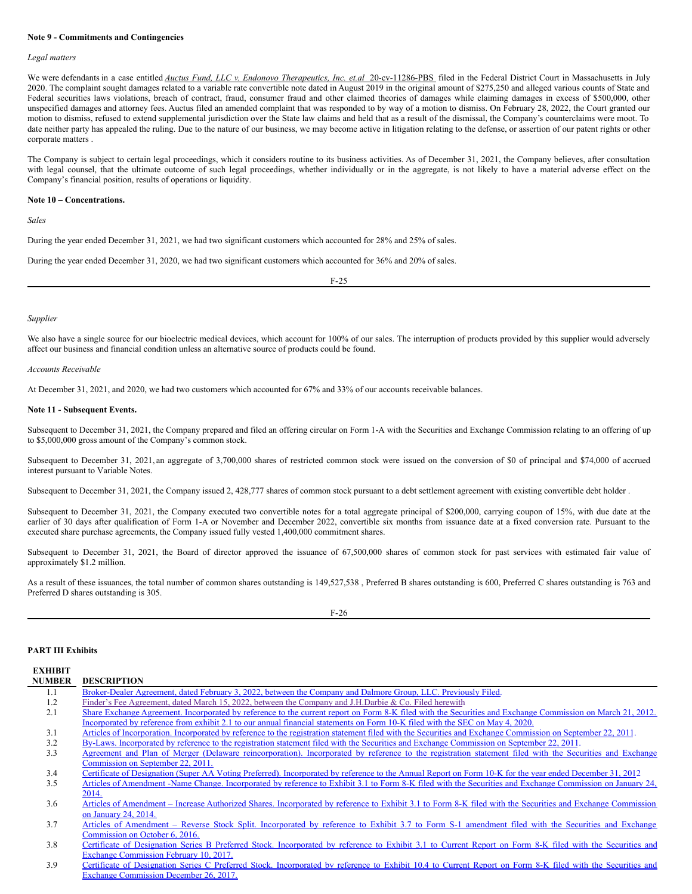# **Note 9 - Commitments and Contingencies**

#### *Legal matters*

We were defendants in a case entitled *Auctus Fund, LLC v. Endonovo Therapeutics, Inc. et.al* 20-cv-11286-PBS filed in the Federal District Court in Massachusetts in July 2020. The complaint sought damages related to a variable rate convertible note dated in August 2019 in the original amount of \$275,250 and alleged various counts of State and Federal securities laws violations, breach of contract, fraud, consumer fraud and other claimed theories of damages while claiming damages in excess of \$500,000, other unspecified damages and attorney fees. Auctus filed an amended complaint that was responded to by way of a motion to dismiss. On February 28, 2022, the Court granted our motion to dismiss, refused to extend supplemental jurisdiction over the State law claims and held that as a result of the dismissal, the Company's counterclaims were moot. To date neither party has appealed the ruling. Due to the nature of our business, we may become active in litigation relating to the defense, or assertion of our patent rights or other corporate matters .

The Company is subject to certain legal proceedings, which it considers routine to its business activities. As of December 31, 2021, the Company believes, after consultation with legal counsel, that the ultimate outcome of such legal proceedings, whether individually or in the aggregate, is not likely to have a material adverse effect on the Company's financial position, results of operations or liquidity.

## **Note 10 – Concentrations.**

*Sales*

During the year ended December 31, 2021, we had two significant customers which accounted for 28% and 25% of sales.

During the year ended December 31, 2020, we had two significant customers which accounted for 36% and 20% of sales.

F-25

#### *Supplier*

We also have a single source for our bioelectric medical devices, which account for 100% of our sales. The interruption of products provided by this supplier would adversely affect our business and financial condition unless an alternative source of products could be found.

*Accounts Receivable*

At December 31, 2021, and 2020, we had two customers which accounted for 67% and 33% of our accounts receivable balances.

## **Note 11 - Subsequent Events.**

Subsequent to December 31, 2021, the Company prepared and filed an offering circular on Form 1-A with the Securities and Exchange Commission relating to an offering of up to \$5,000,000 gross amount of the Company's common stock.

Subsequent to December 31, 2021, an aggregate of 3,700,000 shares of restricted common stock were issued on the conversion of \$0 of principal and \$74,000 of accrued interest pursuant to Variable Notes.

Subsequent to December 31, 2021, the Company issued 2, 428,777 shares of common stock pursuant to a debt settlement agreement with existing convertible debt holder .

Subsequent to December 31, 2021, the Company executed two convertible notes for a total aggregate principal of \$200,000, carrying coupon of 15%, with due date at the earlier of 30 days after qualification of Form 1-A or November and December 2022, convertible six months from issuance date at a fixed conversion rate. Pursuant to the executed share purchase agreements, the Company issued fully vested 1,400,000 commitment shares.

Subsequent to December 31, 2021, the Board of director approved the issuance of 67,500,000 shares of common stock for past services with estimated fair value of approximately \$1.2 million.

As a result of these issuances, the total number of common shares outstanding is 149,527,538 , Preferred B shares outstanding is 600, Preferred C shares outstanding is 763 and Preferred D shares outstanding is 305.

#### F-26

# **PART III Exhibits**

| <b>EXHIBIT</b> |                                                                                                                                                             |
|----------------|-------------------------------------------------------------------------------------------------------------------------------------------------------------|
| <b>NUMBER</b>  | <b>DESCRIPTION</b>                                                                                                                                          |
| 1.1            | Broker-Dealer Agreement, dated February 3, 2022, between the Company and Dalmore Group, LLC, Previously Filed,                                              |
| 1.2            | Finder's Fee Agreement, dated March 15, 2022, between the Company and J.H.Darbie & Co. Filed herewith                                                       |
| 2.1            | Share Exchange Agreement. Incorporated by reference to the current report on Form 8-K filed with the Securities and Exchange Commission on March 21, 2012.  |
|                | Incorporated by reference from exhibit 2.1 to our annual financial statements on Form 10-K filed with the SEC on May 4, 2020.                               |
| 3.1            | Articles of Incorporation. Incorporated by reference to the registration statement filed with the Securities and Exchange Commission on September 22, 2011. |
| 3.2            | By-Laws. Incorporated by reference to the registration statement filed with the Securities and Exchange Commission on September 22, 2011.                   |
| 3.3            | Agreement and Plan of Merger (Delaware reincorporation). Incorporated by reference to the registration statement filed with the Securities and Exchange     |
|                | Commission on September 22, 2011.                                                                                                                           |
| 3.4            | Certificate of Designation (Super AA Voting Preferred). Incorporated by reference to the Annual Report on Form 10-K for the year ended December 31, 2012    |
| 3.5            | Articles of Amendment -Name Change. Incorporated by reference to Exhibit 3.1 to Form 8-K filed with the Securities and Exchange Commission on January 24,   |
|                | 2014.                                                                                                                                                       |
| 3.6            | Articles of Amendment – Increase Authorized Shares. Incorporated by reference to Exhibit 3.1 to Form 8-K filed with the Securities and Exchange Commission  |
|                | on January 24, 2014.                                                                                                                                        |
| 3.7            | Articles of Amendment – Reverse Stock Split. Incorporated by reference to Exhibit 3.7 to Form S-1 amendment filed with the Securities and Exchange          |
|                | Commission on October 6, 2016.                                                                                                                              |
| 3.8            | Certificate of Designation Series B Preferred Stock. Incorporated by reference to Exhibit 3.1 to Current Report on Form 8-K filed with the Securities and   |
|                | Exchange Commission February 10, 2017.                                                                                                                      |
|                |                                                                                                                                                             |

3.9 Certificate of Designation Series C Preferred Stock. [Incorporated](https://www.sec.gov/Archives/edgar/data/1528172/000149315217015035/ex10-4.htm) by reference to Exhibit 10.4 to Current Report on Form 8-K filed with the Securities and Exchange Commission December 26, 2017.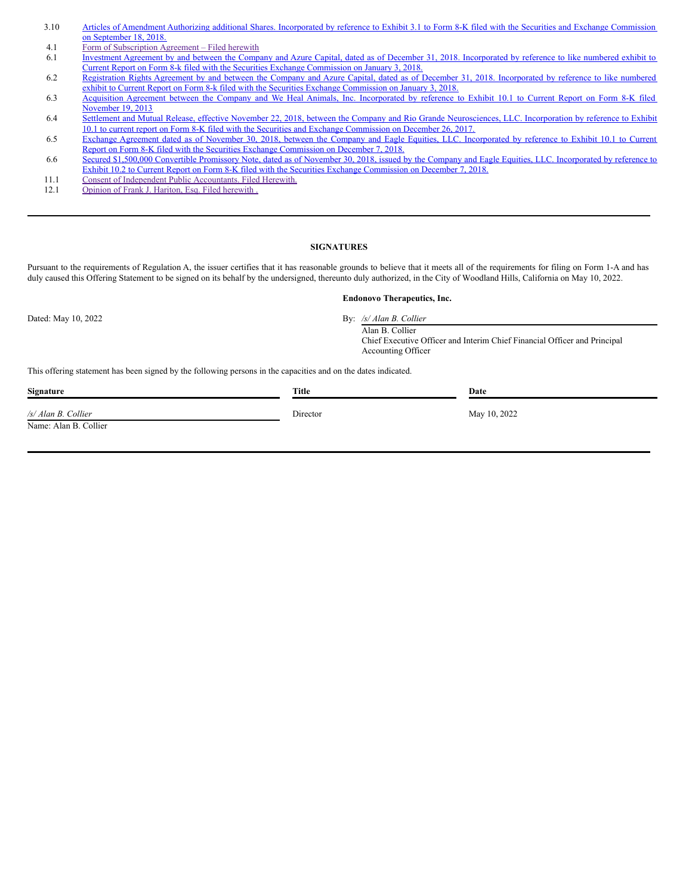- 3.10 Articles of Amendment Authorizing additional Shares. [Incorporated](https://www.sec.gov/Archives/edgar/data/1528172/000149315218013627/ex3-1.htm) by reference to Exhibit 3.1 to Form 8-K filed with the Securities and Exchange Commission on September 18, 2018.
- 4.1 Form of [Subscription](#page-42-0) Agreement Filed herewith
- 6.1 Investment Agreement by and between the Company and Azure Capital, dated as of December 31, 2018. [Incorporated](https://www.sec.gov/Archives/edgar/data/1528172/000149315219000084/ex10-1.htm) by reference to like numbered exhibit to Current Report on Form 8-k filed with the Securities Exchange Commission on January 3, 2018.
- 6.2 Registration Rights Agreement by and between the Company and Azure Capital, dated as of December 31, 2018. [Incorporated](https://www.sec.gov/Archives/edgar/data/1528172/000149315219000084/ex10-2.htm) by reference to like numbered exhibit to Current Report on Form 8-k filed with the Securities Exchange Commission on January 3, 2018.
- 6.3 Acquisition Agreement between the Company and We Heal Animals, Inc. [Incorporated](https://www.sec.gov/Archives/edgar/data/1528172/000146970913000665/ex10_1apg.htm) by reference to Exhibit 10.1 to Current Report on Form 8-K filed November 19, 2013
- 6.4 Settlement and Mutual Release, effective November 22, 2018, between the Company and Rio Grande [Neurosciences,](https://www.sec.gov/Archives/edgar/data/1528172/000149315217015035/ex10-1.htm) LLC. Incorporation by reference to Exhibit 10.1 to current report on Form 8-K filed with the Securities and Exchange Commission on December 26, 2017.
- 6.5 Exchange Agreement dated as of November 30, 2018, between the Company and Eagle Equities, LLC. [Incorporated](https://www.sec.gov/Archives/edgar/data/1528172/000149315218017181/ex10-1.htm) by reference to Exhibit 10.1 to Current Report on Form 8-K filed with the Securities Exchange Commission on December 7, 2018.
- 6.6 Secured \$1,500,000 Convertible Promissory Note, dated as of November 30, 2018, issued by the Company and Eagle Equities, LLC. [Incorporated](https://www.sec.gov/Archives/edgar/data/1528172/000149315218017181/ex10-2.htm) by reference to Exhibit 10.2 to Current Report on Form 8-K filed with the Securities Exchange Commission on December 7, 2018.
- 11.1 Consent of Independent Public [Accountants.](#page-46-0) Filed Herewith.
- 12.1 Opinion of Frank J. Hariton, Esq. Filed [herewith](#page-47-0).

# **SIGNATURES**

Pursuant to the requirements of Regulation A, the issuer certifies that it has reasonable grounds to believe that it meets all of the requirements for filing on Form 1-A and has duly caused this Offering Statement to be signed on its behalf by the undersigned, thereunto duly authorized, in the City of Woodland Hills, California on May 10, 2022.

# **Endonovo Therapeutics, Inc.**

Dated: May 10, 2022 By: */s/ Alan B. Collier*

Alan B. Collier Chief Executive Officer and Interim Chief Financial Officer and Principal Accounting Officer

This offering statement has been signed by the following persons in the capacities and on the dates indicated.

| Signature             | <b>Title</b> | Date         |
|-----------------------|--------------|--------------|
| /s/ Alan B. Collier   | Director     | May 10, 2022 |
| Name: Alan B. Collier |              |              |
|                       |              |              |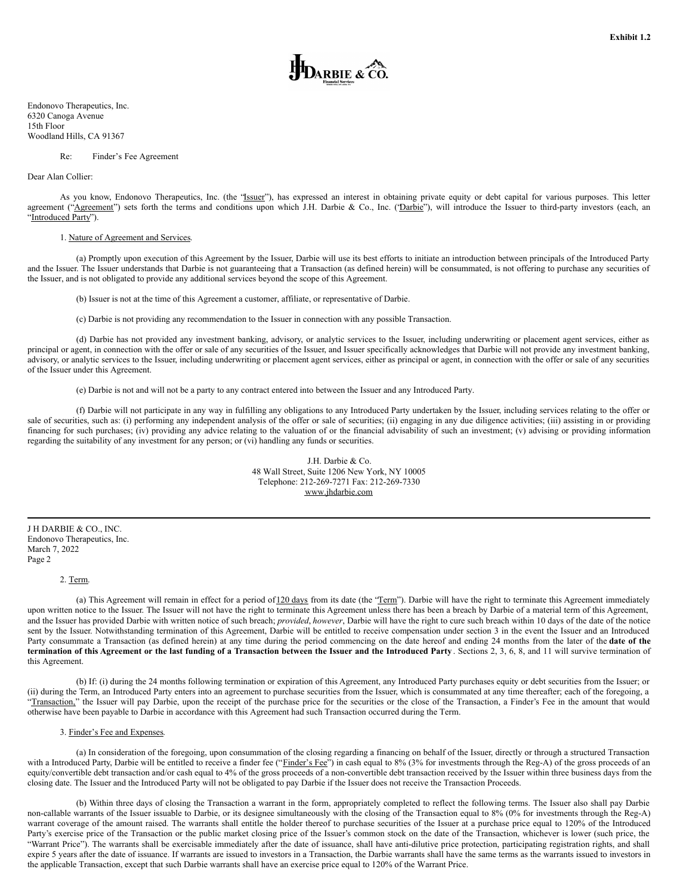

Endonovo Therapeutics, Inc. 6320 Canoga Avenue 15th Floor Woodland Hills, CA 91367

#### Re: Finder's Fee Agreement

Dear Alan Collier:

As you know, Endonovo Therapeutics, Inc. (the "Issuer"), has expressed an interest in obtaining private equity or debt capital for various purposes. This letter agreement ("Agreement") sets forth the terms and conditions upon which J.H. Darbie & Co., Inc. ("Darbie"), will introduce the Issuer to third-party investors (each, an "Introduced Party").

## 1. Nature of Agreement and Services.

(a) Promptly upon execution of this Agreement by the Issuer, Darbie will use its best efforts to initiate an introduction between principals of the Introduced Party and the Issuer. The Issuer understands that Darbie is not guaranteeing that a Transaction (as defined herein) will be consummated, is not offering to purchase any securities of the Issuer, and is not obligated to provide any additional services beyond the scope of this Agreement.

(b) Issuer is not at the time of this Agreement a customer, affiliate, or representative of Darbie.

(c) Darbie is not providing any recommendation to the Issuer in connection with any possible Transaction.

(d) Darbie has not provided any investment banking, advisory, or analytic services to the Issuer, including underwriting or placement agent services, either as principal or agent, in connection with the offer or sale of any securities of the Issuer, and Issuer specifically acknowledges that Darbie will not provide any investment banking, advisory, or analytic services to the Issuer, including underwriting or placement agent services, either as principal or agent, in connection with the offer or sale of any securities of the Issuer under this Agreement.

(e) Darbie is not and will not be a party to any contract entered into between the Issuer and any Introduced Party.

(f) Darbie will not participate in any way in fulfilling any obligations to any Introduced Party undertaken by the Issuer, including services relating to the offer or sale of securities, such as: (i) performing any independent analysis of the offer or sale of securities; (ii) engaging in any due diligence activities; (iii) assisting in or providing financing for such purchases; (iv) providing any advice relating to the valuation of or the financial advisability of such an investment; (v) advising or providing information regarding the suitability of any investment for any person; or (vi) handling any funds or securities.

> J.H. Darbie & Co. 48 Wall Street, Suite 1206 New York, NY 10005 Telephone: 212-269-7271 Fax: 212-269-7330 www.jhdarbie.com

J H DARBIE & CO., INC. Endonovo Therapeutics, Inc. March 7, 2022 Page 2

2. Term.

(a) This Agreement will remain in effect for a period of  $120$  days from its date (the "Term"). Darbie will have the right to terminate this Agreement immediately upon written notice to the Issuer. The Issuer will not have the right to terminate this Agreement unless there has been a breach by Darbie of a material term of this Agreement, and the Issuer has provided Darbie with written notice of such breach; *provided*, *however*, Darbie will have the right to cure such breach within 10 days of the date of the notice sent by the Issuer. Notwithstanding termination of this Agreement, Darbie will be entitled to receive compensation under section 3 in the event the Issuer and an Introduced Party consummate a Transaction (as defined herein) at any time during the period commencing on the date hereof and ending 24 months from the later of the **date of the** termination of this Agreement or the last funding of a Transaction between the Issuer and the Introduced Party. Sections 2, 3, 6, 8, and 11 will survive termination of this Agreement.

(b) If: (i) during the 24 months following termination or expiration of this Agreement, any Introduced Party purchases equity or debt securities from the Issuer; or (ii) during the Term, an Introduced Party enters into an agreement to purchase securities from the Issuer, which is consummated at any time thereafter; each of the foregoing, a "Transaction," the Issuer will pay Darbie, upon the receipt of the purchase price for the securities or the close of the Transaction, a Finder's Fee in the amount that would otherwise have been payable to Darbie in accordance with this Agreement had such Transaction occurred during the Term.

3. Finder's Fee and Expenses.

(a) In consideration of the foregoing, upon consummation of the closing regarding a financing on behalf of the Issuer, directly or through a structured Transaction with a Introduced Party, Darbie will be entitled to receive a finder fee ("Finder's Fee") in cash equal to 8% (3% for investments through the Reg-A) of the gross proceeds of an equity/convertible debt transaction and/or cash equal to 4% of the gross proceeds of a non-convertible debt transaction received by the Issuer within three business days from the closing date. The Issuer and the Introduced Party will not be obligated to pay Darbie if the Issuer does not receive the Transaction Proceeds.

(b) Within three days of closing the Transaction a warrant in the form, appropriately completed to reflect the following terms. The Issuer also shall pay Darbie non-callable warrants of the Issuer issuable to Darbie, or its designee simultaneously with the closing of the Transaction equal to 8% (0% for investments through the Reg-A) warrant coverage of the amount raised. The warrants shall entitle the holder thereof to purchase securities of the Issuer at a purchase price equal to 120% of the Introduced Party's exercise price of the Transaction or the public market closing price of the Issuer's common stock on the date of the Transaction, whichever is lower (such price, the "Warrant Price"). The warrants shall be exercisable immediately after the date of issuance, shall have anti-dilutive price protection, participating registration rights, and shall expire 5 years after the date of issuance. If warrants are issued to investors in a Transaction, the Darbie warrants shall have the same terms as the warrants issued to investors in the applicable Transaction, except that such Darbie warrants shall have an exercise price equal to 120% of the Warrant Price.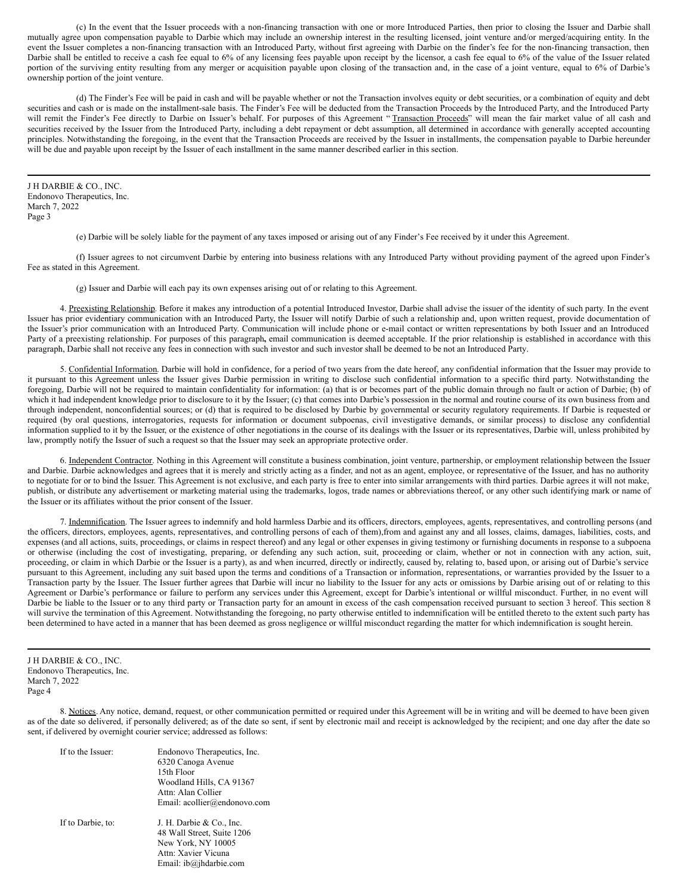<span id="page-38-0"></span>(c) In the event that the Issuer proceeds with a non-financing transaction with one or more Introduced Parties, then prior to closing the Issuer and Darbie shall mutually agree upon compensation payable to Darbie which may include an ownership interest in the resulting licensed, joint venture and/or merged/acquiring entity. In the event the Issuer completes a non-financing transaction with an Introduced Party, without first agreeing with Darbie on the finder's fee for the non-financing transaction, then Darbie shall be entitled to receive a cash fee equal to 6% of any licensing fees payable upon receipt by the licensor, a cash fee equal to 6% of the value of the Issuer related portion of the surviving entity resulting from any merger or acquisition payable upon closing of the transaction and, in the case of a joint venture, equal to 6% of Darbie's ownership portion of the joint venture.

(d) The Finder's Fee will be paid in cash and will be payable whether or not the Transaction involves equity or debt securities, or a combination of equity and debt securities and cash or is made on the installment-sale basis. The Finder's Fee will be deducted from the Transaction Proceeds by the Introduced Party, and the Introduced Party will remit the Finder's Fee directly to Darbie on Issuer's behalf. For purposes of this Agreement "Transaction Proceeds" will mean the fair market value of all cash and securities received by the Issuer from the Introduced Party, including a debt repayment or debt assumption, all determined in accordance with generally accepted accounting principles. Notwithstanding the foregoing, in the event that the Transaction Proceeds are received by the Issuer in installments, the compensation payable to Darbie hereunder will be due and payable upon receipt by the Issuer of each installment in the same manner described earlier in this section.

J H DARBIE & CO., INC. Endonovo Therapeutics, Inc. March 7, 2022 Page 3

(e) Darbie will be solely liable for the payment of any taxes imposed or arising out of any Finder's Fee received by it under this Agreement.

(f) Issuer agrees to not circumvent Darbie by entering into business relations with any Introduced Party without providing payment of the agreed upon Finder's Fee as stated in this Agreement.

(g) Issuer and Darbie will each pay its own expenses arising out of or relating to this Agreement.

4. Preexisting Relationship. Before it makes any introduction of a potential Introduced Investor, Darbie shall advise the issuer of the identity of such party. In the event Issuer has prior evidentiary communication with an Introduced Party, the Issuer will notify Darbie of such a relationship and, upon written request, provide documentation of the Issuer's prior communication with an Introduced Party. Communication will include phone or e-mail contact or written representations by both Issuer and an Introduced Party of a preexisting relationship. For purposes of this paragraph, email communication is deemed acceptable. If the prior relationship is established in accordance with this paragraph, Darbie shall not receive any fees in connection with such investor and such investor shall be deemed to be not an Introduced Party.

5. Confidential Information. Darbie will hold in confidence, for a period of two years from the date hereof, any confidential information that the Issuer may provide to it pursuant to this Agreement unless the Issuer gives Darbie permission in writing to disclose such confidential information to a specific third party. Notwithstanding the foregoing, Darbie will not be required to maintain confidentiality for information: (a) that is or becomes part of the public domain through no fault or action of Darbie; (b) of which it had independent knowledge prior to disclosure to it by the Issuer; (c) that comes into Darbie's possession in the normal and routine course of its own business from and through independent, nonconfidential sources; or (d) that is required to be disclosed by Darbie by governmental or security regulatory requirements. If Darbie is requested or required (by oral questions, interrogatories, requests for information or document subpoenas, civil investigative demands, or similar process) to disclose any confidential information supplied to it by the Issuer, or the existence of other negotiations in the course of its dealings with the Issuer or its representatives, Darbie will, unless prohibited by law, promptly notify the Issuer of such a request so that the Issuer may seek an appropriate protective order.

6. Independent Contractor. Nothing in this Agreement will constitute a business combination, joint venture, partnership, or employment relationship between the Issuer and Darbie. Darbie acknowledges and agrees that it is merely and strictly acting as a finder, and not as an agent, employee, or representative of the Issuer, and has no authority to negotiate for or to bind the Issuer. This Agreement is not exclusive, and each party is free to enter into similar arrangements with third parties. Darbie agrees it will not make, publish, or distribute any advertisement or marketing material using the trademarks, logos, trade names or abbreviations thereof, or any other such identifying mark or name of the Issuer or its affiliates without the prior consent of the Issuer.

7. Indemnification. The Issuer agrees to indemnify and hold harmless Darbie and its officers, directors, employees, agents, representatives, and controlling persons (and the officers, directors, employees, agents, representatives, and controlling persons of each of them), from and against any and all losses, claims, damages, liabilities, costs, and expenses (and all actions, suits, proceedings, or claims in respect thereof) and any legal or other expenses in giving testimony or furnishing documents in response to a subpoena or otherwise (including the cost of investigating, preparing, or defending any such action, suit, proceeding or claim, whether or not in connection with any action, suit, proceeding, or claim in which Darbie or the Issuer is a party), as and when incurred, directly or indirectly, caused by, relating to, based upon, or arising out of Darbie's service pursuant to this Agreement, including any suit based upon the terms and conditions of a Transaction or information, representations, or warranties provided by the Issuer to a Transaction party by the Issuer. The Issuer further agrees that Darbie will incur no liability to the Issuer for any acts or omissions by Darbie arising out of or relating to this Agreement or Darbie's performance or failure to perform any services under this Agreement, except for Darbie's intentional or willful misconduct. Further, in no event will Darbie be liable to the Issuer or to any third party or Transaction party for an amount in excess of the cash compensation received pursuant to section 3 hereof. This section 8 will survive the termination of this Agreement. Notwithstanding the foregoing, no party otherwise entitled to indemnification will be entitled thereto to the extent such party has been determined to have acted in a manner that has been deemed as gross negligence or willful misconduct regarding the matter for which indemnification is sought herein.

J H DARBIE & CO., INC. Endonovo Therapeutics, Inc. March 7, 2022 Page 4

8. Notices. Any notice, demand, request, or other communication permitted or required under this Agreement will be in writing and will be deemed to have been given as of the date so delivered, if personally delivered; as of the date so sent, if sent by electronic mail and receipt is acknowledged by the recipient; and one day after the date so sent, if delivered by overnight courier service; addressed as follows:

| If to the Issuer: | Endonovo Therapeutics, Inc.  |
|-------------------|------------------------------|
|                   | 6320 Canoga Avenue           |
|                   | 15th Floor                   |
|                   | Woodland Hills, CA 91367     |
|                   | Attn: Alan Collier           |
|                   | Email: acollier@endonovo.com |
| If to Darbie, to: | J. H. Darbie & Co., Inc.     |
|                   | 48 Wall Street, Suite 1206   |
|                   | New York, NY 10005           |
|                   | Attn: Xavier Vicuna          |
|                   | Email: ib@jhdarbie.com       |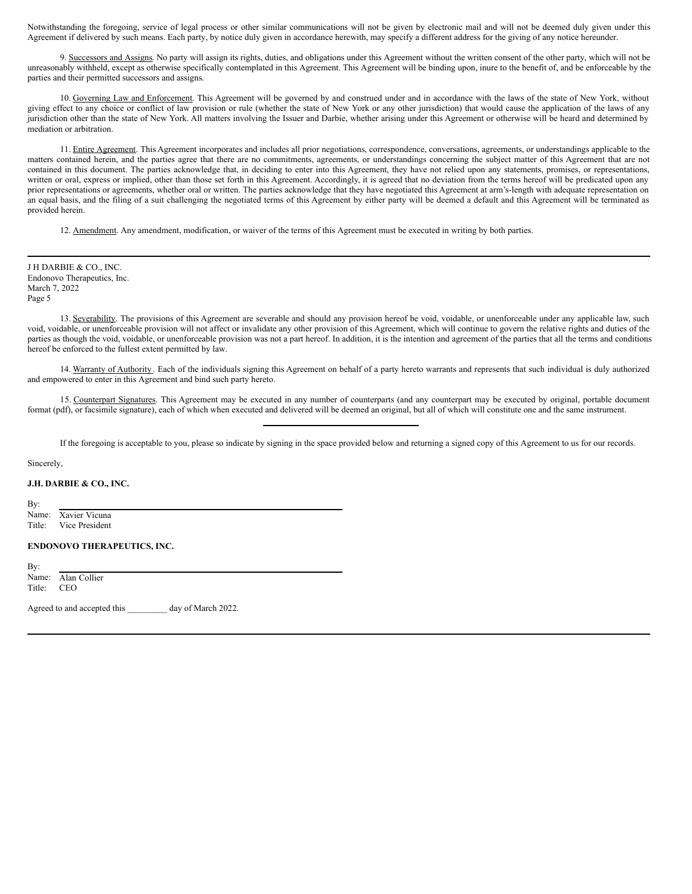Notwithstanding the foregoing, service of legal process or other similar communications will not be given by electronic mail and will not be deemed duly given under this Agreement if delivered by such means. Each party, by notice duly given in accordance herewith, may specify a different address for the giving of any notice hereunder.

9. Successors and Assigns. No party will assign its rights, duties, and obligations under this Agreement without the written consent of the other party, which will not be unreasonably withheld, except as otherwise specifically contemplated in this Agreement. This Agreement will be binding upon, inure to the benefit of, and be enforceable by the parties and their permitted successors and assigns.

10. Governing Law and Enforcement. This Agreement will be governed by and construed under and in accordance with the laws of the state of New York, without giving effect to any choice or conflict of law provision or rule (whether the state of New York or any other jurisdiction) that would cause the application of the laws of any jurisdiction other than the state of New York. All matters involving the Issuer and Darbie, whether arising under this Agreement or otherwise will be heard and determined by mediation or arbitration.

11. Entire Agreement. This Agreement incorporates and includes all prior negotiations, correspondence, conversations, agreements, or understandings applicable to the matters contained herein, and the parties agree that there are no commitments, agreements, or understandings concerning the subject matter of this Agreement that are not contained in this document. The parties acknowledge that, in deciding to enter into this Agreement, they have not relied upon any statements, promises, or representations, written or oral, express or implied, other than those set forth in this Agreement. Accordingly, it is agreed that no deviation from the terms hereof will be predicated upon any prior representations or agreements, whether oral or written. The parties acknowledge that they have negotiated this Agreement at arm's-length with adequate representation on an equal basis, and the filing of a suit challenging the negotiated terms of this Agreement by either party will be deemed a default and this Agreement will be terminated as provided herein.

12. Amendment. Any amendment, modification, or waiver of the terms of this Agreement must be executed in writing by both parties.

J H DARBIE & CO., INC. Endonovo Therapeutics, Inc. March 7, 2022 Page 5

13. Severability. The provisions of this Agreement are severable and should any provision hereof be void, voidable, or unenforceable under any applicable law, such void, voidable, or unenforceable provision will not affect or invalidate any other provision of this Agreement, which will continue to govern the relative rights and duties of the parties as though the void, voidable, or unenforceable provision was not a part hereof. In addition, it is the intention and agreement of the parties that all the terms and conditions hereof be enforced to the fullest extent permitted by law.

14. Warranty of Authority. Each of the individuals signing this Agreement on behalf of a party hereto warrants and represents that such individual is duly authorized and empowered to enter in this Agreement and bind such party hereto.

15. Counterpart Signatures. This Agreement may be executed in any number of counterparts (and any counterpart may be executed by original, portable document format (pdf), or facsimile signature), each of which when executed and delivered will be deemed an original, but all of which will constitute one and the same instrument.

If the foregoing is acceptable to you, please so indicate by signing in the space provided below and returning a signed copy of this Agreement to us for our records.

## Sincerely,

# **J.H. DARBIE & CO., INC.**

By:

Name: Xavier Vicuna Title: Vice President

# **ENDONOVO THERAPEUTICS, INC.**

By:

Name: Alan Collier<br>Title: CEO  $Title$ 

Agreed to and accepted this \_\_\_\_\_\_\_\_ day of March 2022.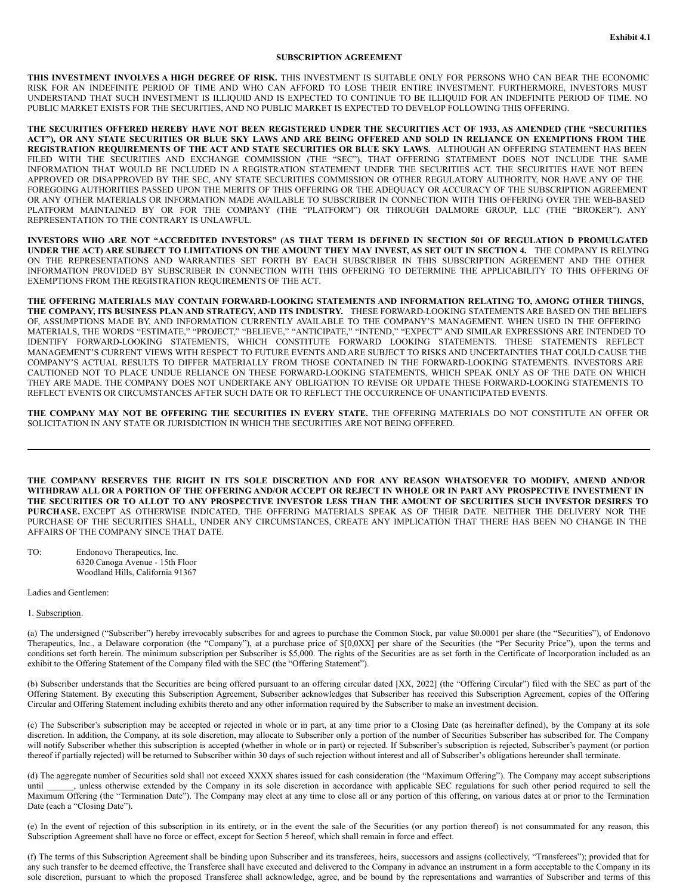## **SUBSCRIPTION AGREEMENT**

**THIS INVESTMENT INVOLVES A HIGH DEGREE OF RISK.** THIS INVESTMENT IS SUITABLE ONLY FOR PERSONS WHO CAN BEAR THE ECONOMIC RISK FOR AN INDEFINITE PERIOD OF TIME AND WHO CAN AFFORD TO LOSE THEIR ENTIRE INVESTMENT. FURTHERMORE, INVESTORS MUST UNDERSTAND THAT SUCH INVESTMENT IS ILLIQUID AND IS EXPECTED TO CONTINUE TO BE ILLIQUID FOR AN INDEFINITE PERIOD OF TIME. NO PUBLIC MARKET EXISTS FOR THE SECURITIES, AND NO PUBLIC MARKET IS EXPECTED TO DEVELOP FOLLOWING THIS OFFERING.

THE SECURITIES OFFERED HEREBY HAVE NOT BEEN REGISTERED UNDER THE SECURITIES ACT OF 1933, AS AMENDED (THE "SECURITIES ACT"), OR ANY STATE SECURITIES OR BLUE SKY LAWS AND ARE BEING OFFERED AND SOLD IN RELIANCE ON EXEMPTIONS FROM THE **REGISTRATION REQUIREMENTS OF THE ACT AND STATE SECURITIES OR BLUE SKY LAWS.** ALTHOUGH AN OFFERING STATEMENT HAS BEEN FILED WITH THE SECURITIES AND EXCHANGE COMMISSION (THE "SEC"), THAT OFFERING STATEMENT DOES NOT INCLUDE THE SAME INFORMATION THAT WOULD BE INCLUDED IN A REGISTRATION STATEMENT UNDER THE SECURITIES ACT. THE SECURITIES HAVE NOT BEEN APPROVED OR DISAPPROVED BY THE SEC, ANY STATE SECURITIES COMMISSION OR OTHER REGULATORY AUTHORITY, NOR HAVE ANY OF THE FOREGOING AUTHORITIES PASSED UPON THE MERITS OF THIS OFFERING OR THE ADEQUACY OR ACCURACY OF THE SUBSCRIPTION AGREEMENT OR ANY OTHER MATERIALS OR INFORMATION MADE AVAILABLE TO SUBSCRIBER IN CONNECTION WITH THIS OFFERING OVER THE WEB-BASED PLATFORM MAINTAINED BY OR FOR THE COMPANY (THE "PLATFORM") OR THROUGH DALMORE GROUP, LLC (THE "BROKER"). ANY REPRESENTATION TO THE CONTRARY IS UNLAWFUL.

INVESTORS WHO ARE NOT "ACCREDITED INVESTORS" (AS THAT TERM IS DEFINED IN SECTION 501 OF REGULATION D PROMULGATED UNDER THE ACT) ARE SUBJECT TO LIMITATIONS ON THE AMOUNT THEY MAY INVEST, AS SET OUT IN SECTION 4. THE COMPANY IS RELYING ON THE REPRESENTATIONS AND WARRANTIES SET FORTH BY EACH SUBSCRIBER IN THIS SUBSCRIPTION AGREEMENT AND THE OTHER INFORMATION PROVIDED BY SUBSCRIBER IN CONNECTION WITH THIS OFFERING TO DETERMINE THE APPLICABILITY TO THIS OFFERING OF EXEMPTIONS FROM THE REGISTRATION REQUIREMENTS OF THE ACT.

**THE OFFERING MATERIALS MAY CONTAIN FORWARD-LOOKING STATEMENTS AND INFORMATION RELATING TO, AMONG OTHER THINGS, THE COMPANY, ITS BUSINESS PLAN AND STRATEGY, AND ITS INDUSTRY.** THESE FORWARD-LOOKING STATEMENTS ARE BASED ON THE BELIEFS OF, ASSUMPTIONS MADE BY, AND INFORMATION CURRENTLY AVAILABLE TO THE COMPANY'S MANAGEMENT. WHEN USED IN THE OFFERING MATERIALS, THE WORDS "ESTIMATE," "PROJECT," "BELIEVE," "ANTICIPATE," "INTEND," "EXPECT" AND SIMILAR EXPRESSIONS ARE INTENDED TO IDENTIFY FORWARD-LOOKING STATEMENTS, WHICH CONSTITUTE FORWARD LOOKING STATEMENTS. THESE STATEMENTS REFLECT MANAGEMENT'S CURRENT VIEWS WITH RESPECT TO FUTURE EVENTS AND ARE SUBJECT TO RISKS AND UNCERTAINTIES THAT COULD CAUSE THE COMPANY'S ACTUAL RESULTS TO DIFFER MATERIALLY FROM THOSE CONTAINED IN THE FORWARD-LOOKING STATEMENTS. INVESTORS ARE CAUTIONED NOT TO PLACE UNDUE RELIANCE ON THESE FORWARD-LOOKING STATEMENTS, WHICH SPEAK ONLY AS OF THE DATE ON WHICH THEY ARE MADE. THE COMPANY DOES NOT UNDERTAKE ANY OBLIGATION TO REVISE OR UPDATE THESE FORWARD-LOOKING STATEMENTS TO REFLECT EVENTS OR CIRCUMSTANCES AFTER SUCH DATE OR TO REFLECT THE OCCURRENCE OF UNANTICIPATED EVENTS.

**THE COMPANY MAY NOT BE OFFERING THE SECURITIES IN EVERY STATE.** THE OFFERING MATERIALS DO NOT CONSTITUTE AN OFFER OR SOLICITATION IN ANY STATE OR JURISDICTION IN WHICH THE SECURITIES ARE NOT BEING OFFERED.

THE COMPANY RESERVES THE RIGHT IN ITS SOLE DISCRETION AND FOR ANY REASON WHATSOEVER TO MODIFY, AMEND AND/OR WITHDRAW ALL OR A PORTION OF THE OFFERING AND/OR ACCEPT OR REJECT IN WHOLE OR IN PART ANY PROSPECTIVE INVESTMENT IN THE SECURITIES OR TO ALLOT TO ANY PROSPECTIVE INVESTOR LESS THAN THE AMOUNT OF SECURITIES SUCH INVESTOR DESIRES TO **PURCHASE.** EXCEPT AS OTHERWISE INDICATED, THE OFFERING MATERIALS SPEAK AS OF THEIR DATE. NEITHER THE DELIVERY NOR THE PURCHASE OF THE SECURITIES SHALL, UNDER ANY CIRCUMSTANCES, CREATE ANY IMPLICATION THAT THERE HAS BEEN NO CHANGE IN THE AFFAIRS OF THE COMPANY SINCE THAT DATE.

TO: Endonovo Therapeutics, Inc. 6320 Canoga Avenue - 15th Floor Woodland Hills, California 91367

#### Ladies and Gentlemen:

# 1. Subscription.

(a) The undersigned ("Subscriber") hereby irrevocably subscribes for and agrees to purchase the Common Stock, par value \$0.0001 per share (the "Securities"), of Endonovo Therapeutics, Inc., a Delaware corporation (the "Company"), at a purchase price of  $$[0,0XX]$  per share of the Securities (the "Per Security Price"), upon the terms and conditions set forth herein. The minimum subscription per Subscriber is \$5,000. The rights of the Securities are as set forth in the Certificate of Incorporation included as an exhibit to the Offering Statement of the Company filed with the SEC (the "Offering Statement").

(b) Subscriber understands that the Securities are being offered pursuant to an offering circular dated [XX, 2022] (the "Offering Circular") filed with the SEC as part of the Offering Statement. By executing this Subscription Agreement, Subscriber acknowledges that Subscriber has received this Subscription Agreement, copies of the Offering Circular and Offering Statement including exhibits thereto and any other information required by the Subscriber to make an investment decision.

(c) The Subscriber's subscription may be accepted or rejected in whole or in part, at any time prior to a Closing Date (as hereinafter defined), by the Company at its sole discretion. In addition, the Company, at its sole discretion, may allocate to Subscriber only a portion of the number of Securities Subscriber has subscribed for. The Company will notify Subscriber whether this subscription is accepted (whether in whole or in part) or rejected. If Subscriber's subscription is rejected, Subscriber's payment (or portion thereof if partially rejected) will be returned to Subscriber within 30 days of such rejection without interest and all of Subscriber's obligations hereunder shall terminate.

(d) The aggregate number of Securities sold shall not exceed XXXX shares issued for cash consideration (the "Maximum Offering"). The Company may accept subscriptions until \_\_\_\_\_, unless otherwise extended by the Company in its sole discretion in accordance with applicable SEC regulations for such other period required to sell the Maximum Offering (the "Termination Date"). The Company may elect at any time to close all or any portion of this offering, on various dates at or prior to the Termination Date (each a "Closing Date").

(e) In the event of rejection of this subscription in its entirety, or in the event the sale of the Securities (or any portion thereof) is not consummated for any reason, this Subscription Agreement shall have no force or effect, except for Section 5 hereof, which shall remain in force and effect.

(f) The terms of this Subscription Agreement shall be binding upon Subscriber and its transferees, heirs, successors and assigns (collectively, "Transferees"); provided that for any such transfer to be deemed effective, the Transferee shall have executed and delivered to the Company in advance an instrument in a form acceptable to the Company in its sole discretion, pursuant to which the proposed Transferee shall acknowledge, agree, and be bound by the representations and warranties of Subscriber and terms of this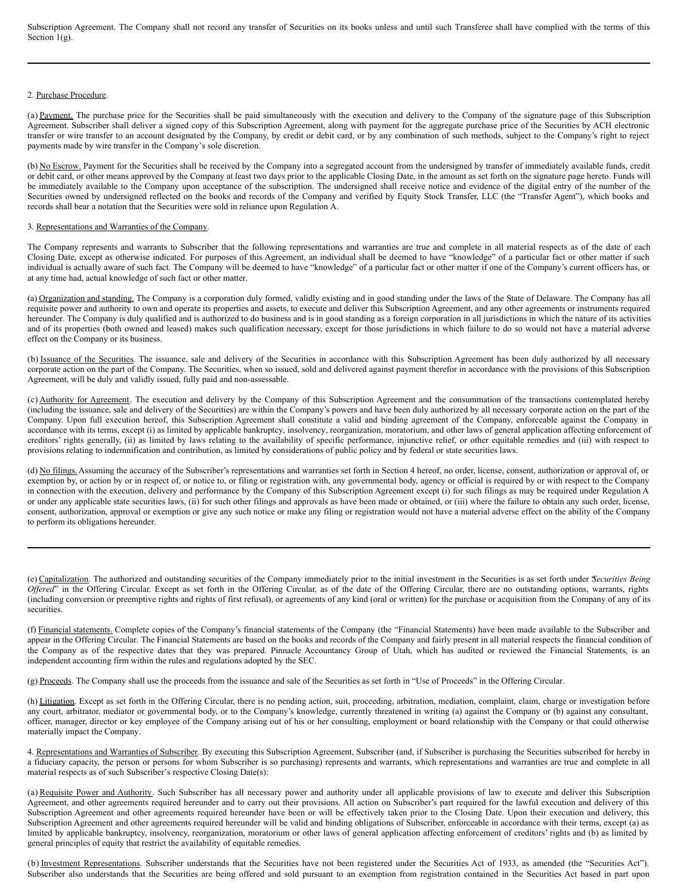Subscription Agreement. The Company shall not record any transfer of Securities on its books unless and until such Transferee shall have complied with the terms of this Section 1(g).

## 2. Purchase Procedure.

(a) Payment. The purchase price for the Securities shall be paid simultaneously with the execution and delivery to the Company of the signature page of this Subscription Agreement. Subscriber shall deliver a signed copy of this Subscription Agreement, along with payment for the aggregate purchase price of the Securities by ACH electronic transfer or wire transfer to an account designated by the Company, by credit or debit card, or by any combination of such methods, subject to the Company's right to reject payments made by wire transfer in the Company's sole discretion.

(b) No Escrow. Payment for the Securities shall be received by the Company into a segregated account from the undersigned by transfer of immediately available funds, credit or debit card, or other means approved by the Company at least two days prior to the applicable Closing Date, in the amount as set forth on the signature page hereto. Funds will be immediately available to the Company upon acceptance of the subscription. The undersigned shall receive notice and evidence of the digital entry of the number of the Securities owned by undersigned reflected on the books and records of the Company and verified by Equity Stock Transfer, LLC (the "Transfer Agent"), which books and records shall bear a notation that the Securities were sold in reliance upon Regulation A.

## 3. Representations and Warranties of the Company.

The Company represents and warrants to Subscriber that the following representations and warranties are true and complete in all material respects as of the date of each Closing Date, except as otherwise indicated. For purposes of this Agreement, an individual shall be deemed to have "knowledge" of a particular fact or other matter if such individual is actually aware of such fact. The Company will be deemed to have "knowledge" of a particular fact or other matter if one of the Company's current officers has, or at any time had, actual knowledge of such fact or other matter.

(a) Organization and standing. The Company is a corporation duly formed, validly existing and in good standing under the laws of the State of Delaware. The Company has all requisite power and authority to own and operate its properties and assets, to execute and deliver this Subscription Agreement, and any other agreements or instruments required hereunder. The Company is duly qualified and is authorized to do business and is in good standing as a foreign corporation in all jurisdictions in which the nature of its activities and of its properties (both owned and leased) makes such qualification necessary, except for those jurisdictions in which failure to do so would not have a material adverse effect on the Company or its business.

(b) Issuance of the Securities. The issuance, sale and delivery of the Securities in accordance with this Subscription Agreement has been duly authorized by all necessary corporate action on the part of the Company. The Securities, when so issued, sold and delivered against payment therefor in accordance with the provisions of this Subscription Agreement, will be duly and validly issued, fully paid and non-assessable.

(c) Authority for Agreement. The execution and delivery by the Company of this Subscription Agreement and the consummation of the transactions contemplated hereby (including the issuance, sale and delivery of the Securities) are within the Company's powers and have been duly authorized by all necessary corporate action on the part of the Company. Upon full execution hereof, this Subscription Agreement shall constitute a valid and binding agreement of the Company, enforceable against the Company in accordance with its terms, except (i) as limited by applicable bankruptcy, insolvency, reorganization, moratorium, and other laws of general application affecting enforcement of creditors' rights generally, (ii) as limited by laws relating to the availability of specific performance, injunctive relief, or other equitable remedies and (iii) with respect to provisions relating to indemnification and contribution, as limited by considerations of public policy and by federal or state securities laws.

(d) No filings. Assuming the accuracy of the Subscriber's representations and warranties set forth in Section 4 hereof, no order, license, consent, authorization or approval of, or exemption by, or action by or in respect of, or notice to, or filing or registration with, any governmental body, agency or official is required by or with respect to the Company in connection with the execution, delivery and performance by the Company of this Subscription Agreement except (i) for such filings as may be required under Regulation A or under any applicable state securities laws, (ii) for such other filings and approvals as have been made or obtained, or (iii) where the failure to obtain any such order, license, consent, authorization, approval or exemption or give any such notice or make any filing or registration would not have a material adverse effect on the ability of the Company to perform its obligations hereunder.

(e) Capitalization. The authorized and outstanding securities of the Company immediately prior to the initial investment in the Securities is as set forth under "*Securities Being* Offered" in the Offering Circular. Except as set forth in the Offering Circular, as of the date of the Offering Circular, there are no outstanding options, warrants, rights (including conversion or preemptive rights and rights of first refusal), or agreements of any kind (oral or written) for the purchase or acquisition from the Company of any of its securities.

(f) Financial statements. Complete copies of the Company's financial statements of the Company (the "Financial Statements) have been made available to the Subscriber and appear in the Offering Circular. The Financial Statements are based on the books and records of the Company and fairly present in all material respects the financial condition of the Company as of the respective dates that they was prepared. Pinnacle Accountancy Group of Utah, which has audited or reviewed the Financial Statements, is an independent accounting firm within the rules and regulations adopted by the SEC.

(g) Proceeds. The Company shall use the proceeds from the issuance and sale of the Securities as set forth in "Use of Proceeds" in the Offering Circular.

(h) Litigation. Except as set forth in the Offering Circular, there is no pending action, suit, proceeding, arbitration, mediation, complaint, claim, charge or investigation before any court, arbitrator, mediator or governmental body, or to the Company's knowledge, currently threatened in writing (a) against the Company or (b) against any consultant, officer, manager, director or key employee of the Company arising out of his or her consulting, employment or board relationship with the Company or that could otherwise materially impact the Company.

4. Representations and Warranties of Subscriber. By executing this Subscription Agreement, Subscriber (and, if Subscriber is purchasing the Securities subscribed for hereby in a fiduciary capacity, the person or persons for whom Subscriber is so purchasing) represents and warrants, which representations and warranties are true and complete in all material respects as of such Subscriber's respective Closing Date(s):

(a) Requisite Power and Authority. Such Subscriber has all necessary power and authority under all applicable provisions of law to execute and deliver this Subscription Agreement, and other agreements required hereunder and to carry out their provisions. All action on Subscriber's part required for the lawful execution and delivery of this Subscription Agreement and other agreements required hereunder have been or will be effectively taken prior to the Closing Date. Upon their execution and delivery, this Subscription Agreement and other agreements required hereunder will be valid and binding obligations of Subscriber, enforceable in accordance with their terms, except (a) as limited by applicable bankruptcy, insolvency, reorganization, moratorium or other laws of general application affecting enforcement of creditors' rights and (b) as limited by general principles of equity that restrict the availability of equitable remedies.

(b) Investment Representations. Subscriber understands that the Securities have not been registered under the Securities Act of 1933, as amended (the "Securities Act"). Subscriber also understands that the Securities are being offered and sold pursuant to an exemption from registration contained in the Securities Act based in part upon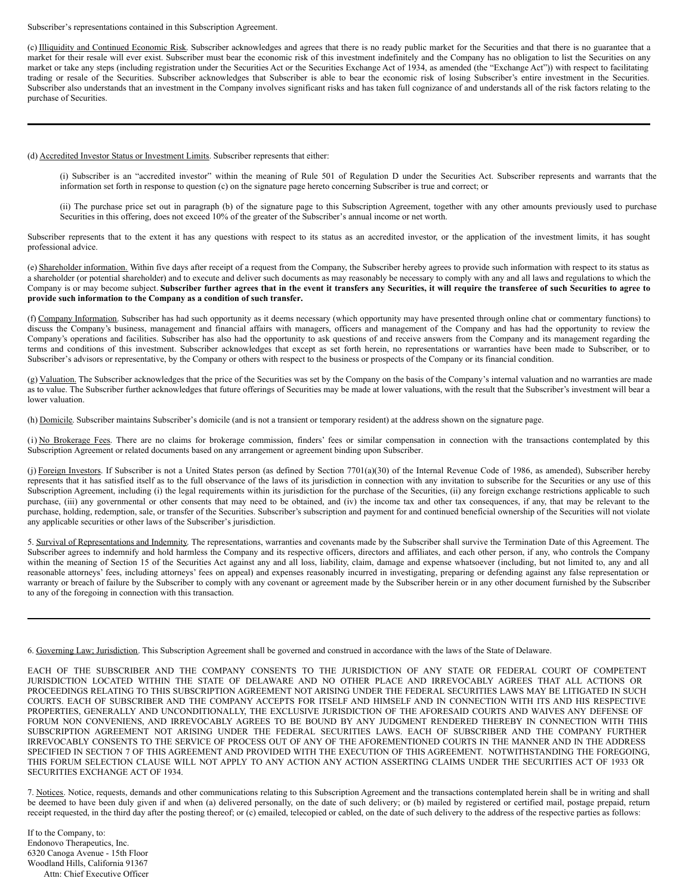#### <span id="page-42-0"></span>Subscriber's representations contained in this Subscription Agreement.

(c) Illiquidity and Continued Economic Risk. Subscriber acknowledges and agrees that there is no ready public market for the Securities and that there is no guarantee that a market for their resale will ever exist. Subscriber must bear the economic risk of this investment indefinitely and the Company has no obligation to list the Securities on any market or take any steps (including registration under the Securities Act or the Securities Exchange Act of 1934, as amended (the "Exchange Act")) with respect to facilitating trading or resale of the Securities. Subscriber acknowledges that Subscriber is able to bear the economic risk of losing Subscriber's entire investment in the Securities. Subscriber also understands that an investment in the Company involves significant risks and has taken full cognizance of and understands all of the risk factors relating to the purchase of Securities.

(d) Accredited Investor Status or Investment Limits. Subscriber represents that either:

- (i) Subscriber is an "accredited investor" within the meaning of Rule 501 of Regulation D under the Securities Act. Subscriber represents and warrants that the information set forth in response to question (c) on the signature page hereto concerning Subscriber is true and correct; or
- (ii) The purchase price set out in paragraph (b) of the signature page to this Subscription Agreement, together with any other amounts previously used to purchase Securities in this offering, does not exceed 10% of the greater of the Subscriber's annual income or net worth.

Subscriber represents that to the extent it has any questions with respect to its status as an accredited investor, or the application of the investment limits, it has sought professional advice.

(e) Shareholder information. Within five days after receipt of a request from the Company, the Subscriber hereby agrees to provide such information with respect to its status as a shareholder (or potential shareholder) and to execute and deliver such documents as may reasonably be necessary to comply with any and all laws and regulations to which the Company is or may become subject. Subscriber further agrees that in the event it transfers any Securities, it will require the transferee of such Securities to agree to **provide such information to the Company as a condition of such transfer.**

(f) Company Information. Subscriber has had such opportunity as it deems necessary (which opportunity may have presented through online chat or commentary functions) to discuss the Company's business, management and financial affairs with managers, officers and management of the Company and has had the opportunity to review the Company's operations and facilities. Subscriber has also had the opportunity to ask questions of and receive answers from the Company and its management regarding the terms and conditions of this investment. Subscriber acknowledges that except as set forth herein, no representations or warranties have been made to Subscriber, or to Subscriber's advisors or representative, by the Company or others with respect to the business or prospects of the Company or its financial condition.

(g) Valuation. The Subscriber acknowledges that the price of the Securities was set by the Company on the basis of the Company's internal valuation and no warranties are made as to value. The Subscriber further acknowledges that future offerings of Securities may be made at lower valuations, with the result that the Subscriber's investment will bear a lower valuation.

(h) Domicile. Subscriber maintains Subscriber's domicile (and is not a transient or temporary resident) at the address shown on the signature page.

(i) No Brokerage Fees. There are no claims for brokerage commission, finders' fees or similar compensation in connection with the transactions contemplated by this Subscription Agreement or related documents based on any arrangement or agreement binding upon Subscriber.

(j) Foreign Investors. If Subscriber is not a United States person (as defined by Section 7701(a)(30) of the Internal Revenue Code of 1986, as amended), Subscriber hereby represents that it has satisfied itself as to the full observance of the laws of its jurisdiction in connection with any invitation to subscribe for the Securities or any use of this Subscription Agreement, including (i) the legal requirements within its jurisdiction for the purchase of the Securities, (ii) any foreign exchange restrictions applicable to such purchase, (iii) any governmental or other consents that may need to be obtained, and (iv) the income tax and other tax consequences, if any, that may be relevant to the purchase, holding, redemption, sale, or transfer of the Securities. Subscriber's subscription and payment for and continued beneficial ownership of the Securities will not violate any applicable securities or other laws of the Subscriber's jurisdiction.

5. Survival of Representations and Indemnity. The representations, warranties and covenants made by the Subscriber shall survive the Termination Date of this Agreement. The Subscriber agrees to indemnify and hold harmless the Company and its respective officers, directors and affiliates, and each other person, if any, who controls the Company within the meaning of Section 15 of the Securities Act against any and all loss, liability, claim, damage and expense whatsoever (including, but not limited to, any and all reasonable attorneys' fees, including attorneys' fees on appeal) and expenses reasonably incurred in investigating, preparing or defending against any false representation or warranty or breach of failure by the Subscriber to comply with any covenant or agreement made by the Subscriber herein or in any other document furnished by the Subscriber to any of the foregoing in connection with this transaction.

6. Governing Law; Jurisdiction. This Subscription Agreement shall be governed and construed in accordance with the laws of the State of Delaware.

EACH OF THE SUBSCRIBER AND THE COMPANY CONSENTS TO THE JURISDICTION OF ANY STATE OR FEDERAL COURT OF COMPETENT JURISDICTION LOCATED WITHIN THE STATE OF DELAWARE AND NO OTHER PLACE AND IRREVOCABLY AGREES THAT ALL ACTIONS OR PROCEEDINGS RELATING TO THIS SUBSCRIPTION AGREEMENT NOT ARISING UNDER THE FEDERAL SECURITIES LAWS MAY BE LITIGATED IN SUCH COURTS. EACH OF SUBSCRIBER AND THE COMPANY ACCEPTS FOR ITSELF AND HIMSELF AND IN CONNECTION WITH ITS AND HIS RESPECTIVE PROPERTIES, GENERALLY AND UNCONDITIONALLY, THE EXCLUSIVE JURISDICTION OF THE AFORESAID COURTS AND WAIVES ANY DEFENSE OF FORUM NON CONVENIENS, AND IRREVOCABLY AGREES TO BE BOUND BY ANY JUDGMENT RENDERED THEREBY IN CONNECTION WITH THIS SUBSCRIPTION AGREEMENT NOT ARISING UNDER THE FEDERAL SECURITIES LAWS. EACH OF SUBSCRIBER AND THE COMPANY FURTHER IRREVOCABLY CONSENTS TO THE SERVICE OF PROCESS OUT OF ANY OF THE AFOREMENTIONED COURTS IN THE MANNER AND IN THE ADDRESS SPECIFIED IN SECTION 7 OF THIS AGREEMENT AND PROVIDED WITH THE EXECUTION OF THIS AGREEMENT. NOTWITHSTANDING THE FOREGOING, THIS FORUM SELECTION CLAUSE WILL NOT APPLY TO ANY ACTION ANY ACTION ASSERTING CLAIMS UNDER THE SECURITIES ACT OF 1933 OR SECURITIES EXCHANGE ACT OF 1934.

7. Notices. Notice, requests, demands and other communications relating to this Subscription Agreement and the transactions contemplated herein shall be in writing and shall be deemed to have been duly given if and when (a) delivered personally, on the date of such delivery; or (b) mailed by registered or certified mail, postage prepaid, return receipt requested, in the third day after the posting thereof; or (c) emailed, telecopied or cabled, on the date of such delivery to the address of the respective parties as follows:

If to the Company, to: Endonovo Therapeutics, Inc. 6320 Canoga Avenue - 15th Floor Woodland Hills, California 91367 Attn: Chief Executive Officer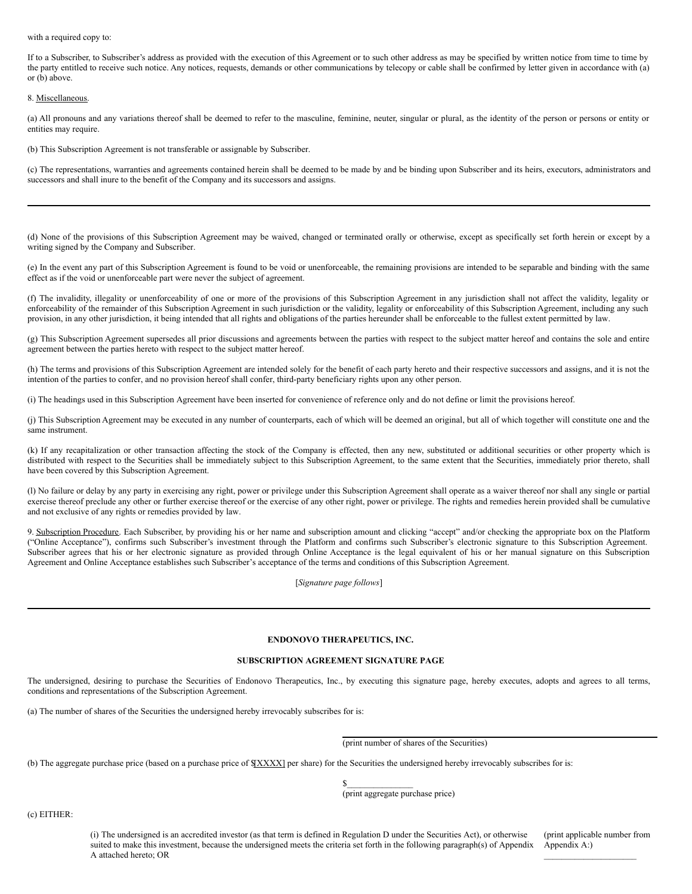## with a required copy to:

If to a Subscriber, to Subscriber's address as provided with the execution of this Agreement or to such other address as may be specified by written notice from time to time by the party entitled to receive such notice. Any notices, requests, demands or other communications by telecopy or cable shall be confirmed by letter given in accordance with (a) or (b) above.

# 8. Miscellaneous.

(a) All pronouns and any variations thereof shall be deemed to refer to the masculine, feminine, neuter, singular or plural, as the identity of the person or persons or entity or entities may require.

(b) This Subscription Agreement is not transferable or assignable by Subscriber.

(c) The representations, warranties and agreements contained herein shall be deemed to be made by and be binding upon Subscriber and its heirs, executors, administrators and successors and shall inure to the benefit of the Company and its successors and assigns.

(d) None of the provisions of this Subscription Agreement may be waived, changed or terminated orally or otherwise, except as specifically set forth herein or except by a writing signed by the Company and Subscriber.

(e) In the event any part of this Subscription Agreement is found to be void or unenforceable, the remaining provisions are intended to be separable and binding with the same effect as if the void or unenforceable part were never the subject of agreement.

(f) The invalidity, illegality or unenforceability of one or more of the provisions of this Subscription Agreement in any jurisdiction shall not affect the validity, legality or enforceability of the remainder of this Subscription Agreement in such jurisdiction or the validity, legality or enforceability of this Subscription Agreement, including any such provision, in any other jurisdiction, it being intended that all rights and obligations of the parties hereunder shall be enforceable to the fullest extent permitted by law.

(g) This Subscription Agreement supersedes all prior discussions and agreements between the parties with respect to the subject matter hereof and contains the sole and entire agreement between the parties hereto with respect to the subject matter hereof.

(h) The terms and provisions of this Subscription Agreement are intended solely for the benefit of each party hereto and their respective successors and assigns, and it is not the intention of the parties to confer, and no provision hereof shall confer, third-party beneficiary rights upon any other person.

(i) The headings used in this Subscription Agreement have been inserted for convenience of reference only and do not define or limit the provisions hereof.

(j) This Subscription Agreement may be executed in any number of counterparts, each of which will be deemed an original, but all of which together will constitute one and the same instrument.

(k) If any recapitalization or other transaction affecting the stock of the Company is effected, then any new, substituted or additional securities or other property which is distributed with respect to the Securities shall be immediately subject to this Subscription Agreement, to the same extent that the Securities, immediately prior thereto, shall have been covered by this Subscription Agreement.

(l) No failure or delay by any party in exercising any right, power or privilege under this Subscription Agreement shall operate as a waiver thereof nor shall any single or partial exercise thereof preclude any other or further exercise thereof or the exercise of any other right, power or privilege. The rights and remedies herein provided shall be cumulative and not exclusive of any rights or remedies provided by law.

9. Subscription Procedure. Each Subscriber, by providing his or her name and subscription amount and clicking "accept" and/or checking the appropriate box on the Platform ("Online Acceptance"), confirms such Subscriber's investment through the Platform and confirms such Subscriber's electronic signature to this Subscription Agreement. Subscriber agrees that his or her electronic signature as provided through Online Acceptance is the legal equivalent of his or her manual signature on this Subscription Agreement and Online Acceptance establishes such Subscriber's acceptance of the terms and conditions of this Subscription Agreement.

[*Signature page follows*]

# **ENDONOVO THERAPEUTICS, INC.**

#### **SUBSCRIPTION AGREEMENT SIGNATURE PAGE**

The undersigned, desiring to purchase the Securities of Endonovo Therapeutics, Inc., by executing this signature page, hereby executes, adopts and agrees to all terms, conditions and representations of the Subscription Agreement.

(a) The number of shares of the Securities the undersigned hereby irrevocably subscribes for is:

#### (print number of shares of the Securities)

(b) The aggregate purchase price (based on a purchase price of  $XXXX$ ] per share) for the Securities the undersigned hereby irrevocably subscribes for is:

 $\sim$ (print aggregate purchase price)

(c) EITHER:

(i) The undersigned is an accredited investor (as that term is defined in Regulation D under the Securities Act), or otherwise suited to make this investment, because the undersigned meets the criteria set forth in the following paragraph(s) of Appendix A attached hereto; OR

(print applicable number from Appendix A:)  $\mathcal{L}_\text{max}$  and  $\mathcal{L}_\text{max}$  and  $\mathcal{L}_\text{max}$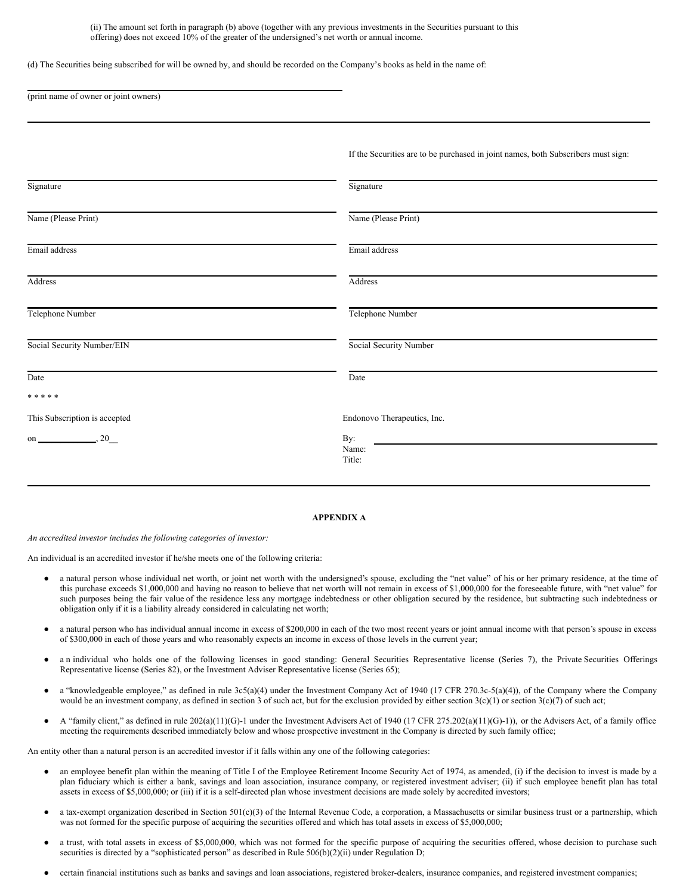(ii) The amount set forth in paragraph (b) above (together with any previous investments in the Securities pursuant to this offering) does not exceed 10% of the greater of the undersigned's net worth or annual income.

(d) The Securities being subscribed for will be owned by, and should be recorded on the Company's books as held in the name of:

| (print name of owner or joint owners)      |                                                                                   |
|--------------------------------------------|-----------------------------------------------------------------------------------|
|                                            | If the Securities are to be purchased in joint names, both Subscribers must sign: |
| Signature                                  | Signature                                                                         |
| Name (Please Print)                        | Name (Please Print)                                                               |
| Email address                              | Email address                                                                     |
| Address                                    | <b>Address</b>                                                                    |
| Telephone Number                           | Telephone Number                                                                  |
| Social Security Number/EIN                 | Social Security Number                                                            |
| Date                                       | Date                                                                              |
| * * * * *<br>This Subscription is accepted | Endonovo Therapeutics, Inc.                                                       |
| on $\qquad \qquad .20$                     | By:<br>Name:<br>Title:                                                            |

#### **APPENDIX A**

*An accredited investor includes the following categories of investor:*

An individual is an accredited investor if he/she meets one of the following criteria:

- a natural person whose individual net worth, or joint net worth with the undersigned's spouse, excluding the "net value" of his or her primary residence, at the time of this purchase exceeds \$1,000,000 and having no reason to believe that net worth will not remain in excess of \$1,000,000 for the foreseeable future, with "net value" for such purposes being the fair value of the residence less any mortgage indebtedness or other obligation secured by the residence, but subtracting such indebtedness or obligation only if it is a liability already considered in calculating net worth;
- a natural person who has individual annual income in excess of \$200,000 in each of the two most recent years or joint annual income with that person's spouse in excess of \$300,000 in each of those years and who reasonably expects an income in excess of those levels in the current year;
- a n individual who holds one of the following licenses in good standing: General Securities Representative license (Series 7), the Private Securities Offerings Representative license (Series 82), or the Investment Adviser Representative license (Series 65);
- a "knowledgeable employee," as defined in rule 3c5(a)(4) under the Investment Company Act of 1940 (17 CFR 270.3c-5(a)(4)), of the Company where the Company would be an investment company, as defined in section 3 of such act, but for the exclusion provided by either section  $3(c)(1)$  or section  $3(c)(7)$  of such act;
- A "family client," as defined in rule 202(a)(11)(G)-1 under the Investment Advisers Act of 1940 (17 CFR 275.202(a)(11)(G)-1)), or the Advisers Act, of a family office meeting the requirements described immediately below and whose prospective investment in the Company is directed by such family office;

An entity other than a natural person is an accredited investor if it falls within any one of the following categories:

- an employee benefit plan within the meaning of Title I of the Employee Retirement Income Security Act of 1974, as amended, (i) if the decision to invest is made by a plan fiduciary which is either a bank, savings and loan association, insurance company, or registered investment adviser; (ii) if such employee benefit plan has total assets in excess of \$5,000,000; or (iii) if it is a self-directed plan whose investment decisions are made solely by accredited investors;
- a tax-exempt organization described in Section 501(c)(3) of the Internal Revenue Code, a corporation, a Massachusetts or similar business trust or a partnership, which was not formed for the specific purpose of acquiring the securities offered and which has total assets in excess of \$5,000,000;
- a trust, with total assets in excess of \$5,000,000, which was not formed for the specific purpose of acquiring the securities offered, whose decision to purchase such securities is directed by a "sophisticated person" as described in Rule 506(b)(2)(ii) under Regulation D;
- certain financial institutions such as banks and savings and loan associations, registered broker-dealers, insurance companies, and registered investment companies;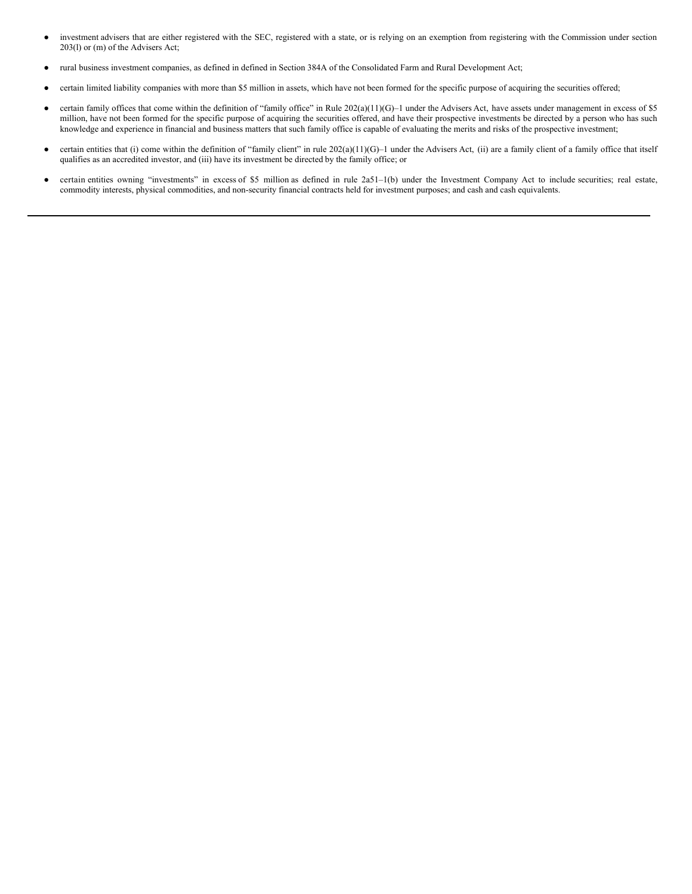- investment advisers that are either registered with the SEC, registered with a state, or is relying on an exemption from registering with the Commission under section 203(l) or (m) of the Advisers Act;
- rural business investment companies, as defined in defined in Section 384A of the Consolidated Farm and Rural Development Act;
- certain limited liability companies with more than \$5 million in assets, which have not been formed for the specific purpose of acquiring the securities offered;
- certain family offices that come within the definition of "family office" in Rule 202(a)(11)(G)–1 under the Advisers Act, have assets under management in excess of \$5 million, have not been formed for the specific purpose of acquiring the securities offered, and have their prospective investments be directed by a person who has such knowledge and experience in financial and business matters that such family office is capable of evaluating the merits and risks of the prospective investment;
- certain entities that (i) come within the definition of "family client" in rule 202(a)(11)(G)–1 under the Advisers Act, (ii) are a family client of a family office that itself qualifies as an accredited investor, and (iii) have its investment be directed by the family office; or
- certain entities owning "investments" in excess of \$5 million as defined in rule 2a51–1(b) under the Investment Company Act to include securities; real estate, commodity interests, physical commodities, and non-security financial contracts held for investment purposes; and cash and cash equivalents.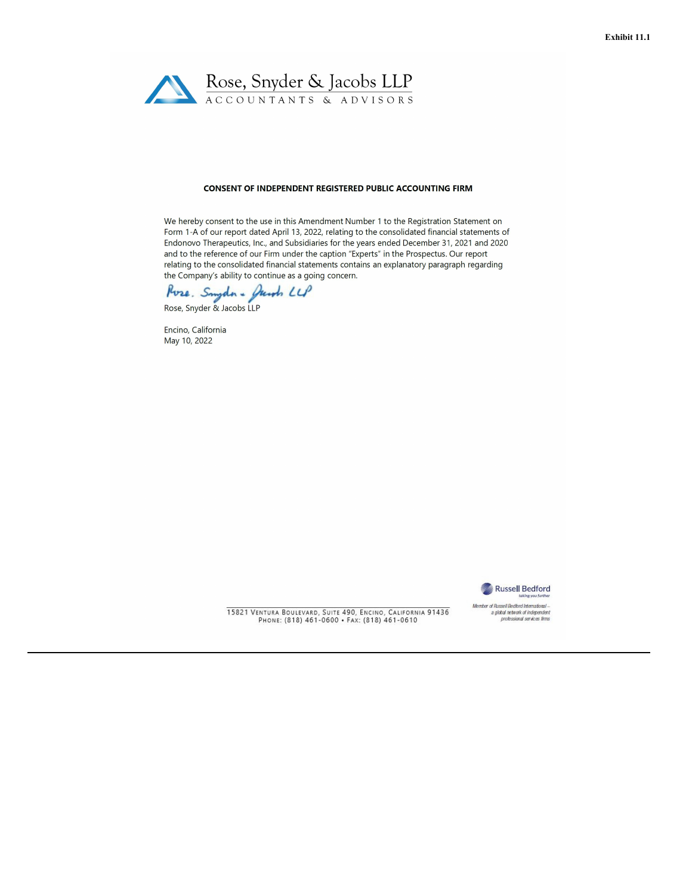<span id="page-46-0"></span>

# CONSENT OF INDEPENDENT REGISTERED PUBLIC ACCOUNTING FIRM

We hereby consent to the use in this Amendment Number 1 to the Registration Statement on Form 1-A of our report dated April 13, 2022, relating to the consolidated financial statements of Endonovo Therapeutics, Inc., and Subsidiaries for the years ended December 31, 2021 and 2020 and to the reference of our Firm under the caption "Experts" in the Prospectus. Our report relating to the consolidated financial statements contains an explanatory paragraph regarding the Company's ability to continue as a going concern.

Ruze. Snydn - Purch LLP<br>Rose, Snyder & Jacobs LLP

Encino, California May 10, 2022



Member of Russell Bedford Internationala global network of independent<br>professional services firms

15821 VENTURA BOULEVARD, SUITE 490, ENCINO, CALIFORNIA 91436<br>PHONE: (818) 461-0600 • FAX: (818) 461-0610